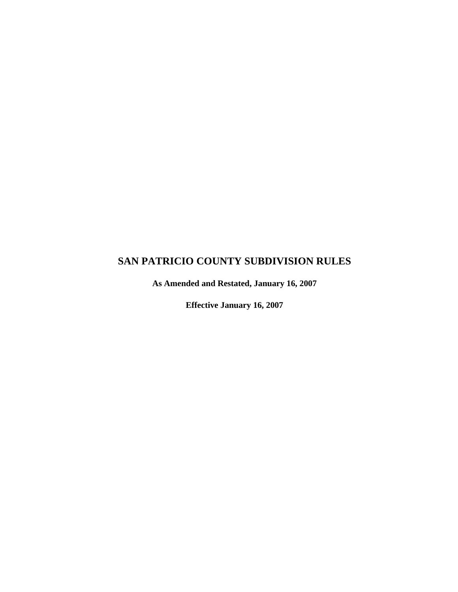# **SAN PATRICIO COUNTY SUBDIVISION RULES**

**As Amended and Restated, January 16, 2007** 

**Effective January 16, 2007**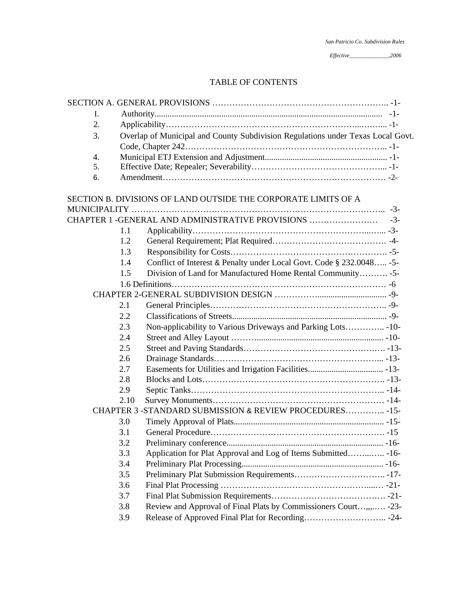|  | San Patricio Co. Subdivision Rules |  |
|--|------------------------------------|--|
|  |                                    |  |

# TABLE OF CONTENTS

| Ι. |      |                                                                                 |  |  |
|----|------|---------------------------------------------------------------------------------|--|--|
| 2. |      |                                                                                 |  |  |
| 3. |      | Overlap of Municipal and County Subdivision Regulations under Texas Local Govt. |  |  |
|    |      |                                                                                 |  |  |
| 4. |      |                                                                                 |  |  |
| 5. |      |                                                                                 |  |  |
| 6. |      |                                                                                 |  |  |
|    |      | SECTION B. DIVISIONS OF LAND OUTSIDE THE CORPORATE LIMITS OF A                  |  |  |
|    |      |                                                                                 |  |  |
|    |      |                                                                                 |  |  |
|    | 1.1  |                                                                                 |  |  |
|    | 1.2  |                                                                                 |  |  |
|    | 1.3  |                                                                                 |  |  |
|    | 1.4  | Conflict of Interest & Penalty under Local Govt. Code § 232.0048 -5-            |  |  |
|    | 1.5  | Division of Land for Manufactured Home Rental Community -5-                     |  |  |
|    |      |                                                                                 |  |  |
|    |      |                                                                                 |  |  |
|    | 2.1  |                                                                                 |  |  |
|    | 2.2  |                                                                                 |  |  |
|    | 2.3  | Non-applicability to Various Driveways and Parking Lots -10-                    |  |  |
|    | 2.4  |                                                                                 |  |  |
|    | 2.5  |                                                                                 |  |  |
|    | 2.6  |                                                                                 |  |  |
|    | 2.7  |                                                                                 |  |  |
|    | 2.8  |                                                                                 |  |  |
|    | 2.9  |                                                                                 |  |  |
|    | 2.10 |                                                                                 |  |  |
|    |      | CHAPTER 3 -STANDARD SUBMISSION & REVIEW PROCEDURES -15-                         |  |  |
|    | 3.0  |                                                                                 |  |  |
|    | 3.1  |                                                                                 |  |  |
|    | 3.2  |                                                                                 |  |  |
|    | 3.3  | Application for Plat Approval and Log of Items Submitted -16-                   |  |  |
|    | 3.4  |                                                                                 |  |  |
|    | 3.5  |                                                                                 |  |  |
|    | 3.6  |                                                                                 |  |  |
|    | 3.7  |                                                                                 |  |  |
|    | 3.8  | Review and Approval of Final Plats by Commissioners Court,,, -23-               |  |  |
|    | 3.9  |                                                                                 |  |  |
|    |      |                                                                                 |  |  |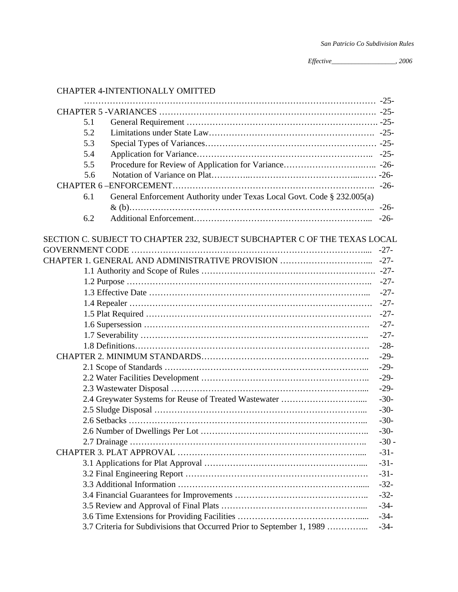# CHAPTER 4-INTENTIONALLY OMITTED

| 5.1 |                                                                            |        |
|-----|----------------------------------------------------------------------------|--------|
| 5.2 |                                                                            |        |
| 5.3 |                                                                            |        |
| 5.4 |                                                                            |        |
| 5.5 |                                                                            |        |
| 5.6 |                                                                            |        |
|     |                                                                            |        |
| 6.1 | General Enforcement Authority under Texas Local Govt. Code § 232.005(a)    |        |
|     |                                                                            |        |
| 6.2 |                                                                            |        |
|     |                                                                            |        |
|     | SECTION C. SUBJECT TO CHAPTER 232, SUBJECT SUBCHAPTER C OF THE TEXAS LOCAL |        |
|     |                                                                            |        |
|     |                                                                            |        |
|     |                                                                            |        |
|     |                                                                            |        |
|     |                                                                            |        |
|     |                                                                            |        |
|     |                                                                            | $-27-$ |
|     |                                                                            | $-27-$ |
|     |                                                                            | $-27-$ |
|     |                                                                            | $-28-$ |
|     |                                                                            | $-29-$ |
|     |                                                                            | $-29-$ |
|     |                                                                            | $-29-$ |
|     |                                                                            | $-29-$ |
|     |                                                                            | $-30-$ |
|     |                                                                            | $-30-$ |
|     |                                                                            | $-30-$ |
|     |                                                                            | $-30-$ |
|     |                                                                            | $-30-$ |
|     |                                                                            | $-31-$ |
|     |                                                                            | $-31-$ |
|     |                                                                            | $-31-$ |
|     |                                                                            | $-32-$ |
|     |                                                                            | $-32-$ |
|     |                                                                            | $-34-$ |
|     |                                                                            | $-34-$ |
|     | 3.7 Criteria for Subdivisions that Occurred Prior to September 1, 1989     | $-34-$ |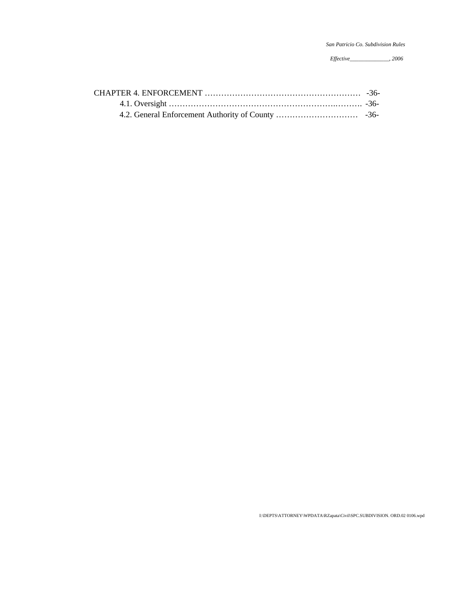I:\DEPTS\ATTORNEY\WPDATA\RZapata\Civil\SPC.SUBDlVISION. ORD.02 0106.wpd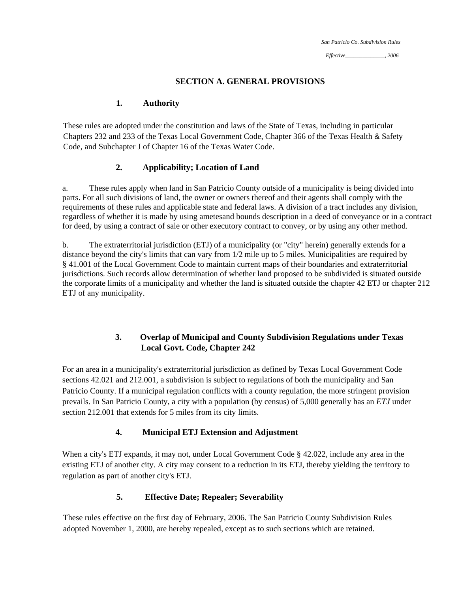*San Patricio Co. Subdivision Rules* 

*Effective\_\_\_\_\_\_\_\_\_\_\_\_\_\_, 2006* 

## **SECTION A. GENERAL PROVISIONS**

## **1. Authority**

These rules are adopted under the constitution and laws of the State of Texas, including in particular Chapters 232 and 233 of the Texas Local Government Code, Chapter 366 of the Texas Health & Safety Code, and Subchapter J of Chapter 16 of the Texas Water Code.

## **2. Applicability; Location of Land**

a. These rules apply when land in San Patricio County outside of a municipality is being divided into parts. For all such divisions of land, the owner or owners thereof and their agents shall comply with the requirements of these rules and applicable state and federal laws. A division of a tract includes any division, regardless of whether it is made by using ametesand bounds description in a deed of conveyance or in a contract for deed, by using a contract of sale or other executory contract to convey, or by using any other method.

b. The extraterritorial jurisdiction (ETJ) of a municipality (or "city" herein) generally extends for a distance beyond the city's limits that can vary from 1/2 mile up to 5 miles. Municipalities are required by § 41.001 of the Local Government Code to maintain current maps of their boundaries and extraterritorial jurisdictions. Such records allow determination of whether land proposed to be subdivided is situated outside the corporate limits of a municipality and whether the land is situated outside the chapter 42 ETJ or chapter 212 ETJ of any municipality.

# **3. Overlap of Municipal and County Subdivision Regulations under Texas Local Govt. Code, Chapter 242**

For an area in a municipality's extraterritorial jurisdiction as defined by Texas Local Government Code sections 42.021 and 212.001, a subdivision is subject to regulations of both the municipality and San Patricio County. If a municipal regulation conflicts with a county regulation, the more stringent provision prevails. In San Patricio County, a city with a population (by census) of 5,000 generally has an *ETJ* under section 212.001 that extends for 5 miles from its city limits.

## **4. Municipal ETJ Extension and Adjustment**

When a city's ETJ expands, it may not, under Local Government Code § 42.022, include any area in the existing ETJ of another city. A city may consent to a reduction in its ETJ, thereby yielding the territory to regulation as part of another city's ETJ.

# **5. Effective Date; Repealer; Severability**

These rules effective on the first day of February, 2006. The San Patricio County Subdivision Rules adopted November 1, 2000, are hereby repealed, except as to such sections which are retained.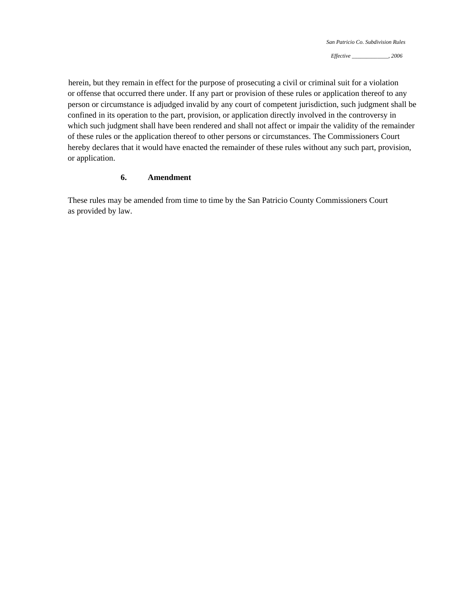herein, but they remain in effect for the purpose of prosecuting a civil or criminal suit for a violation or offense that occurred there under. If any part or provision of these rules or application thereof to any person or circumstance is adjudged invalid by any court of competent jurisdiction, such judgment shall be confined in its operation to the part, provision, or application directly involved in the controversy in which such judgment shall have been rendered and shall not affect or impair the validity of the remainder of these rules or the application thereof to other persons or circumstances. The Commissioners Court hereby declares that it would have enacted the remainder of these rules without any such part, provision, or application.

### **6. Amendment**

These rules may be amended from time to time by the San Patricio County Commissioners Court as provided by law.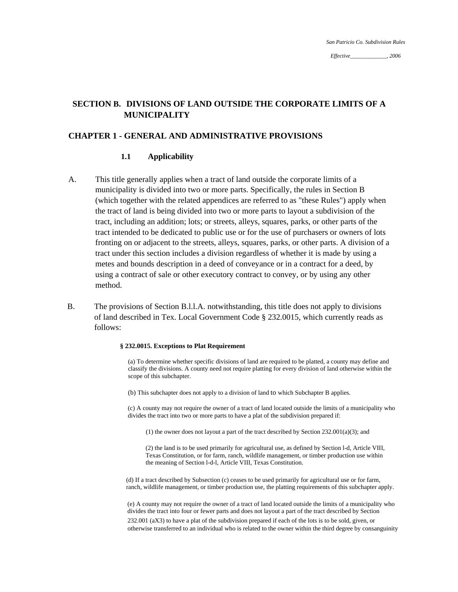# **SECTION B. DIVISIONS OF LAND OUTSIDE THE CORPORATE LIMITS OF A MUNICIPALITY**

## **CHAPTER 1 - GENERAL AND ADMINISTRATIVE PROVISIONS**

#### **1.1 Applicability**

- A. This title generally applies when a tract of land outside the corporate limits of a municipality is divided into two or more parts. Specifically, the rules in Section B (which together with the related appendices are referred to as "these Rules") apply when the tract of land is being divided into two or more parts to layout a subdivision of the tract, including an addition; lots; or streets, alleys, squares, parks, or other parts of the tract intended to be dedicated to public use or for the use of purchasers or owners of lots fronting on or adjacent to the streets, alleys, squares, parks, or other parts. A division of a tract under this section includes a division regardless of whether it is made by using a metes and bounds description in a deed of conveyance or in a contract for a deed, by using a contract of sale or other executory contract to convey, or by using any other method.
- B. The provisions of Section B.l.l.A. notwithstanding, this title does not apply to divisions of land described in Tex. Local Government Code § 232.0015, which currently reads as follows:

#### **§ 232.0015. Exceptions to Plat Requirement**

scope of this subchapter. (a) To determine whether specific divisions of land are required to be platted, a county may define and classify the divisions. A county need not require platting for every division of land otherwise within the

(b) This subchapter does not apply to a division of land to which Subchapter B applies.

(c) A county may not require the owner of a tract of land located outside the limits of a municipality who divides the tract into two or more parts to have a plat of the subdivision prepared if:

(1) the owner does not layout a part of the tract described by Section 232.001(a)(3); and

the meaning of Section 1-d-1, Article VIII, Texas Constitution. (2) the land is to be used primarily for agricultural use, as defined by Section l-d, Article VIII, Texas Constitution, or for farm, ranch, wildlife management, or timber production use within

(d) If a tract described by Subsection (c) ceases to be used primarily for agricultural use or for farm, ranch, wildlife management, or timber production use, the platting requirements of this subchapter apply.

(e) A county may not require the owner of a tract of land located outside the limits of a municipality who divides the tract into four or fewer parts and does not layout a part of the tract described by Section 232.001 (aX3) to have a plat of the subdivision prepared if each of the lots is to be sold, given, or otherwise transferred to an individual who is related to the owner within the third degree by consanguinity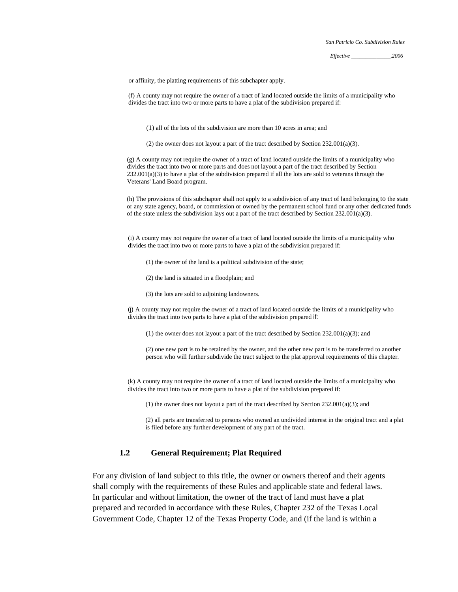or affinity, the platting requirements of this subchapter apply.

 (f) A county may not require the owner of a tract of land located outside the limits of a municipality who divides the tract into two or more parts to have a plat of the subdivision prepared if:

(1) all of the lots of the subdivision are more than 10 acres in area; and

(2) the owner does not layout a part of the tract described by Section 232.001(a)(3).

(g) A county may not require the owner of a tract of land located outside the limits of a municipality who divides the tract into two or more parts and does not layout a part of the tract described by Section  $232.001(a)(3)$  to have a plat of the subdivision prepared if all the lots are sold to veterans through the Veterans' Land Board program.

(h) The provisions of this subchapter shall not apply to a subdivision of any tract of land belonging to the state or any state agency, board, or commission or owned by the permanent school fund or any other dedicated funds of the state unless the subdivision lays out a part of the tract described by Section 232.001(a)(3).

(i) A county may not require the owner of a tract of land located outside the limits of a municipality who divides the tract into two or more parts to have a plat of the subdivision prepared if:

- (1) the owner of the land is a political subdivision of the state;
- (2) the land is situated in a floodplain; and
- (3) the lots are sold to adjoining landowners.

(j) A county may not require the owner of a tract of land located outside the limits of a municipality who divides the tract into two parts to have a plat of the subdivision prepared if:

(1) the owner does not layout a part of the tract described by Section 232.001(a)(3); and

(2) one new part is to be retained by the owner, and the other new part is to be transferred to another person who will further subdivide the tract subject to the plat approval requirements of this chapter.

(k) A county may not require the owner of a tract of land located outside the limits of a municipality who divides the tract into two or more parts to have a plat of the subdivision prepared if:

(1) the owner does not layout a part of the tract described by Section  $232.001(a)(3)$ ; and

(2) all parts are transferred to persons who owned an undivided interest in the original tract and a plat is filed before any further development of any part of the tract.

### **1.2 General Requirement; Plat Required**

For any division of land subject to this title, the owner or owners thereof and their agents shall comply with the requirements of these Rules and applicable state and federal laws. In particular and without limitation, the owner of the tract of land must have a plat prepared and recorded in accordance with these Rules, Chapter 232 of the Texas Local Government Code, Chapter 12 of the Texas Property Code, and (if the land is within a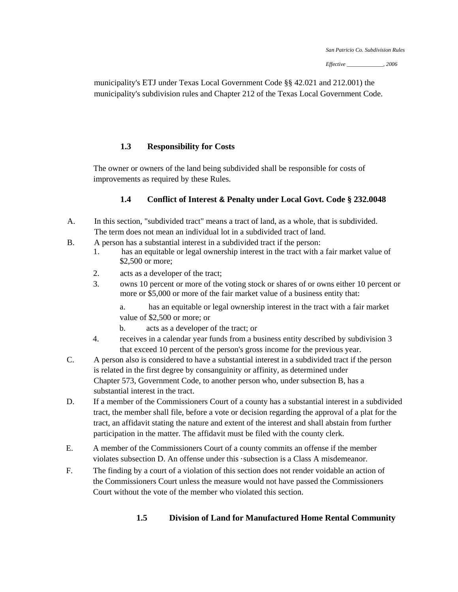municipality's ETJ under Texas Local Government Code §§ 42.021 and 212.001) the municipality's subdivision rules and Chapter 212 of the Texas Local Government Code.

## **1.3 Responsibility for Costs**

The owner or owners of the land being subdivided shall be responsible for costs of improvements as required by these Rules.

## **1.4 Conflict of Interest & Penalty under Local Govt. Code § 232.0048**

- A. In this section, "subdivided tract" means a tract of land, as a whole, that is subdivided. The term does not mean an individual lot in a subdivided tract of land.
- B. A person has a substantial interest in a subdivided tract if the person:
	- 1. has an equitable or legal ownership interest in the tract with a fair market value of \$2,500 or more;
	- 2. acts as a developer of the tract;
	- 3. owns 10 percent or more of the voting stock or shares of or owns either 10 percent or more or \$5,000 or more of the fair market value of a business entity that:

value of \$2,500 or more; or a. has an equitable or legal ownership interest in the tract with a fair market

- b. acts as a developer of the tract; or
- that exceed 10 percent of the person's gross income for the previous year. 4. receives in a calendar year funds from a business entity described by subdivision 3
- C. A person also is considered to have a substantial interest in a subdivided tract if the person is related in the first degree by consanguinity or affinity, as determined under Chapter 573, Government Code, to another person who, under subsection B, has a substantial interest in the tract.
- D. If a member of the Commissioners Court of a county has a substantial interest in a subdivided tract, the member shall file, before a vote or decision regarding the approval of a plat for the tract, an affidavit stating the nature and extent of the interest and shall abstain from further participation in the matter. The affidavit must be filed with the county clerk.
- E. A member of the Commissioners Court of a county commits an offense if the member violates subsection D. An offense under this ·subsection is a Class A misdemeanor.
- F. The finding by a court of a violation of this section does not render voidable an action of the Commissioners Court unless the measure would not have passed the Commissioners Court without the vote of the member who violated this section.

#### **1 .5 Division of Land for Manufactured Home Rental Community**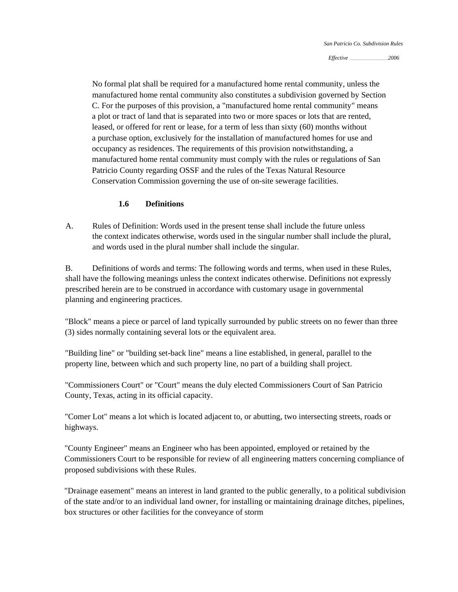*Effective \_\_\_\_\_\_\_\_\_\_\_\_\_\_\_\_\_\_\_\_\_\_\_\_\_\_\_\_\_,2006* 

No formal plat shall be required for a manufactured home rental community, unless the manufactured home rental community also constitutes a subdivision governed by Section C. For the purposes of this provision, a "manufactured home rental community" means a plot or tract of land that is separated into two or more spaces or lots that are rented, leased, or offered for rent or lease, for a term of less than sixty (60) months without a purchase option, exclusively for the installation of manufactured homes for use and occupancy as residences. The requirements of this provision notwithstanding, a manufactured home rental community must comply with the rules or regulations of San Patricio County regarding OSSF and the rules of the Texas Natural Resource Conservation Commission governing the use of o n-site sewerage facilities.

#### **1.6 Definitions**

t the context indicates otherwise, words used in the singular number shall include he plural, and words used in the plural number shall include the singular. A. Rules of Definition: Words used in the present tense shall include the future unless

B. Definitions of words and terms: The following words and terms, when used in these Rules, shall have the following meanings unless the context indicates otherwise. Definitions not expressly prescribed herein are to be construed in accordance with customary usage in governmental planning and engineering practices.

"Block" means a piece or parcel of land typically surrounded by public streets on no fewer than three (3) sides normally containing several lots or the equivalent area.

"Building line" or "building set-back line" means a line established, in general, parallel to the property line, between which and such property line, no part of a building shall project.

"Commissioners Court" or "Court" means the duly elected Commissioners Court of San Patricio County, Texas, acting in its official capacity.

"Comer Lot" means a lot which is located adjacent to, or abutting, two intersecting streets, roads or highways.

"County Engineer" means an Engineer who has been appointed, employed or retained by the Commissioners Court to be responsible for review of all engineering matters concerning compliance of proposed subdivisions with these Rules.

"Drainage easement" means an interest in land granted to the public generally, to a political subdivision of the state and/or to an individual land owner, for installing or maintaining drainage ditches, pipelines, box structures or other facilities for the conveyance of storm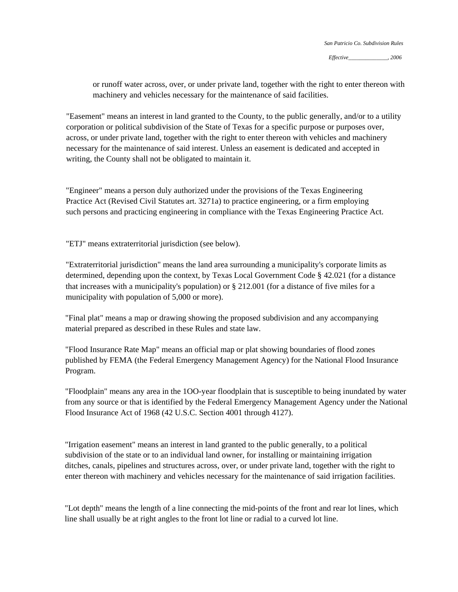or runoff water across, over, or under private land, together with the right to enter thereon with machinery and vehicles necessary for the maintenance of said facilities.

"Easement" means an interest in land granted to the County, to the public generally, and/or to a utility corporation or political subdivision of the State of Texas for a specific purpose or purposes over, across, or under private land, together with the right to enter thereon with vehicles and machinery necessary for the maintenance of said interest. Unless an easement is dedicated and accepted in writing, the County shall not be obligated to maintain it.

"Engineer" means a person duly authorized under the provisions of the Texas Engineering Practice Act (Revised Civil Statutes art. 3271a) to practice engineering, or a firm employing such persons and practicing engineering in compliance with the Texas Engineering Practice Act.

"ETJ" means extraterritorial jurisdiction (see below).

"Extraterritorial jurisdiction" means the land area surrounding a municipality's corporate limits as determined, depending upon the context, by Texas Local Government Code § 42.021 (for a distance that increases with a municipality's population) or § 212.001 (for a distance of five miles for a municipality with population of 5,000 or more).

"Final plat" means a map or drawing showing the proposed subdivision and any accompanying material prepared as described in these Rules and state law.

"Flood Insurance Rate Map" means an official map or plat showing boundaries of flood zones published by FEMA (the Federal Emergency Management Agency) for the National Flood Insurance Program.

"Floodplain" means any area in the 1OO-year floodplain that is susceptible to being inundated by water from any source or that is identified by the Federal Emergency Management Agency under the National Flood Insurance Act of 1968 (42 U.S.C. Section 4001 through 4127).

"Irrigation easement" means an interest in land granted to the public generally, to a political subdivision of the state or to an individual land owner, for installing or maintaining irrigation ditches, canals, pipelines and structures across, over, or under private land, together with the right to enter thereon with machinery and vehicles necessary for the maintenance of said irrigation facilities.

"Lot depth" means the length of a line connecting the mid-points of the front and rear lot lines, which line shall usually be at right angles to the front lot line or radial to a curved lot line.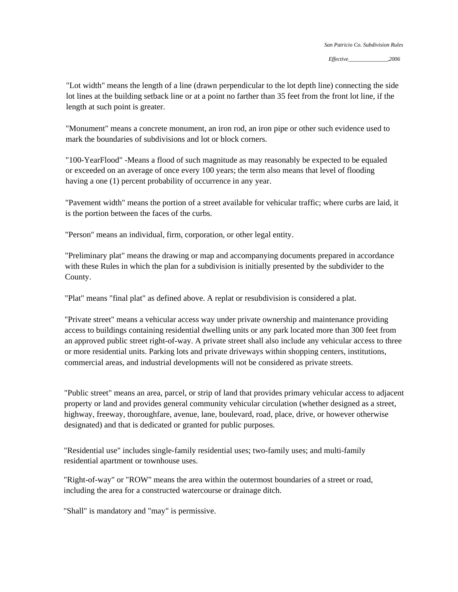"Lot width" means the length of a line (drawn perpendicular to the lot depth line) connecting the side lot lines at the building setback line or at a point no farther than 35 feet from the front lot line, if the length at such point is greater.

"Monument" means a concrete monument, an iron rod, an iron pipe or other such evidence used to mark the boundaries of subdivisions and lot or block corners.

"100-YearFlood" -Means a flood of such magnitude as may reasonably be expected to be equaled or exceeded on an average of once every 100 years; the term also means that level of flooding having a one (1) percent probability of occurrence in any year.

"Pavement width" means the portion of a street available for vehicular traffic; where curbs are laid, it is the portion between the faces of the curbs.

"Person" means an individual, firm, corporation, or other legal entity.

"Preliminary plat" means the drawing or map and accompanying documents prepared in accordance with these Rules in which the plan for a subdivision is initially presented by the subdivider to the County.

"Plat" means "final plat" as defined above. A replat or resubdivision is considered a plat.

"Private street" means a vehicular access way under private ownership and maintenance providing access to buildings containing residential dwelling units or any park located more than 300 feet from an approved public street right-of-way. A private street shall also include any vehicular access to three or more residential units. Parking lots and private driveways within shopping centers, institutions, commercial areas, and industrial developments will not be considered as private streets.

"Public street" means an area, parcel, or strip of land that provides primary vehicular access to adjacent property or land and provides general community vehicular circulation (whether designed as a street, highway, freeway, thoroughfare, avenue, lane, boulevard, road, place, drive, or however otherwise designated) and that is dedicated or granted for public purposes.

"Residential use" includes single-family residential uses; two-family uses; and multi-family residential apartment or townhouse uses.

"Right-of-way" or "ROW" means the area within the outermost boundaries of a street or road, including the area for a constructed watercourse or drainage ditch.

"Shall" is mandatory and "may" is permissive.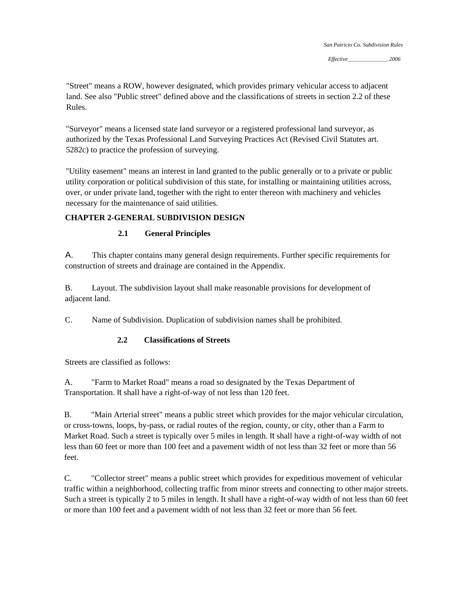"Street" means a ROW, however designated, which provides primary vehicular access to adjacent land. See also "Public street" defined above and the classifications of streets in section 2.2 of these Rules.

"Surveyor" means a licensed state land surveyor or a registered professional land surveyor, as authorized by the Texas Professional Land Surveying Practices Act (Revised Civil Statutes art. 5282c) to practice the profession of surveying.

"Utility easement" means an interest in land granted to the public generally or to a private or public utility corporation or political subdivision of this state, for installing or maintaining utilities across, over, or under private land, together with the right to enter thereon with machinery and vehicles necessary for the maintenance of said utilities.

# **CHAPTER 2-GENERAL SUBDIVISION DESIGN**

## **2.1 General Principles**

A. This chapter contains many general design requirements. Further specific requirements for construction of streets and drainage are contained in the Appendix.

B. Layout. The subdivision layout shall make reasonable provisions for development of adjacent land.

C. Name of Subdivision. Duplication of subdivision names shall be prohibited.

## **2.2 Classifications of Streets**

Streets are classified as follows:

A. "Farm to Market Road" means a road so designated by the Texas Department of Transportation. It shall have a right-of-way of not less than 120 feet.

B. "Main Arterial street" means a public street which provides for the major vehicular circulation, or cross-towns, loops, by-pass, or radial routes of the region, county, or city, other than a Farm to Market Road. Such a street is typically over 5 miles in length. It shall have a right-of-way width of not less than 60 feet or more than 100 feet and a pavement width of not less than 32 feet or more than 56 feet.

C. "Collector street" means a public street which provides for expeditious movement of vehicular traffic within a neighborhood, collecting traffic from minor streets and connecting to other major streets. Such a street is typically 2 to 5 miles in length. It shall have a right-of-way width of not less than 60 feet or more than 100 feet and a pavement width of not less than 32 feet or more than 56 feet.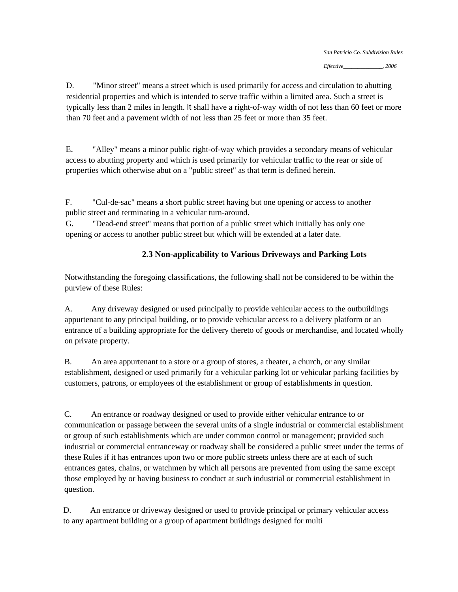D. "Minor street" means a street which is used primarily for access and circulation to abutting residential properties and which is intended to serve traffic within a limited area. Such a street is typically less than 2 miles in length. It shall have a right-of-way width of not less than 60 feet or more than 70 feet and a pavement width of not less than 25 feet or more than 35 feet.

E. "Alley" means a minor public right-of-way which provides a secondary means of vehicular access to abutting property and which is used primarily for vehicular traffic to the rear or side of properties which otherwise abut on a "public street" as that term is defined herein.

F. "Cul-de-sac" means a short public street having but one opening or access to another public street and terminating in a vehicular turn-around.

G. "Dead-end street" means that portion of a public street which initially has only one opening or access to another public street but which will be extended at a later date.

# **2.3 Non-applicability to Various Driveways and Parking Lots**

Notwithstanding the foregoing classifications, the following shall not be considered to be within the purview of these Rules:

A. Any driveway designed or used principally to provide vehicular access to the outbuildings appurtenant to any principal building, or to provide vehicular access to a delivery platform or an entrance of a building appropriate for the delivery thereto of goods or merchandise, and located wholly on private property.

B. An area appurtenant to a store or a group of stores, a theater, a church, or any similar establishment, designed or used primarily for a vehicular parking lot or vehicular parking facilities by customers, patrons, or employees of the establishment or group of establishments in question.

C. An entrance or roadway designed or used to provide either vehicular entrance to or communication or passage between the several units of a single industrial or commercial establishment or group of such establishments which are under common control or management; provided such industrial or commercial entranceway or roadway shall be considered a public street under the terms of these Rules if it has entrances upon two or more public streets unless there are at each of such entrances gates, chains, or watchmen by which all persons are prevented from using the same except those employed by or having business to conduct at such industrial or commercial establishment in question.

D. An entrance or driveway designed or used to provide principal or primary vehicular access to any apartment building or a group of apartment buildings designed for multi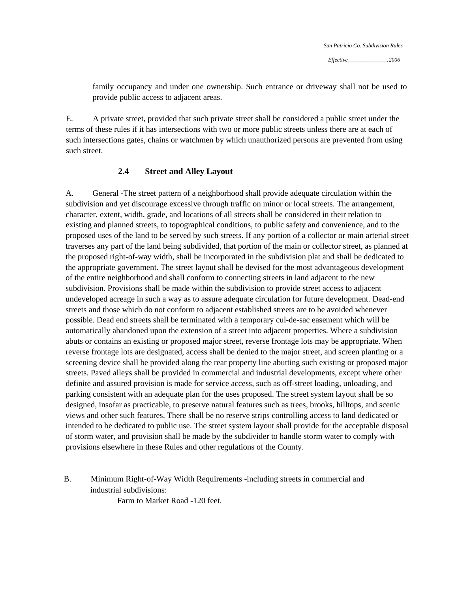*Effective\_\_\_\_\_\_\_\_\_\_\_\_\_\_\_\_\_\_\_\_\_, 2006* 

family occupancy and under one ownership. Such entrance or driveway shall not be used to provide public access to adjacent areas.

E. A private street, provided that such private street shall be considered a public street under the terms of these rules if it has intersections with two or more public streets unless there are at each of such intersections gates, chains or watchmen by which unauthorized persons are prevented from using such street.

#### **2.4 Street and Alley Layout**

A. General -The street pattern of a neighborhood shall provide adequate circulation within the subdivision and yet discourage excessive through traffic on minor or local streets. The arrangement, character, extent, width, grade, and locations of all streets shall be considered in their relation to existing and planned streets, to topographical conditions, to public safety and convenience, and to the proposed uses of the land to be served by such streets. If any portion of a collector or main arterial street traverses any part of the land being subdivided, that portion of the main or collector street, as planned at the proposed right-of-way width, shall be incorporated in the subdivision plat and shall be dedicated to the appropriate government. The street layout shall be devised for the most advantageous development of the entire neighborhood and shall conform to connecting streets in land adjacent to the new subdivision. Provisions shall be made within the subdivision to provide street access to adjacent undeveloped acreage in such a way as to assure adequate circulation for future development. Dead-end streets and those which do not conform to adjacent established streets are to be avoided whenever possible. Dead end streets shall be terminated with a temporary cul-de-sac easement which will be automatically abandoned upon the extension of a street into adjacent properties. Where a subdivision abuts or contains an existing or proposed major street, reverse frontage lots may be appropriate. When reverse frontage lots are designated, access shall be denied to the major street, and screen planting or a screening device shall be provided along the rear property line abutting such existing or proposed major streets. Paved alleys shall be provided in commercial and industrial developments, except where other definite and assured provision is made for service access, such as off-street loading, unloading, and parking consistent with an adequate plan for the uses proposed. The street system layout shall be so designed, insofar as practicable, to preserve natural features such as trees, brooks, hilltops, and scenic views and other such features. There shall be no reserve strips controlling access to land dedicated or intended to be dedicated to public use. The street system layout shall provide for the acceptable disposal of storm water, and provision shall be made by the subdivider to handle storm water to comply with provisions elsewhere in these Rules and other regulations of the County.

B. Minimum Right-of-Way Width Requirements -including streets in commercial and industrial subdivisions:

Farm to Market Road -120 feet.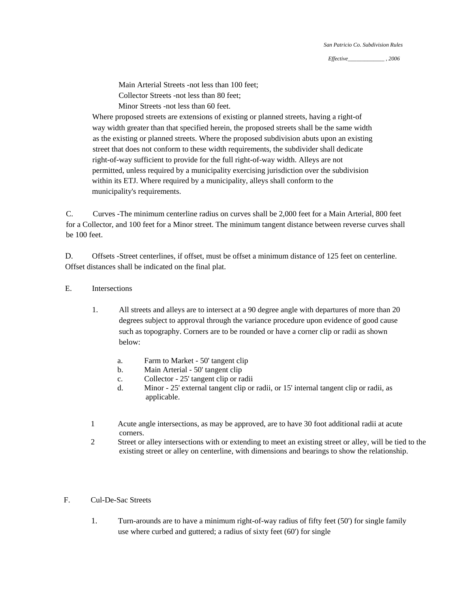Main Arterial Streets -not less than 100 feet; Collector Streets -not less than 80 feet; Minor Streets -not less than 60 feet.

Where proposed streets are extensions of existing or planned streets, having a right-of way width greater than that specified herein, the proposed streets shall be the same width as the existing or planned streets. Where the proposed subdivision abuts upon an existing street that does not conform to these width requirements, the subdivider shall dedicate right-of-way sufficient to provide for the full right-of-way width. Alleys are not permitted, unless required by a municipality exercising jurisdiction over the subdivision within its ETJ. Where required by a municipality, alleys shall conform to the municipality's requirements.

C. Curves -The minimum centerline radius on curves shall be 2,000 feet for a Main Arterial, 800 feet for a Collector, and 100 feet for a Minor street. The minimum tangent distance between reverse curves shall be 100 feet.

D. Offsets -Street centerlines, if offset, must be offset a minimum distance of 125 feet on centerline. Offset distances shall be indicated on the final plat.

#### E. Intersections

- 1. All streets and alleys are to intersect at a 90 degree angle with departures of more than 20 degrees subject to approval through the variance procedure upon evidence of good cause such as topography. Corners are to be rounded or have a corner clip or radii as shown below:
	- a. Farm to Market 50' tangent clip
	- b. Main Arterial 50' tangent clip
	- c. Collector 25' tangent clip or radii
	- d. Minor 25' external tangent clip or radii, or 15' internal tangent clip or radii, as applicable.
- corners. 1 Acute angle intersections, as may be approved, are to have 30 foot additional radii at acute
- 2 Street or alley intersections with or extending to meet an existing street or alley, will be tied to the existing street or alley on centerline, with dimensions and bearings to show the relationship.

#### F. Cul-De-Sac Streets

1. Turn-arounds are to have a minimum right-of-way radius of fifty feet (50') for single family use where curbed and guttered; a radius of sixty feet (60') for single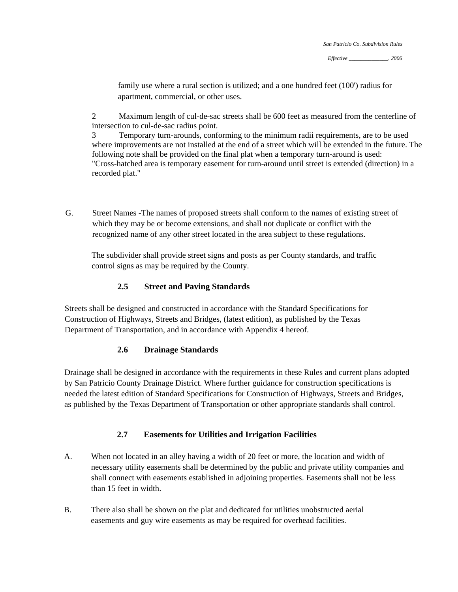family use where a rural section is utilized; and a one hundred feet (100') radius for apartment, commercial, or other uses.

2 Maximum length of cul-de-sac streets shall be 600 feet as measured from the centerline of intersection to cul-de-sac radius point.

3 Temporary turn-arounds, conforming to the minimum radii requirements, are to be used where improvements are not installed at the end of a street which will be extended in the future. The following note shall be provided on the final plat when a temporary turn-around is used: "Cross-hatched area is temporary easement for turn-around until street is extended (direction) in a recorded plat."

G. Street Names -The names of proposed streets shall conform to the names of existing street of which they may be or become extensions, and shall not duplicate or conflict with the recognized name of any other street located in the area subject to these regulations.

The subdivider shall provide street signs and posts as per County standards, and traffic control signs as may be required by the County.

## **2.5 Street and Paving Standards**

Streets shall be designed and constructed in accordance with the Standard Specifications for Construction of Highways, Streets and Bridges, (latest edition), as published by the Texas Department of Transportation, and in accordance with Appendix 4 hereof.

## **2.6 Drainage Standards**

Drainage shall be designed in accordance with the requirements in these Rules and current plans adopted by San Patricio County Drainage District. Where further guidance for construction specifications is needed the latest edition of Standard Specifications for Construction of Highways, Streets and Bridges, as published by the Texas Department of Transportation or other appropriate standards shall control.

# **2.7 Easements for Utilities and Irrigation Facilities**

- A. When not located in an alley having a width of 20 feet or more, the location and width of necessary utility easements shall be determined by the public and private utility companies and shall connect with easements established in adjoining properties. Easements shall not be less than 15 feet in width.
- B. There also shall be shown on the plat and dedicated for utilities unobstructed aerial easements and guy wire easements as may be required for overhead facilities.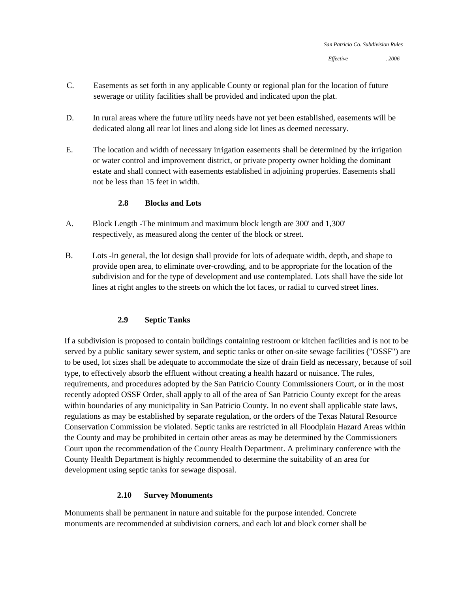- C. Easements as set forth in any applicable County or regional plan for the location of future sewerage or utility facilities shall be provided and indicated upon the plat.
- D. In rural areas where the future utility needs have not yet been established, easements will be dedicated along all rear lot lines and along side lot lines as deemed necessary.
- E. The location and width of necessary irrigation easements shall be determined by the irrigation or water control and improvement district, or private property owner holding the dominant estate and shall connect with easements established in adjoining properties. Easements shall not be less than 15 feet in width.

## **2.8 Blocks and Lots**

- A. Block Length -The minimum and maximum block length are 300' and 1,300' respectively, as measured along the center of the block or street.
- B. Lots -In general, the lot design shall provide for lots of adequate width, depth, and shape to provide open area, to eliminate over-crowding, and to be appropriate for the location of the subdivision and for the type of development and use contemplated. Lots shall have the side lot lines at right angles to the streets on which the lot faces, or radial to curved street lines.

#### **2.9 Septic Tanks**

If a subdivision is proposed to contain buildings containing restroom or kitchen facilities and is not to be served by a public sanitary sewer system, and septic tanks or other on-site sewage facilities ("OSSF") are to be used, lot sizes shall be adequate to accommodate the size of drain field as necessary, because of soil type, to effectively absorb the effluent without creating a health hazard or nuisance. The rules, requirements, and procedures adopted by the San Patricio County Commissioners Court, or in the most recently adopted OSSF Order, shall apply to all of the area of San Patricio County except for the areas within boundaries of any municipality in San Patricio County. In no event shall applicable state laws, regulations as may be established by separate regulation, or the orders of the Texas Natural Resource Conservation Commission be violated. Septic tanks are restricted in all Floodplain Hazard Areas within the County and may be prohibited in certain other areas as may be determined by the Commissioners Court upon the recommendation of the County Health Department. A preliminary conference with the County Health Department is highly recommended to determine the suitability of an area for development using septic tanks for sewage disposal.

#### **2.10 Survey Monuments**

Monuments shall be permanent in nature and suitable for the purpose intended. Concrete monuments are recommended at subdivision corners, and each lot and block corner shall be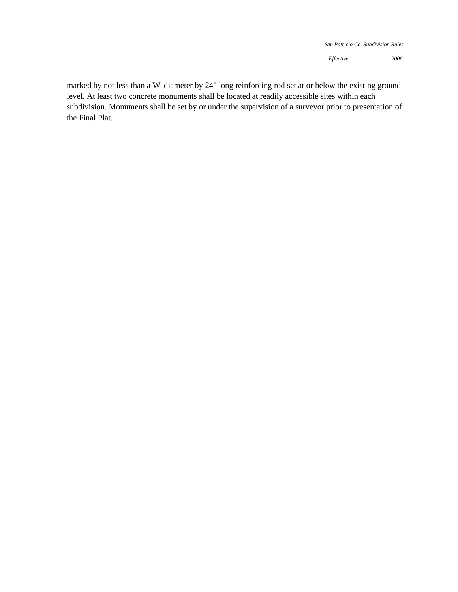*Effective* \_\_\_\_\_\_\_\_\_\_\_\_\_\_\_\_\_\_\_, *2006* 

marked by not less than a W' diameter by 24" long reinforcing rod set at or below the existing ground level. At least two concrete monuments shall be located at readily accessible sites within each subdivision. Monuments shall be set by or under the supervision of a surveyor prior to presentation of the Final Plat.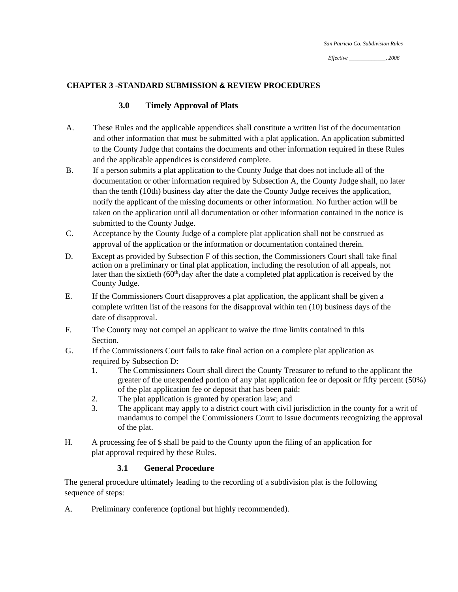#### **CHAPTER 3 -STANDARD SUBMISSION & REVIEW PROCEDURES**

#### **3.0 Timely Approval of Plats**

- A. These Rules and the applicable appendices shall constitute a written list of the documentation and other information that must be submitted with a plat application. An application submitted to the County Judge that contains the documents and other information required in these Rules and the applicable appendices is considered complete.
- B. If a person submits a plat application to the County Judge that does not include all of the documentation or other information required by Subsection A, the County Judge shall, no later than the tenth (10th) business day after the date the County Judge receives the application, notify the applicant of the missing documents or other information. No further action will be taken on the application until all documentation or other information contained in the notice is submitted to the County Judge.
- C. Acceptance by the County Judge of a complete plat application shall not be construed as approval of the application or the information or documentation contained therein.
- D. Except as provided by Subsection F of this section, the Commissioners Court shall take final action on a preliminary or final plat application, including the resolution of all appeals, not later than the sixtieth (60<sup>th</sup>) day after the date a completed plat application is received by the County Judge.
- E. If the Commissioners Court disapproves a plat application, the applicant shall be given a complete written list of the reasons for the disapproval within ten (10) business days of the date of disapproval.
- F. The County may not compel an applicant to waive the time limits contained in this Section.
- G. If the Commissioners Court fails to take final action on a complete plat application as required by Subsection D:
	- 1. The Commissioners Court shall direct the County Treasurer to refund to the applicant the greater of the unexpended portion of any plat application fee or deposit or fifty percent (50% ) of the plat application fee or deposit that has been paid :
	- 2. The plat application is granted by operation law; and
	- mandamus to compel the Commissioners Court to issue documents recognizing the approval of the plat. 3. The applicant may apply to a district court with civil jurisdiction in the county for a writ of
- H. A processing fee of \$ shall be paid to the County upon the filing of an application for plat approval required by these Rules.

#### **3.1 General Procedure**

The general procedure ultimately leading to the recording of a subdivision plat is the following sequence of steps:

A. Preliminary conference (optional but highly recommended).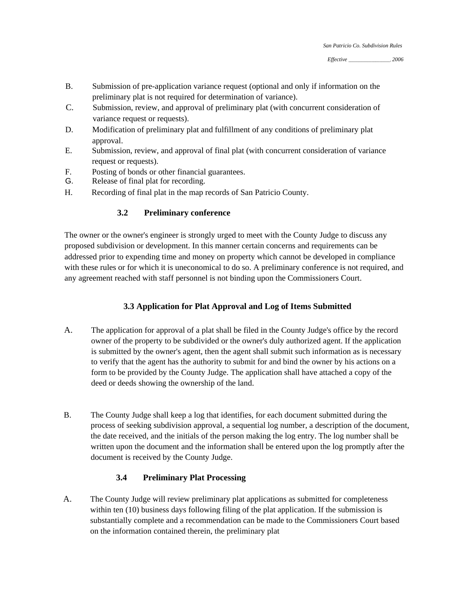*Effective* \_\_\_\_\_\_\_\_\_\_\_\_\_\_\_\_\_\_\_\_, *2006* 

- B. Submission of pre-application variance request (optional and only if information on the preliminary plat is not required for determination of variance).
- C. Submission, review, and approval of preliminary plat (with concurrent consideration of variance request or requests).
- D. Modification of preliminary plat and fulfillment of any conditions of preliminary plat approval.
- E. Submission, review, and approval of final plat (with concurrent consideration of variance request or requests).
- F. Posting of bonds or other financial guarantees.
- G. Release of final plat for recording.
- H. Recording of final plat in the map records of San Patricio County.

## **3.2 Preliminary conference**

The owner or the owner's engineer is strongly urged to meet with the County Judge to discuss any proposed subdivision or development. In this manner certain concerns and requirements can be addressed prior to expending time and money on property which cannot be developed in compliance with these rules or for which it is uneconomical to do so. A preliminary conference is not required, and any agreement reached with staff personnel is not binding upon the Commissioners Court.

## **3.3 Application for Plat Approval and Log of Items Submitted**

- A. The application for approval of a plat shall be filed in the County Judge's office by the record owner of the property to be subdivided or the owner's duly authorized agent. If the application is submitted by the owner's agent, then the agent shall submit such information as is necessary to verify that the agent has the authority to submit for and bind the owner by his actions on a form to be provided by the County Judge. The application shall have attached a copy of the deed or deeds showing the ownership of the land.
- B. The County Judge shall keep a log that identifies, for each document submitted during the process of seeking subdivision approval, a sequential log number, a description of the document, the date received, and the initials of the person making the log entry. The log number shall be written upon the document and the information shall be entered upon the log promptly after the document is received by the County Judge.

## **3.4 Preliminary Plat Processing**

A. The County Judge will review preliminary plat applications as submitted for completeness within ten (10) business days following filing of the plat application. If the submission is substantially complete and a recommendation can be made to the Commissioners Court based on the information contained therein, the preliminary plat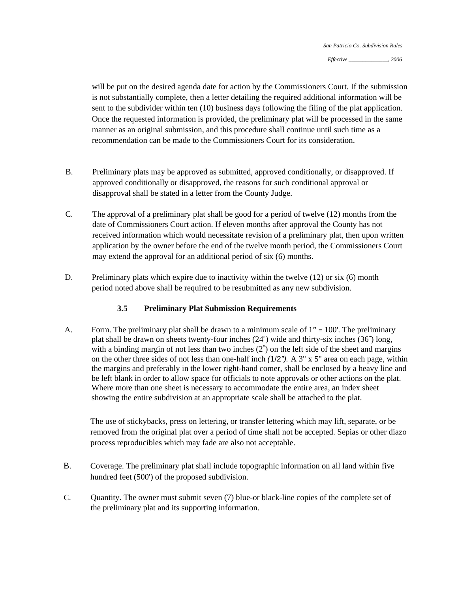will be put on the desired agenda date for action by the Commissioners Court. If the submission is not substantially complete, then a letter detailing the required additional information will be sent to the subdivider within ten (10) business days following the filing of the plat application. Once the requested information is provided, the preliminary plat will be processed in the same manner as an original submission, and this procedure shall continue until such time as a recommendation can be made to the Commissioners Court for its consideration.

- B. Preliminary plats may be approved as submitted, approved conditionally, or disapproved. If approved conditionally or disapproved, the reasons for such conditional approval or disapproval shall be stated in a letter from the County Judge.
- C. The approval of a preliminary plat shall be good for a period of twelve (12) months from the date of Commissioners Court action. If eleven months after approval the County has not received information which would necessitate revision of a preliminary plat, then upon written application by the owner before the end of the twelve month period, the Commissioners Court may extend the approval for an additional period of six (6) months.
- D. Preliminary plats which expire due to inactivity within the twelve  $(12)$  or six  $(6)$  month period noted above shall be required to be resubmitted as any new subdivision.

#### **3.5 Preliminary Plat Submission Requirements**

A. Form. The preliminary plat shall be drawn to a minimum scale of  $1" = 100'$ . The preliminary plat shall be drawn on sheets twenty-four inches (24") wide and thirty-six inches (36" ) long, with a binding margin of not less than two inches  $(2)$  on the left side of the sheet and margins on the other three sides of not less than one-half inch *(*1/2*").* A 3" x 5" area on each page, within the margins and preferably in the lower right-hand comer, shall be enclosed by a heavy line and be left blank in order to allow space for officials to note approvals or other actions on the plat. Where more than one sheet is necessary to accommodate the entire area, an index sheet showing the entire subdivision at an appropriate scale shall be attached to the plat.

The use of stickybacks, press on lettering, or transfer lettering which may lift, separate, or be removed from the original plat over a period of time shall not be accepted. Sepias or other diazo process reproducibles which may fade are also not acceptable.

- B. Coverage. The preliminary plat shall include topographic information on all land within five hundred feet (500') of the proposed subdivision.
- C. Quantity. The owner must submit seven (7) blue-or black-line copies of the complete set of the preliminary plat and its supporting information.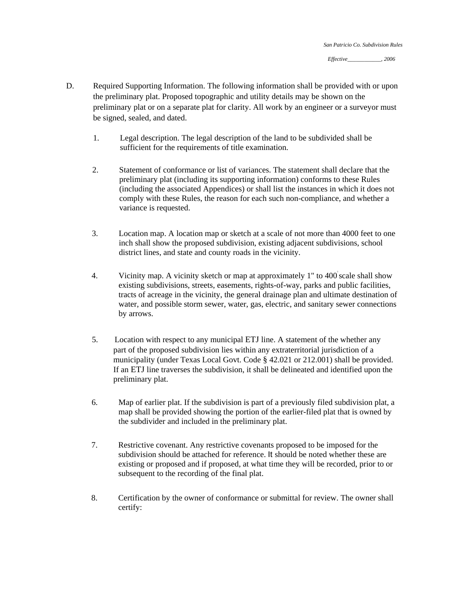- D. Required Supporting Information. The following information shall be provided with or upon the preliminary plat. Proposed topographic and utility details may be shown on the preliminary plat or on a separate plat for clarity. All work by an engineer or a surveyor must be signed, sealed, and dated.
	- 1. Legal description. The legal description of the land to be subdivided shall be sufficient for the requirements of title examination.
	- 2. Statement of conformance or list of variances. The statement shall declare that the preliminary plat (including its supporting information) conforms to these Rules (including the associated Appendices) or shall list the instances in which it does not comply with these Rules, the reason for each such non-compliance, and whether a variance is requested.
	- 3. Location map. A location map or sketch at a scale of not more than 4000 feet to one inch shall show the proposed subdivision, existing adjacent subdivisions, school district lines, and state and county roads in the vicinity.
	- 4. Vicinity map. A vicinity sketch or map at approximately 1" to 400 scale shall show existing subdivisions, streets, easements, rights-of-way, parks and public facilities, tracts of acreage in the vicinity, the general drainage plan and ultimate destination of water, and possible storm sewer, water, gas, electric, and sanitary sewer connections by arrows.
	- 5. Location with respect to any municipal ETJ line. A statement of the whether any part of the proposed subdivision lies within any extraterritorial jurisdiction of a municipality (under Texas Local Govt. Code § 42.021 or 212.001) shall be provided. If an ETJ line traverses the subdivision, it shall be delineated and identified upon the preliminary plat.
	- 6. Map of earlier plat. If the subdivision is part of a previously filed subdivision plat, a map shall be provided showing the portion of the earlier-filed plat that is owned by the subdivider and included in the preliminary plat.
	- 7. Restrictive covenant. Any restrictive covenants proposed to be imposed for the subdivision should be attached for reference. It should be noted whether these are existing or proposed and if proposed, at what time they will be recorded, prior to or subsequent to the recording of the final plat.
	- 8. Certification by the owner of conformance or submittal for review. The owner shall certify: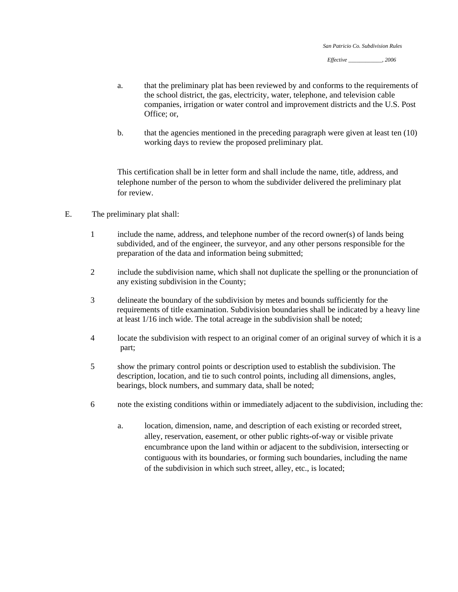- a. that the preliminary plat has been reviewed by and conforms to the requirements of the school district, the gas, electricity, water, telephone, and television cable companies, irrigation or water control and improvement districts and the U.S. Post Office; or,
- b. that the agencies mentioned in the preceding paragraph were given at least ten (10) working days to review the proposed preliminary plat.

This certification shall be in letter form and shall include the name, title, address, and telephone number of the person to whom the subdivider delivered the preliminary plat for review.

- E. The preliminary plat shall:
	- 1 include the name, address, and telephone number of the record owner(s) of lands being subdivided, and of the engineer, the surveyor, and any other persons responsible for the preparation of the data and information being submitted ;
	- any existing subdivision in the County; 2 include the subdivision name, which shall not duplicate the spelling or the pronunciation of
	- requirements of title examination. Subdivision boundaries shall be indicated by a heavy line at least 1/16 inch wide. The total acreage in the subdivision shall be noted; 3 delineate the boundary of the subdivision by metes and bounds sufficiently for the
	- part; 4 locate the subdivision with respect to an original comer of an original survey of which it is a
	- description, location, and tie to such control points, including all dimensions, angles, bearings, block numbers, and summary data, shall be noted; 5 show the primary control points or description used to establish the subdivision. The
	- 6 note the existing conditions within or immediately adjacent to the subdivision, including the:
		- a. location, dimension, name, and description of each existing or recorded street, alley, reservation, easement, or other public rights-of-way or visible private encumbrance upon the land within or adjacent to the subdivision, intersecting or contiguous with its boundaries, or forming such boundaries, including the name of the subdivision in which such street, alley, etc., is located;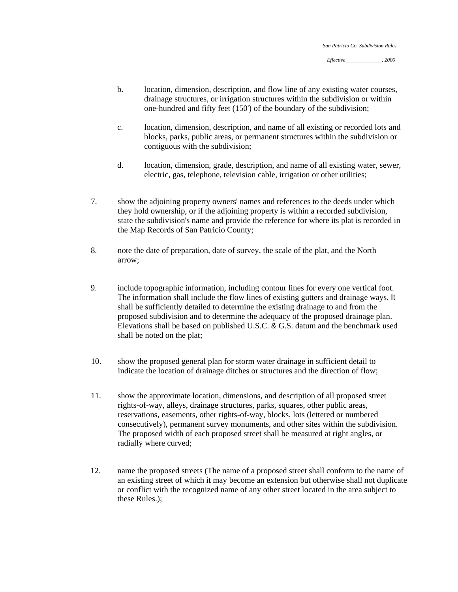- b. location, dimension, description, and flow line of any existing water courses, drainage structures, or irrigation structures within the subdivision or within one-hundred and fifty feet (150') of the boundary of the subdivision;
- c. location, dimension, description, and name of all existing or recorded lots and blocks, parks, public areas, or permanent structures within the subdivision or contiguous with the subdivision;
- d. location, dimension, grade, description, and name of all existing water, sewer, electric, gas, telephone, television cable, irrigation or other utilities;
- 7. show the adjoining property owners' names and references to the deeds under which they hold ownership, or if the adjoining property is within a recorded subdivision, state the subdivision's name and provide the reference for where its plat is recorded in the Map Records of San Patricio County;
- 8. note the date of preparation, date of survey, the scale of the plat, and the North arrow;
- 9. include topographic information, including contour lines for every one vertical foot. The information shall include the flow lines of existing gutters and drainage ways. It shall be sufficiently detailed to determine the existing drainage to and from the proposed subdivision and to determine the adequacy of the proposed drainage plan. Elevations shall be based on published U.S.C. & G.S. datum and the benchmark used shall be noted on the plat;
- 10. show the proposed general plan for storm water drainage in sufficient detail to indicate the location of drainage ditches or structures and the direction of flow;
- 11. show the approximate location, dimensions, and description of all proposed street rights-of-way, alleys, drainage structures, parks, squares, other public areas, reservations, easements, other rights-of-way, blocks, lots (lettered or numbered consecutively), permanent survey monuments, and other sites within the subdivision. The proposed width of each proposed street shall be measured at right angles, or radially where curved;
- 12. name the proposed streets (The name of a proposed street shall conform to the name of an existing street of which it may become an extension but otherwise shall not duplicate or conflict with the recognized name of any other street located in the area subject to these Rules.);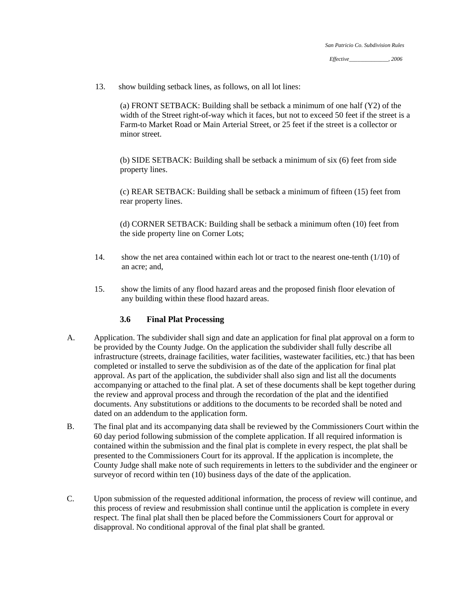13. show building setback lines, as follows, on all lot lines:

 (a) FRONT SETBACK: Building shall be setback a minimum of one half (Y2) of the width of the Street right-of-way which it faces, but not to exceed 50 feet if the street is a Farm-to Market Road or Main Arterial Street, or 25 feet if the street is a collector or minor street.

(b) SIDE SETBACK: Building shall be setback a minimum of six (6) feet from side property lines.

(c) REAR SETBACK: Building shall be setback a minimum of fifteen (15) feet from rear property lines.

(d) CORNER SETBACK: Building shall be setback a minimum often (10) feet from the side property line on Corner Lots;

- 14. show the net area contained within each lot or tract to the nearest one-tenth (1/10) of an acre; and,
- 15. show the limits of any flood hazard areas and the proposed finish floor elevation of any building within these flood hazard areas.

#### **3.6 Final Plat Processing**

- A. Application. The subdivider shall sign and date an application for final plat approval on a form to be provided by the County Judge. On the application the subdivider shall fully describe all infrastructure (streets, drainage facilities, water facilities, wastewater facilities, etc.) that has been completed or installed to serve the subdivision as of the date of the application for final plat approval. As part of the application, the subdivider shall also sign and list all the documents accompanying or attached to the final plat. A set of these documents shall be kept together during the review and approval process and through the recordation of the plat and the identified documents. Any substitutions or additions to the documents to be recorded shall be noted and dated on an addendum to the application form.
- B. The final plat and its accompanying data shall be reviewed by the Commissioners Court within the 60 day period following submission of the complete application. If all required information is contained within the submission and the final plat is complete in every respect, the plat shall be presented to the Commissioners Court for its approval. If the application is incomplete, the County Judge shall make note of such requirements in letters to the subdivider and the engineer or surveyor of record within ten (10) business days of the date of the application.
- C. Upon submission of the requested additional information, the process of review will continue, and this process of review and resubmission shall continue until the application is complete in every respect. The final plat shall then be placed before the Commissioners Court for approval or disapproval. No conditional approval of the final plat shall be granted.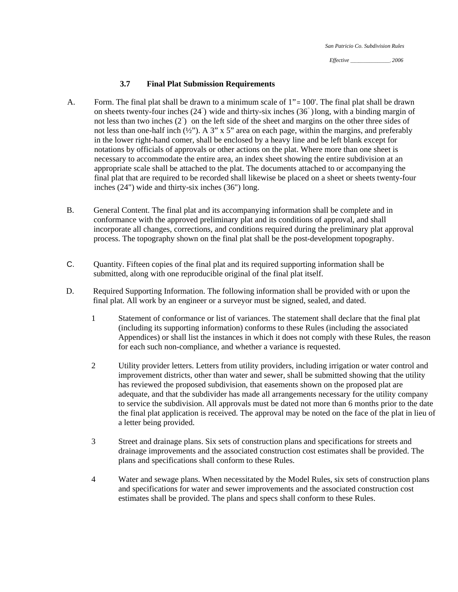*Effective* \_\_\_\_\_\_\_\_\_\_\_\_\_\_\_\_\_\_\_, *2006* 

#### **3.7 Final Plat Submission Requirements**

- A. Form. The final plat shall be drawn to a minimum scale of 1"= 100'. The final plat shall be drawn on sheets twenty-four inches  $(24^{\degree})$  wide and thirty-six inches  $(36^{\degree})$  long, with a binding margin of not less than two inches  $(2^{n})$  on the left side of the sheet and margins on the other three sides of not less than one-half inch (½"). A 3" x 5" area on each page, within the margins, and preferably in the lower right-hand comer, shall be enclosed by a heavy line and be left blank except for notations by officials of approvals or other actions on the plat. Where more than one sheet is necessary to accommodate the entire area, an index sheet showing the entire subdivision at an appropriate scale shall be attached to the plat. The documents attached to or accompanying the final plat that are required to be recorded shall likewise be placed on a sheet or sheets twenty-four inches (24") wide and thirty-six inches (36") long.
- B. General Content. The final plat and its accompanying information shall be complete and in conformance with the approved preliminary plat and its conditions of approval, and shall incorporate all changes, corrections, and conditions required during the preliminary plat approval process. The topography shown on the final plat shall be the post-development topography.
- C. Quantity. Fifteen copies of the final plat and its required supporting information shall be submitted, along with one reproducible original of the final plat itself.
- D. Required Supporting Information. The following information shall be provided with or upon the final plat. All work by an engineer or a surveyor must be signed, sealed, and dated.
	- 1 Statement of conformance or list of variances. The statement shall declare that the final plat (including its supporting information) conforms to these Rules (including the associated Appendices) or shall list the instances in which it does not comply with these Rules, the reason for each such non-compliance, and whether a variance is requested.
	- 2 Utility provider letters. Letters from utility providers, including irrigation or water control and improvement districts, other than water and sewer, shall be submitted showing that the utility has reviewed the proposed subdivision, that easements shown on the proposed plat are adequate, and that the subdivider has made all arrangements necessary for the utility company to service the subdivision. All approvals must be dated not more than 6 months prior to the date the final plat application is received. The approval may be noted on the face of the plat in lieu of a letter being provided.
	- 3 Street and drainage plans. Six sets of construction plans and specifications for streets and drainage improvements and the associated construction cost estimates shall be provided. The plans and specifications shall conform to these Rules.
	- 4 Water and sewage plans. When necessitated by the Model Rules, six sets of construction plans and specifications for water and sewer improvements and the associated construction cost estimates shall be provided. The plans and specs shall conform to these Rules.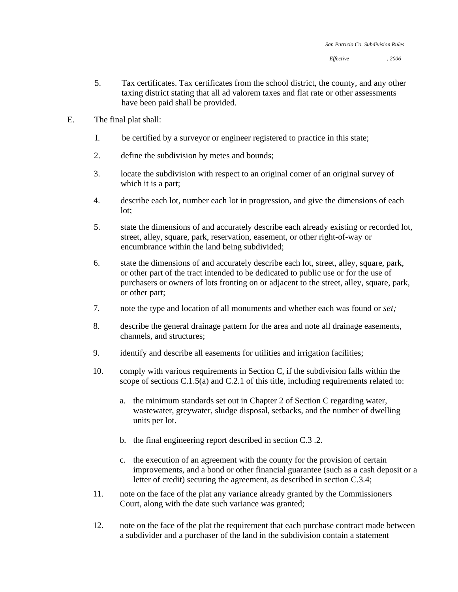- 5. Tax certificates. Tax certificates from the school district, the county, and any other taxing district stating that all ad valorem taxes and flat rate or other assessments have been paid shall be provided.
- E. The final plat shall:
	- I. be certified by a surveyor or engineer registered to practice in this state;
	- 2. define the subdivision by metes and bounds;
	- 3. locate the subdivision with respect to an original comer of an original survey of which it is a part;
	- 4. describe each lot, number each lot in progression, and give the dimensions of each lot;
	- 5. state the dimensions of and accurately describe each already existing or recorded lot, street, alley, square, park, reservation, easement, or other right-of-way or encumbrance within the land being subdivided;
	- 6. state the dimensions of and accurately describe each lot, street, alley, square, park, or other part of the tract intended to be dedicated to public use or for the use of purchasers or owners of lots fronting on or adjacent to the street, alley, square, park, or other part;
	- 7. note the type and location of all monuments and whether each was found or *set;*
	- 8. describe the general drainage pattern for the area and note all drainage easements, channels, and structures;
	- 9. identify and describe all easements for utilities and irrigation facilities;
	- 10. comply with various requirements in Section C, if the subdivision falls within the scope of sections C.1.5(a) and C.2.1 of this title, including requirements related to:
		- a. the minimum standards set out in Chapter 2 of Section C regarding water, wastewater, greywater, sludge disposal, setbacks, and the number of dwelling units per lot.
		- b. the final engineering report described in section C.3 .2.
		- c. the execution of an agreement with the county for the provision of certain improvements, and a bond or other financial guarantee (such as a cash deposit or a letter of credit) securing the agreement, as described in section C.3.4;
	- 11. note on the face of the plat any variance already granted by the Commissioners Court, along with the date such variance was granted;
	- 12. note on the face of the plat the requirement that each purchase contract made between a subdivider and a purchaser of the land in the subdivision contain a statement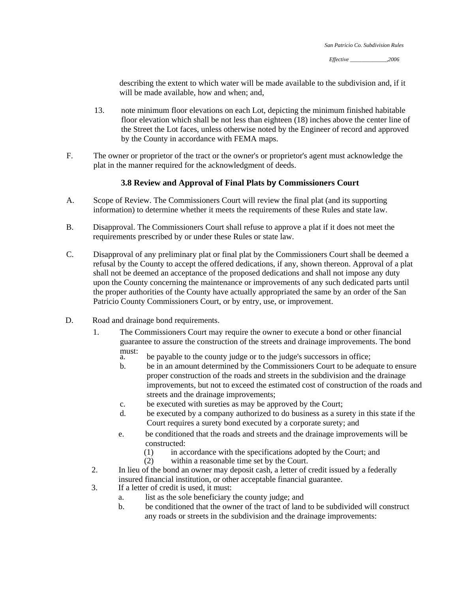describing the extent to which water will be made available to the subdivision and, if it will be made available, how and when; and,

- 13. note minimum floor elevations on each Lot, depicting the minimum finished habitable floor elevation which shall be not less than eighteen (18) inches above the center line of the Street the Lot faces, unless otherwise noted by the Engineer of record and approved by the County in accordance with FEMA maps.
- F. The owner or proprietor of the tract or the owner's or proprietor's agent must acknowledge the plat in the manner required for the acknowledgment of deeds.

## **3.8 Review and Approval of Final Plats by Commissioners Court**

- A. Scope of Review. The Commissioners Court will review the final plat (and its supporting information) to determine whether it meets the requirements of these Rules and state law.
- B. Disapproval. The Commissioners Court shall refuse to approve a plat if it does not meet the requirements prescribed by or under these Rules or state law.
- C. Disapproval of any preliminary plat or final plat by the Commissioners Court shall be deemed a refusal by the County to accept the offered dedications, if any, shown thereon. Approval of a plat shall not be deemed an acceptance of the proposed dedications and shall not impose any duty upon the County concerning the maintenance or improvements of any such dedicated parts until the proper authorities of the County have actually appropriated the same by an order of the San Patricio County Commissioners Court, or by entry, use, or improvement.
- D. Road and drainage bond requirements.
	- 1. The Commissioners Court may require the owner to execute a bond or other financial guarantee to assure the construction of the streets and drainage improvements. The bond
		- must:<br>a. be payable to the county judge or to the judge's successors in office;
		- b. be in an amount determined by the Commissioners Court to be adequate to ensure proper construction of the roads and streets in the subdivision and the drainage improvements, but not to exceed the estimated cost of construction of the roads and streets and the drainage improvements;
		- c. be executed with sureties as may be approved by the Court;
		- d. be executed by a company authorized to do business as a surety in this state if the Court requires a surety bond executed by a corporate surety; and
		- e. be conditioned that the roads and streets and the drainage improvements will be constructed:
			- (1) in accordance with the specifications adopted by the Court; and
			- (2) within a reasonable time set by the Court.
	- 2. In lieu of the bond an owner may deposit cash, a letter of credit issued by a federally insured financial institution, or other acceptable financial guarantee.
	- 3. If a letter of credit is used, it must:
		- a. list as the sole beneficiary the county judge; and
		- b. be conditioned that the owner of the tract of land to be subdivided will construct any roads or streets in the subdivision and the drainage improvements: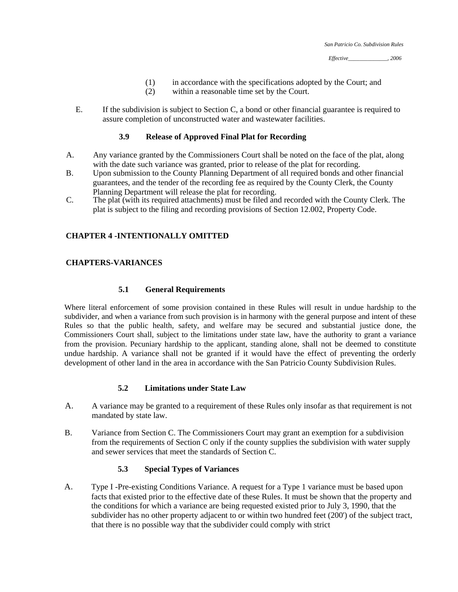- (1) in accordance with the specifications adopted by the Court; and
- (2) within a reasonable time set by the Court.
- E. If the subdivision is subject to Section C, a bond or other financial guarantee is required to assure completion of unconstructed water and wastewater facilities.

#### **3.9 Release of Approved Final Plat for Recording**

- A. Any variance granted by the Commissioners Court shall be noted on the face of the plat, along with the date such variance was granted, prior to release of the plat for recording.
- B. Upon submission to the County Planning Department of all required bonds and other financial guarantees, and the tender of the recording fee as required by the County Clerk, the County Planning Department will release the plat for recording.
- C. The plat (with its required attachments) must be filed and recorded with the County Clerk. The plat is subject to the filing and recording provisions of Section 12.002, Property Code.

#### **CHAPTER 4 -INTENTIONALLY OMITTED**

#### **CHAPTERS-VARIANCES**

#### **5.1 General Requirements**

Where literal enforcement of some provision contained in these Rules will result in undue hardship to the subdivider, and when a variance from such provision is in harmony with the general purpose and intent of these Rules so that the public health, safety, and welfare may be secured and substantial justice done, the Commissioners Court shall, subject to the limitations under state law, have the authority to grant a variance from the provision. Pecuniary hardship to the applicant, standing alone, shall not be deemed to constitute undue hardship. A variance shall not be granted if it would have the effect of preventing the orderly development of other land in the area in accordance with the San Patricio County Subdivision Rules.

#### **5.2 Limitations under State Law**

- A. A variance may be granted to a requirement of these Rules only insofar as that requirement is not mandated by state law.
- B. Variance from Section C. The Commissioners Court may grant an exemption for a subdivision from the requirements of Section C only if the county supplies the subdivision with water supply and sewer services that meet the standards of Section C.

### **5.3 Special Types of Variances**

A. Type I -Pre-existing Conditions Variance. A request for a Type 1 variance must be based upon facts that existed prior to the effective date of these Rules. It must be shown that the property and the conditions for which a variance are being requested existed prior to July 3, 1990, that the subdivider has no other property adjacent to or within two hundred feet (200') of the subject tract, that there is no possible way that the subdivider could comply with strict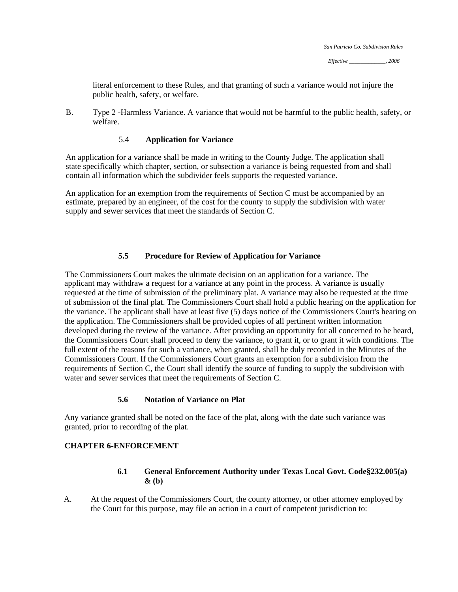literal enforcement to these Rules, and that granting of such a variance would not injure the public health, safety, or welfare.

B. Type 2 -Harmless Variance. A variance that would not be harmful to the public health, safety, or welfare.

#### 5.4 **Application for Variance**

An application for a variance shall be made in writing to the County Judge. The application shall state specifically which chapter, section, or subsection a variance is being requested from and shall contain all information which the subdivider feels supports the requested variance.

An application for an exemption from the requirements of Section C must be accompanied by an estimate, prepared by an engineer, of the cost for the county to supply the subdivision with water supply and sewer services that meet the standards of Section C.

#### **5.5 Procedure for Review of Application for Variance**

The Commissioners Court makes the ultimate decision on an application for a variance. The applicant may withdraw a request for a variance at any point in the process. A variance is usually requested at the time of submission of the preliminary plat. A variance may also be requested at the time of submission of the final plat. The Commissioners Court shall hold a public hearing on the application for the variance. The applicant shall have at least five (5) days notice of the Commissioners Court's hearing on the application. The Commissioners shall be provided copies of all pertinent written information developed during the review of the variance. After providing an opportunity for all concerned to be heard, the Commissioners Court shall proceed to deny the variance, to grant it, or to grant it with conditions. The full extent of the reasons for such a variance, when granted, shall be duly recorded in the Minutes of the Commissioners Court. If the Commissioners Court grants an exemption for a subdivision from the requirements of Section C, the Court shall identify the source of funding to supply the subdivision with water and sewer services that meet the requirements of Section C.

#### **5.6 Notation of Variance on Plat**

Any variance granted shall be noted on the face of the plat, along with the date such variance was granted, prior to recording of the plat.

## **CHAPTER 6-ENFORCEMENT**

#### **6.1 General Enforcement Authority under Texas Local Govt. Code§232.005(a) & (b)**

A. At the request of the Commissioners Court, the county attorney, or other attorney employed by the Court for this purpose, may file an action in a court of competent jurisdiction to: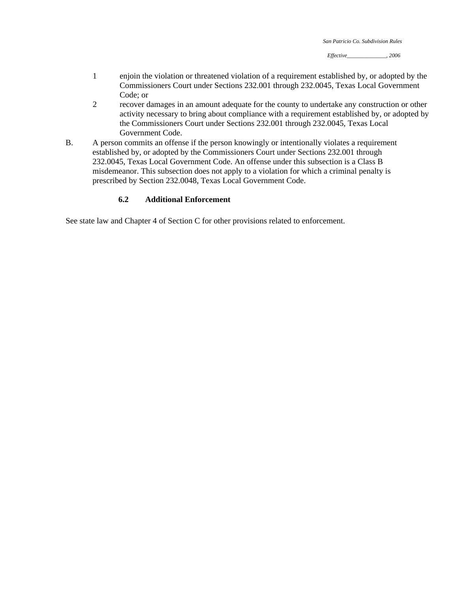- 1 enjoin the violation or threatened violation of a requirement established by, or adopted by the Commissioners Court under Sections 232.001 through 232.0045, Texas Local Government Code; or
- 2 recover damages in an amount adequate for the county to undertake any construction or other activity necessary to bring about compliance with a requirement established by, or adopted by the Commissioners Court under Sections 232.001 through 232.0045, Texas Local Government Code.
- B. A person commits an offense if the person knowingly or intentionally violates a requirement established by, or adopted by the Commissioners Court under Sections 232.001 through 232.0045, Texas Local Government Code. An offense under this subsection is a Class B misdemeanor. This subsection does not apply to a violation for which a criminal penalty is prescribed by Section 232.0048, Texas Local Government Code.

#### **6.2 Additional Enforcement**

See state law and Chapter 4 of Section C for other provisions related to enforcement.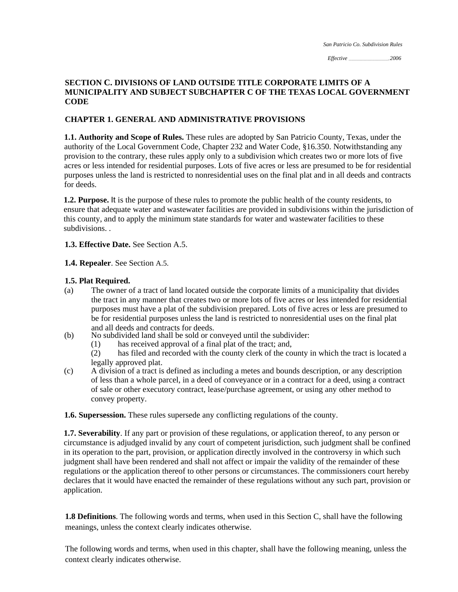*Effective \_\_\_\_\_\_\_\_\_\_\_\_\_\_\_\_\_\_\_\_\_\_\_\_\_\_\_\_\_\_,, 2006* 

## **SECTION C. DIVISIONS OF LAND OUTSIDE TITLE CORPORATE LIMITS OF A MUNICIPALITY AND SUBJECT SUBCHAPTER C OF THE TEXAS LOCAL GOVERNMENT CODE**

## **CHAPTER 1. GENERAL AND ADMINISTRATIVE PROVISIONS**

**1.1. Authority and Scope of Rules.** These rules are adopted by San Patricio County, Texas, under the authority of the Local Government Code, Chapter 232 and Water Code, §16.350. Notwithstanding any provision to the contrary, these rules apply only to a subdivision which creates two or more lots of five acres or less intended for residential purposes. Lots of five acres or less are presumed to be for residential purposes unless the land is restricted to nonresidential uses on the final plat and in all deeds and contracts for deeds.

**1.2. Purpose.** It is the purpose of these rules to promote the public health of the county residents, to ensure that adequate water and wastewater facilities are provided in subdivisions within the jurisdiction of this county, and to apply the minimum state standards for water and wastewater facilities to these subdivisions. .

**1.3. Effective Date.** See Section A.5.

**1.4. Repealer**. See Section A.5.

#### **1.5. Plat Required.**

- (a) The owner of a tract of land located outside the corporate limits of a municipality that divides the tract in any manner that creates two or more lots of five acres or less intended for residential purposes must have a plat of the subdivision prepared. Lots of five acres or less are presumed to be for residential purposes unless the land is restricted to nonresidential uses on the final plat and all deeds and contracts for deeds.
- (b) No subdivided land shall be sold or conveyed until the subdivider:
	- (1) has received approval of a final plat of the tract; and,

(2) has filed and recorded with the county clerk of the county in which the tract is located a legally approved plat.

(c) A division of a tract is defined as including a metes and bounds description, or any description of less than a whole parcel, in a deed of conveyance or in a contract for a deed, using a contract of sale or other executory contract, lease/purchase agreement, or using any other method to convey property.

**1.6. Supersession.** These rules supersede any conflicting regulations of the county.

**1.7. Severability**. If any part or provision of these regulations, or application thereof, to any person or circumstance is adjudged invalid by any court of competent jurisdiction, such judgment shall be confined in its operation to the part, provision, or application directly involved in the controversy in which such judgment shall have been rendered and shall not affect or impair the validity of the remainder of these regulations or the application thereof to other persons or circumstances. The commissioners court hereby declares that it would have enacted the remainder of these regulations without any such part, provision or application.

**1.8 Definitions**. The following words and terms, when used in this Section C, shall have the following meanings, unless the context clearly indicates otherwise.

The following words and terms, when used in this chapter, shall have the following meaning, unless the context clearly indicates otherwise.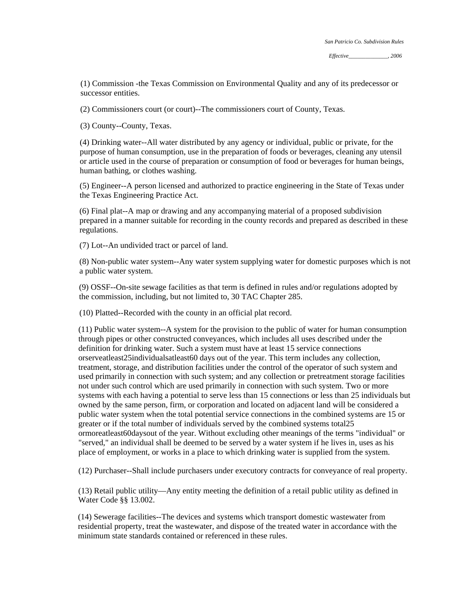(1) Commission -the Texas Commission on Environmental Quality and any of its predecessor or successor entities.

(2) Commissioners court (or court)--The commissioners court of County, Texas.

(3) County--County, Texas.

(4) Drinking water--All water distributed by any agency or individual, public or private, for the purpose of human consumption, use in the preparation of foods or beverages, cleaning any utensil or article used in the course of preparation or consumption of food or beverages for human beings, human bathing, or clothes washing.

(5) Engineer--A person licensed and authorized to practice engineering in the State of Texas under the Texas Engineering Practice Act.

(6) Final plat--A map or drawing and any accompanying material of a proposed subdivision prepared in a manner suitable for recording in the county records and prepared as described in these regulations.

(7) Lot--An undivided tract or parcel of land.

(8) Non-public water system--Any water system supplying water for domestic purposes which is not a public water system.

(9) OSSF--On-site sewage facilities as that term is defined in rules and/or regulations adopted by the commission, including, but not limited to, 30 TAC Chapter 285.

(10) Platted--Recorded with the county in an official plat record.

(11) Public water system--A system for the provision to the public of water for human consumption through pipes or other constructed conveyances, which includes all uses described under the definition for drinking water. Such a system must have at least 15 service connections orserveatleast25individualsatleast60 days out of the year. This term includes any collection, treatment, storage, and distribution facilities under the control of the operator of such system and used primarily in connection with such system; and any collection or pretreatment storage facilities not under such control which are used primarily in connection with such system. Two or more systems with each having a potential to serve less than 15 connections or less than 25 individuals but owned by the same person, firm, or corporation and located on adjacent land will be considered a public water system when the total potential service connections in the combined systems are 15 or greater or if the total number of individuals served by the combined systems total25 ormoreatleast60daysout of the year. Without excluding other meanings of the terms "individual" or "served," an individual shall be deemed to be served by a water system if he lives in, uses as his place of employment, or works in a place to which drinking water is supplied from the system.

(12) Purchaser--Shall include purchasers under executory contracts for conveyance of real property.

(13) Retail public utility—Any entity meeting the definition of a retail public utility as defined in Water Code §§ 13.002.

(14) Sewerage facilities--The devices and systems which transport domestic wastewater from residential property, treat the wastewater, and dispose of the treated water in accordance with the minimum state standards contained or referenced in these rules.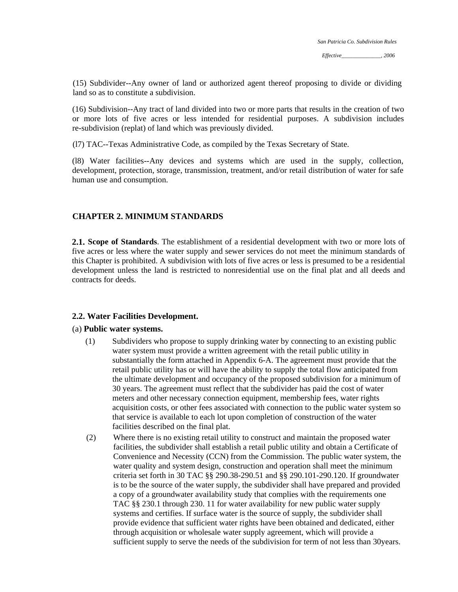(15) Subdivider--Any owner of land or authorized agent thereof proposing to divide or dividing land so as to constitute a subdivision.

(16) Subdivision--Any tract of land divided into two or more parts that results in the creation of two or more lots of five acres or less intended for residential purposes. A subdivision includes re-subdivision (replat) of land which was previously divided.

(l7) TAC--Texas Administrative Code, as compiled by the Texas Secretary of State.

(l8) Water facilities--Any devices and systems which are used in the supply, collection, development, protection, storage, transmission, treatment, and/or retail distribution of water for safe human use and consumption.

## **CHAPTER 2. MINIMUM STANDARDS**

**2.1. Scope of Standards**. The establishment of a residential development with two or more lots of five acres or less where the water supply and sewer services do not meet the minimum standards of this Chapter is prohibited. A subdivision with lots of five acres or less is presumed to be a residential development unless the land is restricted to nonresidential use on the final plat and all deeds and contracts for deeds.

#### **2.2. Water Facilities Development.**

#### (a) **Public water systems.**

- (1) Subdividers who propose to supply drinking water by connecting to an existing public water system must provide a written agreement with the retail public utility in substantially the form attached in Appendix 6-A. The agreement must provide that the retail public utility has or will have the ability to supply the total flow anticipated from the ultimate development and occupancy of the proposed subdivision for a minimum of 30 years. The agreement must reflect that the subdivider has paid the cost of water meters and other necessary connection equipment, membership fees, water rights acquisition costs, or other fees associated with connection to the public water system so that service is available to each lot upon completion of construction of the water facilities described on the final plat.
- (2) Where there is no existing retail utility to construct and maintain the proposed water facilities, the subdivider shall establish a retail public utility and obtain a Certificate of Convenience and Necessity (CCN) from the Commission. The public water system, the water quality and system design, construction and operation shall meet the minimum criteria set forth in 30 TAC §§ 290.38-290.51 and §§ 290.101-290.120. If groundwater is to be the source of the water supply, the subdivider shall have prepared and provided a copy of a groundwater availability study that complies with the requirements one TAC §§ 230.1 through 230. 11 for water availability for new public water supply systems and certifies. If surface water is the source of supply, the subdivider shall provide evidence that sufficient water rights have been obtained and dedicated, either through acquisition or wholesale water supply agreement, which will provide a sufficient supply to serve the needs of the subdivision for term of not less than 30years.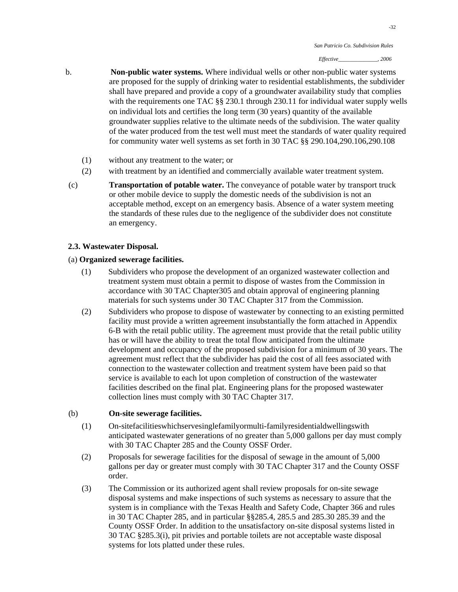- b. **Non-public water systems.** Where individual wells or other non-public water systems are proposed for the supply of drinking water to residential establishments, the subdivider shall have prepared and provide a copy of a groundwater availability study that complies with the requirements one TAC §§ 230.1 through 230.11 for individual water supply wells on individual lots and certifies the long term (30 years) quantity of the available groundwater supplies relative to the ultimate needs of the subdivision. The water quality of the water produced from the test well must meet the standards of water quality required for community water well systems as set forth in 30 TAC §§ 290.104,290.106,290.108
	- (1) without any treatment to the water; or
	- (2) with treatment by an identified and commercially available water treatment system.
- (c) **Transportation of potable water.** The conveyance of potable water by transport truck or other mobile device to supply the domestic needs of the subdivision is not an acceptable method, except on an emergency basis. Absence of a water system meeting the standards of these rules due to the negligence of the subdivider does not constitute an emergency.

#### **2.3. Wastewater Disposal.**

#### (a) **Organized sewerage facilities.**

- (1) Subdividers who propose the development of an organized wastewater collection and treatment system must obtain a permit to dispose of wastes from the Commission in accordance with 30 TAC Chapter305 and obtain approval of engineering planning materials for such systems under 30 TAC Chapter 317 from the Commission.
- (2) Subdividers who propose to dispose of wastewater by connecting to an existing permitted facility must provide a written agreement insubstantially the form attached in Appendix 6-B with the retail public utility. The agreement must provide that the retail public utility has or will have the ability to treat the total flow anticipated from the ultimate development and occupancy of the proposed subdivision for a minimum of 30 years. The agreement must reflect that the subdivider has paid the cost of all fees associated with connection to the wastewater collection and treatment system have been paid so that service is available to each lot upon completion of construction of the wastewater facilities described on the final plat. Engineering plans for the proposed wastewater collection lines must comply with 30 TAC Chapter 317.

#### (b) **On-site sewerage facilities.**

- (1) On-sitefacilitieswhichservesinglefamilyormulti-familyresidentialdwellingswith anticipated wastewater generations of no greater than 5,000 gallons per day must comply with 30 TAC Chapter 285 and the County OSSF Order.
- (2) Proposals for sewerage facilities for the disposal of sewage in the amount of 5,000 gallons per day or greater must comply with 30 TAC Chapter 317 and the County OSSF order.
- (3) The Commission or its authorized agent shall review proposals for on-site sewage disposal systems and make inspections of such systems as necessary to assure that the system is in compliance with the Texas Health and Safety Code, Chapter 366 and rules in 30 TAC Chapter 285, and in particular §§285.4, 285.5 and 285.30 285.39 and the County OSSF Order. In addition to the unsatisfactory on-site disposal systems listed in 30 TAC §285.3(i), pit privies and portable toilets are not acceptable waste disposal systems for lots platted under these rules.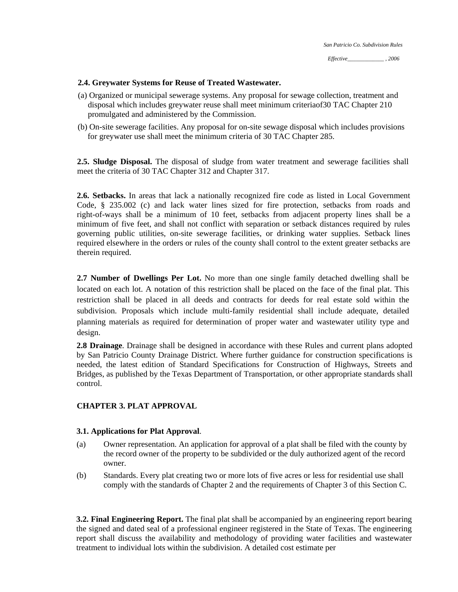### **2.4. Greywater Systems for Reuse of Treated Wastewater.**

- (a) Organized or municipal sewerage systems. Any proposal for sewage collection, treatment and disposal which includes greywater reuse shall meet minimum criteriaof30 TAC Chapter 210 promulgated and administered by the Commission.
- (b) On-site sewerage facilities. Any proposal for on-site sewage disposal which includes provisions for greywater use shall meet the minimum criteria of 30 TAC Chapter 285.

**2.5. Sludge Disposal.** The disposal of sludge from water treatment and sewerage facilities shall meet the criteria of 30 TAC Chapter 312 and Chapter 317.

**2.6. Setbacks.** In areas that lack a nationally recognized fire code as listed in Local Government Code, § 235.002 (c) and lack water lines sized for fire protection, setbacks from roads and right-of-ways shall be a minimum of 10 feet, setbacks from adjacent property lines shall be a minimum of five feet, and shall not conflict with separation or setback distances required by rules governing public utilities, on-site sewerage facilities, or drinking water supplies. Setback lines required elsewhere in the orders or rules of the county shall control to the extent greater setbacks are therein required.

**2.7 Number of Dwellings Per Lot.** No more than one single family detached dwelling shall be located on each lot. A notation of this restriction shall be placed on the face of the final plat. This restriction shall be placed in all deeds and contracts for deeds for real estate sold within the subdivision. Proposals which include multi-family residential shall include adequate, detailed planning materials as required for determination of proper water and wastewater utility type and design.

**2.8 Drainage**. Drainage shall be designed in accordance with these Rules and current plans adopted by San Patricio County Drainage District. Where further guidance for construction specifications is needed, the latest edition of Standard Specifications for Construction of Highways, Streets and Bridges, as published by the Texas Department of Transportation, or other appropriate standards shall control.

### **CHAPTER 3. PLAT APPROVAL**

### **3.1. Applications for Plat Approval**.

- (a) Owner representation. An application for approval of a plat shall be filed with the county by the record owner of the property to be subdivided or the duly authorized agent of the record owner.
- (b) Standards. Every plat creating two or more lots of five acres or less for residential use shall comply with the standards of Chapter 2 and the requirements of Chapter 3 of this Section C.

**3.2. Final Engineering Report.** The final plat shall be accompanied by an engineering report bearing the signed and dated seal of a professional engineer registered in the State of Texas. The engineering report shall discuss the availability and methodology of providing water facilities and wastewater treatment to individual lots within the subdivision. A detailed cost estimate per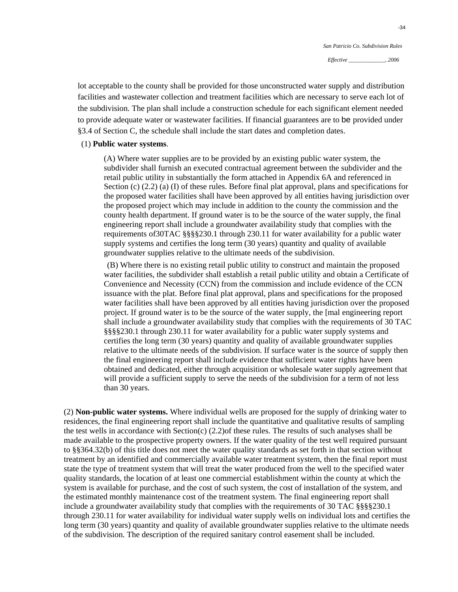lot acceptable to the county shall be provided for those unconstructed water supply and distribution facilities and wastewater collection and treatment facilities which are necessary to serve each lot of the subdivision. The plan shall include a construction schedule for each significant element needed to provide adequate water or wastewater facilities. If financial guarantees are to be provided under §3.4 of Section C, the schedule shall include the start dates and completion dates.

#### (1) **Public water systems**.

(A) Where water supplies are to be provided by an existing public water system, the subdivider shall furnish an executed contractual agreement between the subdivider and the retail public utility in substantially the form attached in Appendix 6A and referenced in Section (c)  $(2.2)$  (a) (I) of these rules. Before final plat approval, plans and specifications for the proposed water facilities shall have been approved by all entities having jurisdiction over the proposed project which may include in addition to the county the commission and the county health department. If ground water is to be the source of the water supply, the final engineering report shall include a groundwater availability study that complies with the requirements of30TAC §§§§230.1 through 230.11 for water availability for a public water supply systems and certifies the long term (30 years) quantity and quality of available groundwater supplies relative to the ultimate needs of the subdivision.

 (B) Where there is no existing retail public utility to construct and maintain the proposed water facilities, the subdivider shall establish a retail public utility and obtain a Certificate of Convenience and Necessity (CCN) from the commission and include evidence of the CCN issuance with the plat. Before final plat approval, plans and specifications for the proposed water facilities shall have been approved by all entities having jurisdiction over the proposed project. If ground water is to be the source of the water supply, the [mal engineering report shall include a groundwater availability study that complies with the requirements of 30 TAC §§§§230.1 through 230.11 for water availability for a public water supply systems and certifies the long term (30 years) quantity and quality of available groundwater supplies relative to the ultimate needs of the subdivision. If surface water is the source of supply then the final engineering report shall include evidence that sufficient water rights have been obtained and dedicated, either through acquisition or wholesale water supply agreement that will provide a sufficient supply to serve the needs of the subdivision for a term of not less than 30 years.

(2) **Non-public water systems.** Where individual wells are proposed for the supply of drinking water to residences, the final engineering report shall include the quantitative and qualitative results of sampling the test wells in accordance with Section(c) (2.2)of these rules. The results of such analyses shall be made available to the prospective property owners. If the water quality of the test well required pursuant to §§364.32(b) of this title does not meet the water quality standards as set forth in that section without treatment by an identified and commercially available water treatment system, then the final report must state the type of treatment system that will treat the water produced from the well to the specified water quality standards, the location of at least one commercial establishment within the county at which the system is available for purchase, and the cost of such system, the cost of installation of the system, and the estimated monthly maintenance cost of the treatment system. The final engineering report shall include a groundwater availability study that complies with the requirements of 30 TAC §§§§230.1 through 230.11 for water availability for individual water supply wells on individual lots and certifies the long term (30 years) quantity and quality of available groundwater supplies relative to the ultimate needs of the subdivision. The description of the required sanitary control easement shall be included.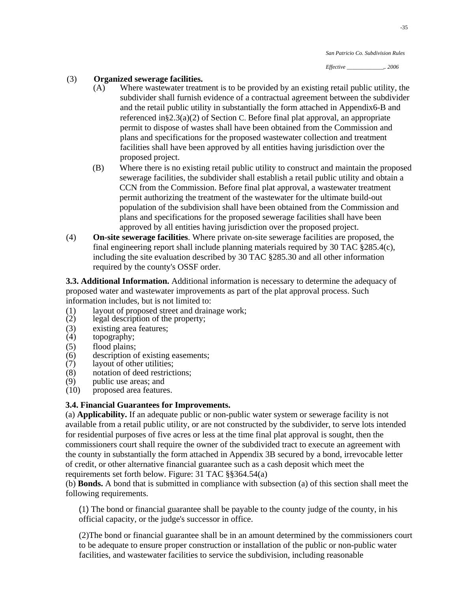## (3) **Organized sewerage facilities.**

- (A) Where wastewater treatment is to be provided by an existing retail public utility, the subdivider shall furnish evidence of a contractual agreement between the subdivider and the retail public utility in substantially the form attached in Appendix6-B and referenced in§2.3(a)(2) of Section C. Before final plat approval, an appropriate permit to dispose of wastes shall have been obtained from the Commission and plans and specifications for the proposed wastewater collection and treatment facilities shall have been approved by all entities having jurisdiction over the proposed project.
- (B) Where there is no existing retail public utility to construct and maintain the proposed sewerage facilities, the subdivider shall establish a retail public utility and obtain a CCN from the Commission. Before final plat approval, a wastewater treatment permit authorizing the treatment of the wastewater for the ultimate build-out population of the subdivision shall have been obtained from the Commission and plans and specifications for the proposed sewerage facilities shall have been approved by all entities having jurisdiction over the proposed project.
- (4) **n-site sewerage facilities**. Where private on-site sewerage facilities are proposed, the **O** final engineering report shall include planning materials required by 30 TAC §285.4(c), including the site evaluation described by 30 TAC §285.30 and all other information required by the county's OSSF order.

**3.3. Additional Information.** Additional information is necessary to determine the adequacy of proposed water and wastewater improvements as part of the plat approval process. Such information includes, but is not limited to:

- (1) layout of proposed street and drainage work;<br>(2) legal description of the property;
- legal description of the property;
- (3) existing area features;<br>(4) topography;
- topography;
- (5) flood plains;
- (6) description of existing easements;
- (7) layout of other utilities;
- (8) notation of deed restrictions;
- (9) public use areas; and
- (10) proposed area features.

### **3.4. Financial Guarantees for Improvements.**

(a) **Applicability.** If an adequate public or non-public water system or sewerage facility is not available from a retail public utility, or are not constructed by the subdivider, to serve lots intended for residential purposes of five acres or less at the time final plat approval is sought, then the commissioners court shall require the owner of the subdivided tract to execute an agreement with the county in substantially the form attached in Appendix 3B secured by a bond, irrevocable letter of credit, or other alternative financial guarantee such as a cash deposit which meet the requirements set forth below. Figure: 31 TAC §§364.54(a)

(b) **Bonds.** A bond that is submitted in compliance with subsection (a) of this section shall meet the following requirements.

(1) The bond or financial guarantee shall be payable to the county judge of the county, in his official capacity, or the judge's successor in office.

(2)The bond or financial guarantee shall be in an amount determined by the commissioners court to be adequate to ensure proper construction or installation of the public or non-public water facilities, and wastewater facilities to service the subdivision, including reasonable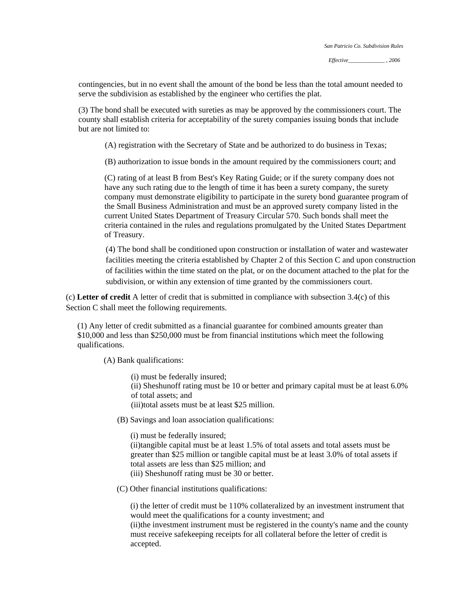contingencies, but in no event shall the amount of the bond be less than the total amount needed to serve the subdivision as established by the engineer who certifies the plat.

(3) The bond shall be executed with sureties as may be approved by the commissioners court. The county shall establish criteria for acceptability of the surety companies issuing bonds that include but are not limited to:

(A) registration with the Secretary of State and be authorized to do business in Texas;

(B) authorization to issue bonds in the amount required by the commissioners court; and

(C) rating of at least B from Best's Key Rating Guide; or if the surety company does not have any such rating due to the length of time it has been a surety company, the surety company must demonstrate eligibility to participate in the surety bond guarantee program of the Small Business Administration and must be an approved surety company listed in the current United States Department of Treasury Circular 570. Such bonds shall meet the criteria contained in the rules and regulations promulgated by the United States Department of Treasury.

(4) The bond shall be conditioned upon construction or installation of water and wastewater facilities meeting the criteria established by Chapter 2 of this Section C and upon construction of facilities within the time stated on the plat, or on the document attached to the plat for the subdivision, or within any extension of time granted by the commissioners court.

(c) **Letter of credit** A letter of credit that is submitted in compliance with subsection 3.4(c) of this Section C shall meet the following requirements.

(1) Any letter of credit submitted as a financial guarantee for combined amounts greater than \$10,000 and less than \$250,000 must be from financial institutions which meet the following qualifications.

(A) Bank qualifications:

(i) must be federally insured;

(ii) Sheshunoff rating must be 10 or better and primary capital must be at least 6.0% of total assets; and

(iii)total assets must be at least \$25 million.

(B) Savings and loan association qualifications:

(i) must be federally insured;

(ii)tangible capital must be at least 1.5% of total assets and total assets must be greater than \$25 million or tangible capital must be at least 3.0% of total assets if total assets are less than \$25 million; and (iii) Sheshunoff rating must be 30 or better.

(C) Other financial institutions qualifications:

(i) the letter of credit must be 110% collateralized by an investment instrument that would meet the qualifications for a county investment; and (ii)the investment instrument must be registered in the county's name and the county

must receive safekeeping receipts for all collateral before the letter of credit is accepted.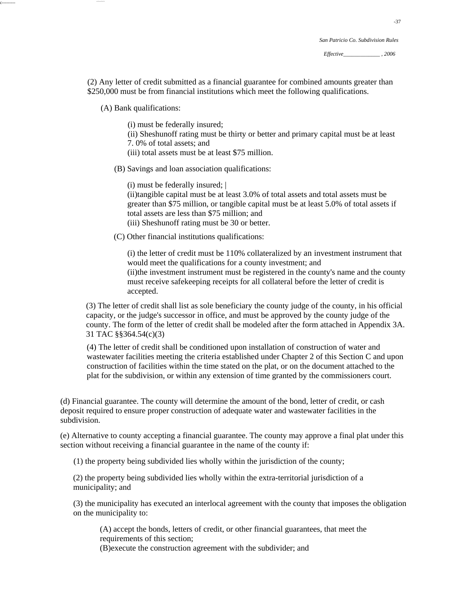(2) Any letter of credit submitted as a financial guarantee for combined amounts greater than \$250,000 must be from financial institutions which meet the following qualifications.

(A) Bank qualifications:

c--------- --~---~-~

(i) must be federally insured;

(ii) Sheshunoff rating must be thirty or better and primary capital must be at least 7. 0% of total assets; and

(iii) total assets must be at least \$75 million.

(B) Savings and loan association qualifications:

(i) must be federally insured; |

(ii)tangible capital must be at least 3.0% of total assets and total assets must be greater than \$75 million, or tangible capital must be at least 5.0% of total assets if total assets are less than \$75 million; and (iii) Sheshunoff rating must be 30 or better.

(C) Other financial institutions qualifications:

(i) the letter of credit must be 110% collateralized by an investment instrument that would meet the qualifications for a county investment; and (ii)the investment instrument must be registered in the county's name and the county must receive safekeeping receipts for all collateral before the letter of credit is accepted.

(3) The letter of credit shall list as sole beneficiary the county judge of the county, in his official capacity, or the judge's successor in office, and must be approved by the county judge of the county. The form of the letter of credit shall be modeled after the form attached in Appendix 3A. 31 TAC §§364.54(c)(3)

(4) The letter of credit shall be conditioned upon installation of construction of water and wastewater facilities meeting the criteria established under Chapter 2 of this Section C and upon construction of facilities within the time stated on the plat, or on the document attached to the plat for the subdivision, or within any extension of time granted by the commissioners court.

(d) Financial guarantee. The county will determine the amount of the bond, letter of credit, or cash deposit required to ensure proper construction of adequate water and wastewater facilities in the subdivision.

(e) Alternative to county accepting a financial guarantee. The county may approve a final plat under this section without receiving a financial guarantee in the name of the county if:

(1) the property being subdivided lies wholly within the jurisdiction of the county;

(2) the property being subdivided lies wholly within the extra-territorial jurisdiction of a municipality; and

(3) the municipality has executed an interlocal agreement with the county that imposes the obligation on the municipality to:

(A) accept the bonds, letters of credit, or other financial guarantees, that meet the requirements of this section;

(B)execute the construction agreement with the subdivider; and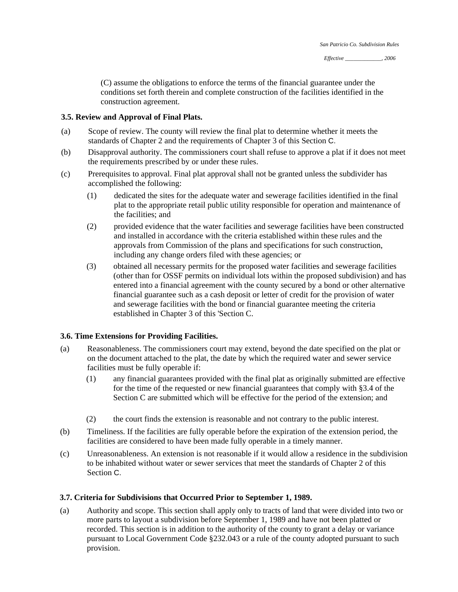(C) assume the obligations to enforce the terms of the financial guarantee under the conditions set forth therein and complete construction of the facilities identified in the construction agreement.

### **3.5. Review and Approval of Final Plats.**

- (a) Scope of review. The county will review the final plat to determine whether it meets the standards of Chapter 2 and the requirements of Chapter 3 of this Section C.
- (b) Disapproval authority. The commissioners court shall refuse to approve a plat if it does not meet the requirements prescribed by or under these rules.
- (c) Prerequisites to approval. Final plat approval shall not be granted unless the subdivider has accomplished the following:
	- (1) dedicated the sites for the adequate water and sewerage facilities identified in the final plat to the appropriate retail public utility responsible for operation and maintenance of the facilities; and
	- (2) provided evidence that the water facilities and sewerage facilities have been constructed and installed in accordance with the criteria established within these rules and the approvals from Commission of the plans and specifications for such construction, including any change orders filed with these agencies; or
	- (3) obtained all necessary permits for the proposed water facilities and sewerage facilities (other than for OSSF permits on individual lots within the proposed subdivision) and has entered into a financial agreement with the county secured by a bond or other alternative financial guarantee such as a cash deposit or letter of credit for the provision of water and sewerage facilities with the bond or financial guarantee meeting the criteria established in Chapter 3 of this 'Section C.

### **3.6. Time Extensions for Providing Facilities.**

- (a) Reasonableness. The commissioners court may extend, beyond the date specified on the plat or on the document attached to the plat, the date by which the required water and sewer service facilities must be fully operable if:
	- (1) any financial guarantees provided with the final plat as originally submitted are effective for the time of the requested or new financial guarantees that comply with §3.4 of the Section C are submitted which will be effective for the period of the extension; and
	- (2) the court finds the extension is reasonable and not contrary to the public interest.
- (b) Timeliness. If the facilities are fully operable before the expiration of the extension period, the facilities are considered to have been made fully operable in a timely manner.
- (c) Unreasonableness. An extension is not reasonable if it would allow a residence in the subdivision to be inhabited without water or sewer services that meet the standards of Chapter 2 of this Section C.

### **3.7. Criteria for Subdivisions that Occurred Prior to September 1, 1989.**

(a) Authority and scope. This section shall apply only to tracts of land that were divided into two or more parts to layout a subdivision before September 1, 1989 and have not been platted or recorded. This section is in addition to the authority of the county to grant a delay or variance pursuant to Local Government Code §232.043 or a rule of the county adopted pursuant to such provision.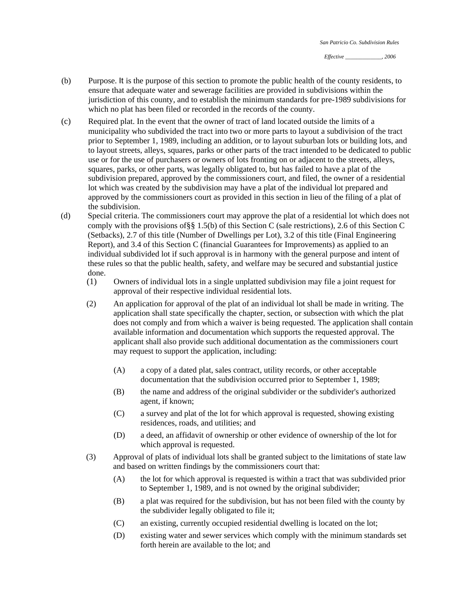- (b) Purpose. It is the purpose of this section to promote the public health of the county residents, to ensure that adequate water and sewerage facilities are provided in subdivisions within the jurisdiction of this county, and to establish the minimum standards for pre-1989 subdivisions for which no plat has been filed or recorded in the records of the county.
- (c) Required plat. In the event that the owner of tract of land located outside the limits of a municipality who subdivided the tract into two or more parts to layout a subdivision of the tract prior to September 1, 1989, including an addition, or to layout suburban lots or building lots, and to layout streets, alleys, squares, parks or other parts of the tract intended to be dedicated to public use or for the use of purchasers or owners of lots fronting on or adjacent to the streets, alleys, squares, parks, or other parts, was legally obligated to, but has failed to have a plat of the subdivision prepared, approved by the commissioners court, and filed, the owner of a residential lot which was created by the subdivision may have a plat of the individual lot prepared and approved by the commissioners court as provided in this section in lieu of the filing of a plat of the subdivision.
- (d) Special criteria. The commissioners court may approve the plat of a residential lot which does not comply with the provisions of§§ 1.5(b) of this Section C (sale restrictions), 2.6 of this Section C (Setbacks), 2.7 of this title (Number of Dwellings per Lot), 3.2 of this title (Final Engineering Report), and 3.4 of this Section C (financial Guarantees for Improvements) as applied to an individual subdivided lot if such approval is in harmony with the general purpose and intent of these rules so that the public health, safety, and welfare may be secured and substantial justice done.
	- (1) Owners of individual lots in a single unplatted subdivision may file a joint request for approval of their respective individual residential lots.
	- (2) An application for approval of the plat of an individual lot shall be made in writing. The application shall state specifically the chapter, section, or subsection with which the plat does not comply and from which a waiver is being requested. The application shall contain available information and documentation which supports the requested approval. The applicant shall also provide such additional documentation as the commissioners court may request to support the application, including:
		- (A) a copy of a dated plat, sales contract, utility records, or other acceptable documentation that the subdivision occurred prior to September 1, 1989;
		- (B) the name and address of the original subdivider or the subdivider's authorized agent, if known;
		- (C) a survey and plat of the lot for which approval is requested, showing existing residences, roads, and utilities; and
		- (D) a deed, an affidavit of ownership or other evidence of ownership of the lot for which approval is requested.
	- (3) Approval of plats of individual lots shall be granted subject to the limitations of state law and based on written findings by the commissioners court that:
		- (A) the lot for which approval is requested is within a tract that was subdivided prior to September 1, 1989, and is not owned by the original subdivider;
		- (B) a plat was required for the subdivision, but has not been filed with the county by the subdivider legally obligated to file it;
		- (C) an existing, currently occupied residential dwelling is located on the lot;
		- (D) existing water and sewer services which comply with the minimum standards set forth herein are available to the lot; and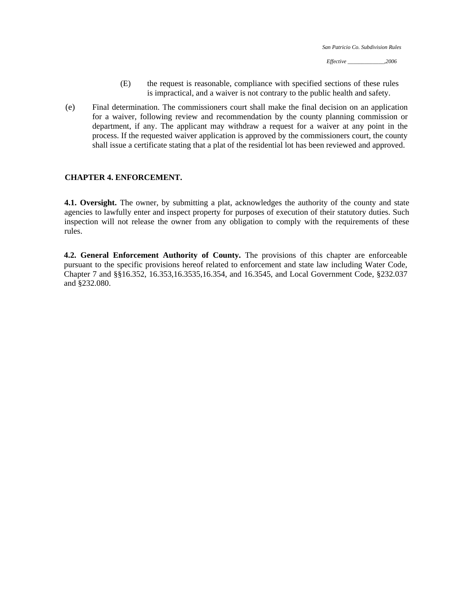- (E) the request is reasonable, compliance with specified sections of these rules is impractical, and a waiver is not contrary to the public health and safety.
- (e) Final determination. The commissioners court shall make the final decision on an application for a waiver, following review and recommendation by the county planning commission or department, if any. The applicant may withdraw a request for a waiver at any point in the process. If the requested waiver application is approved by the commissioners court, the county shall issue a certificate stating that a plat of the residential lot has been reviewed and approved.

### **CHAPTER 4. ENFORCEMENT.**

**4.1. Oversight.** The owner, by submitting a plat, acknowledges the authority of the county and state agencies to lawfully enter and inspect property for purposes of execution of their statutory duties. Such inspection will not release the owner from any obligation to comply with the requirements of these rules.

**4.2. General Enforcement Authority of County.** The provisions of this chapter are enforceable pursuant to the specific provisions hereof related to enforcement and state law including Water Code, Chapter 7 and §§16.352, 16.353,16.3535,16.354, and 16.3545, and Local Government Code, §232.037 and §232.080.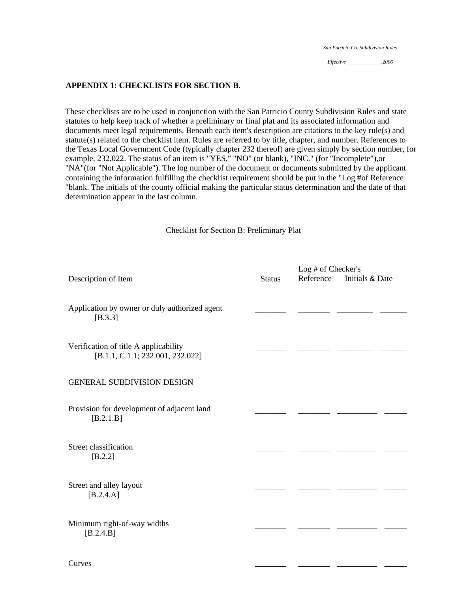*Effective \_\_\_\_\_\_\_\_\_\_\_\_\_,2006* 

#### **APPENDIX 1: CHECKLISTS FOR SECTION B.**

These checklists are to be used in conjunction with the San Patricio County Subdivision Rules and state statutes to help keep track of whether a preliminary or final plat and its associated information and documents meet legal requirements. Beneath each item's description are citations to the key rule(s) and statute(s) related to the checklist item. Rules are referred to by title, chapter, and number. References to the Texas Local Government Code (typically chapter 232 thereof) are given simply by section number, for example, 232.022. The status of an item is "YES," "NO" (or blank), "INC." (for "Incomplete"),or "NA"(for "Not Applicable"). The log number of the document or documents submitted by the applicant containing the information fulfilling the checklist requirement should be put in the "Log #of Reference "blank. The initials of the county official making the particular status determination and the date of that determination appear in the last column.

Checklist for Section B: Preliminary Plat

|                                                                           |               | Log # of Checker's |                 |  |
|---------------------------------------------------------------------------|---------------|--------------------|-----------------|--|
| Description of Item                                                       | <b>Status</b> | Reference          | Initials & Date |  |
| Application by owner or duly authorized agent<br>[B.3.3]                  |               |                    |                 |  |
| Verification of title A applicability<br>[B.1.1, C.1.1; 232.001, 232.022] |               |                    |                 |  |
| <b>GENERAL SUBDIVISION DESIGN</b>                                         |               |                    |                 |  |
| Provision for development of adjacent land<br>$[B.2.1.B]$                 |               |                    |                 |  |
| Street classification<br>$[B.2.2]$                                        |               |                    |                 |  |
| Street and alley layout<br>$[B.2.4.A]$                                    |               |                    |                 |  |
| Minimum right-of-way widths<br>$[B.2.4.B]$                                |               |                    |                 |  |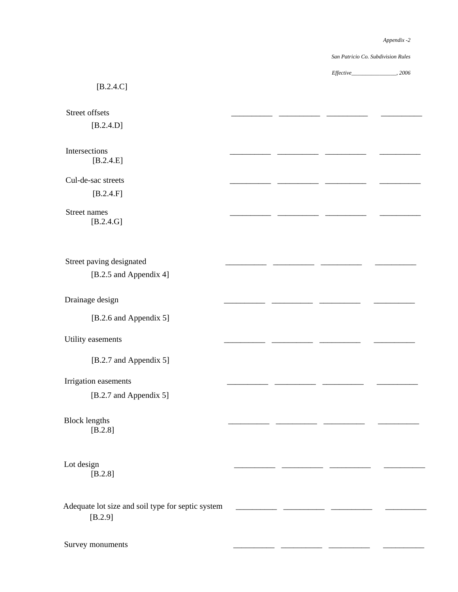$\overline{\phantom{a}}$   $\overline{\phantom{a}}$   $\overline{\phantom{a}}$   $\overline{\phantom{a}}$   $\overline{\phantom{a}}$   $\overline{\phantom{a}}$   $\overline{\phantom{a}}$   $\overline{\phantom{a}}$   $\overline{\phantom{a}}$   $\overline{\phantom{a}}$   $\overline{\phantom{a}}$   $\overline{\phantom{a}}$   $\overline{\phantom{a}}$   $\overline{\phantom{a}}$   $\overline{\phantom{a}}$   $\overline{\phantom{a}}$   $\overline{\phantom{a}}$   $\overline{\phantom{a}}$   $\overline{\$ 

 $\overline{\phantom{a}}$ 

\_\_\_\_\_\_\_\_

 $\overline{\phantom{a}}$ 

\_\_\_\_\_\_\_\_\_\_

 $\overline{\phantom{a}}$   $\overline{\phantom{a}}$   $\overline{\phantom{a}}$   $\overline{\phantom{a}}$   $\overline{\phantom{a}}$   $\overline{\phantom{a}}$   $\overline{\phantom{a}}$   $\overline{\phantom{a}}$   $\overline{\phantom{a}}$   $\overline{\phantom{a}}$   $\overline{\phantom{a}}$   $\overline{\phantom{a}}$   $\overline{\phantom{a}}$   $\overline{\phantom{a}}$   $\overline{\phantom{a}}$   $\overline{\phantom{a}}$   $\overline{\phantom{a}}$   $\overline{\phantom{a}}$   $\overline{\$ 

 $\overline{a}$ 

\_\_\_\_\_\_\_\_\_

*San Patricio Co. Subdivision Rules* 

*Effective\_\_\_\_\_\_\_\_\_\_\_\_\_\_\_\_, 2006*

### [B.2.4.C]

Street offsets

[B.2.4.D]

Intersections [B.2.4.E]

Cul-de-sac streets \_\_\_\_\_\_\_\_\_\_ \_\_\_\_\_\_\_\_\_\_ \_\_\_\_\_\_\_\_\_\_ \_\_\_\_\_\_\_\_\_\_ [B.2.4.F]

### Street names [B.2.4.G]

 $[B.2.5 \text{ and Appendix 4}]$ Street paving designated

## Drainage design

[B.2.6 and Appendix 5]

### Utility easements the contract of the contract of the contract of the contract of the contract of the contract of the contract of the contract of the contract of the contract of the contract of the contract of the contract

[B.2.7 and Appendix 5]

### Irrigation easements and the set of the set of the set of the set of the set of the set of the set of the set o

[B.2.7 and Appendix 5]

# Block lengths

[B.2.8]

# Lot design  $\qquad \qquad \qquad \qquad$

[B.2.8]

Adequate lot size and soil type for septic system \_\_\_\_\_\_\_\_\_\_\_\_\_\_ \_\_ [B.2.9]

Survey monuments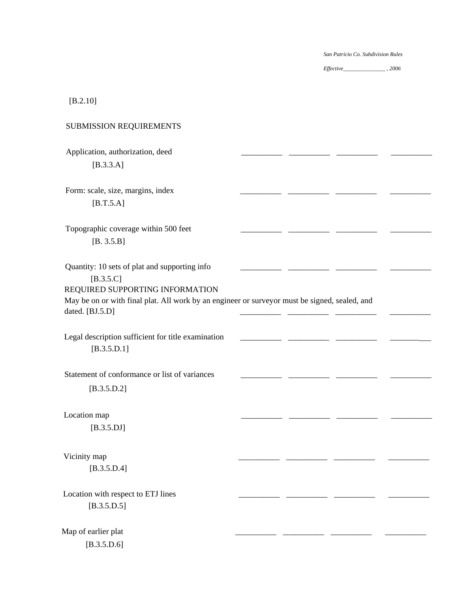*Effective\_\_\_\_\_\_\_\_\_\_\_\_\_\_\_ , 2006* 

# [B.2.10]

| SUBMISSION REQUIREMENTS                                                                                                                                                                                             |  |  |
|---------------------------------------------------------------------------------------------------------------------------------------------------------------------------------------------------------------------|--|--|
| Application, authorization, deed<br>$[B.3.3.A]$                                                                                                                                                                     |  |  |
| Form: scale, size, margins, index<br>$[B.T.5.A]$                                                                                                                                                                    |  |  |
| Topographic coverage within 500 feet<br>[B. 3.5.B]                                                                                                                                                                  |  |  |
| Quantity: 10 sets of plat and supporting info<br>$[B.3.5.C]$<br>REQUIRED SUPPORTING INFORMATION<br>May be on or with final plat. All work by an engineer or surveyor must be signed, sealed, and<br>dated. [BJ.5.D] |  |  |
| Legal description sufficient for title examination<br>[B.3.5.D.1]                                                                                                                                                   |  |  |
| Statement of conformance or list of variances<br>[B.3.5.D.2]                                                                                                                                                        |  |  |
| Location map<br>$[B.3.5.DJ]$                                                                                                                                                                                        |  |  |
| Vicinity map<br>[B.3.5.D.4]                                                                                                                                                                                         |  |  |
| Location with respect to ETJ lines<br>[B.3.5.D.5]                                                                                                                                                                   |  |  |
| Map of earlier plat                                                                                                                                                                                                 |  |  |

[B.3.5.D.6]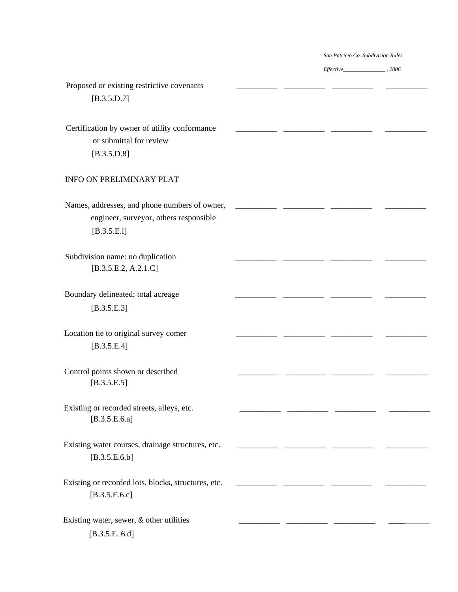*Effective\_\_\_\_\_\_\_\_\_\_\_\_\_\_\_ , 2006* 

| Proposed or existing restrictive covenants<br>[B.3.5.D.7]                                              |  |  |
|--------------------------------------------------------------------------------------------------------|--|--|
| Certification by owner of utility conformance<br>or submittal for review<br>[B.3.5.D.8]                |  |  |
| INFO ON PRELIMINARY PLAT                                                                               |  |  |
| Names, addresses, and phone numbers of owner,<br>engineer, surveyor, others responsible<br>[B.3.5.E.1] |  |  |
| Subdivision name: no duplication<br>[B.3.5.E.2, A.2.1.C]                                               |  |  |
| Boundary delineated; total acreage<br>[B.3.5.E.3]                                                      |  |  |
| Location tie to original survey comer<br>[B.3.5.E.4]                                                   |  |  |
| Control points shown or described<br>[B.3.5.E.5]                                                       |  |  |
| Existing or recorded streets, alleys, etc.<br>[B.3.5.E.6.a]                                            |  |  |
| Existing water courses, drainage structures, etc.<br>[B.3.5.E.6.b]                                     |  |  |
| Existing or recorded lots, blocks, structures, etc.<br>[B.3.5.E.6.c]                                   |  |  |
| Existing water, sewer, & other utilities<br>[B.3.5.E. 6.d]                                             |  |  |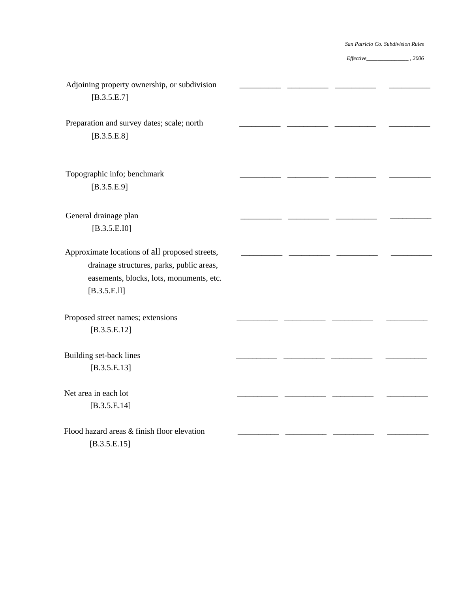| Adjoining property ownership, or subdivision<br>[B.3.5.E.7]                                                                                             |  |  |
|---------------------------------------------------------------------------------------------------------------------------------------------------------|--|--|
| Preparation and survey dates; scale; north<br>[B.3.5.E.8]                                                                                               |  |  |
| Topographic info; benchmark<br>[B.3.5.E.9]                                                                                                              |  |  |
| General drainage plan<br>[B.3.5.E.I0]                                                                                                                   |  |  |
| Approximate locations of all proposed streets,<br>drainage structures, parks, public areas,<br>easements, blocks, lots, monuments, etc.<br>[B.3.5.E.11] |  |  |
| Proposed street names; extensions<br>[B.3.5.E.12]                                                                                                       |  |  |
| Building set-back lines<br>[B.3.5.E.13]                                                                                                                 |  |  |
| Net area in each lot<br>[B.3.5.E.14]                                                                                                                    |  |  |
| Flood hazard areas & finish floor elevation<br>[B.3.5.E.15]                                                                                             |  |  |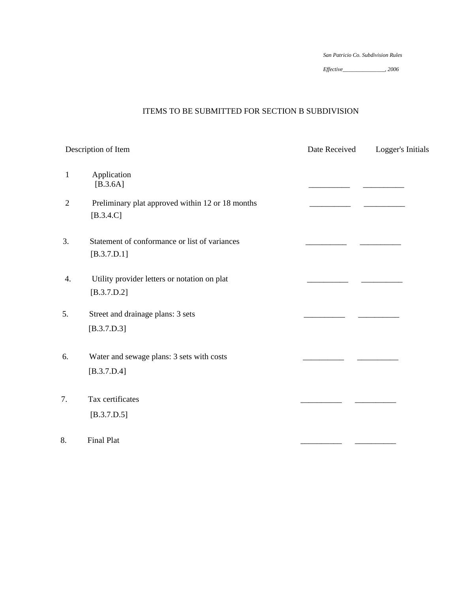*Effective\_\_\_\_\_\_\_\_\_\_\_\_\_\_\_, 2006* 

# ITEMS TO BE SUBMITTED FOR SECTION B SUBDIVISION

|                | Description of Item                                             | Date Received | Logger's Initials |
|----------------|-----------------------------------------------------------------|---------------|-------------------|
| 1              | Application<br>$[B.3.6A]$                                       |               |                   |
| $\overline{2}$ | Preliminary plat approved within 12 or 18 months<br>$[B.3.4.C]$ |               |                   |
| 3.             | Statement of conformance or list of variances<br>[B.3.7.D.1]    |               |                   |
| 4.             | Utility provider letters or notation on plat<br>[B.3.7.D.2]     |               |                   |
| 5.             | Street and drainage plans: 3 sets<br>[B.3.7.D.3]                |               |                   |
| 6.             | Water and sewage plans: 3 sets with costs<br>[B.3.7.D.4]        |               |                   |
| 7.             | Tax certificates<br>[B.3.7.D.5]                                 |               |                   |
| 8.             | Final Plat                                                      |               |                   |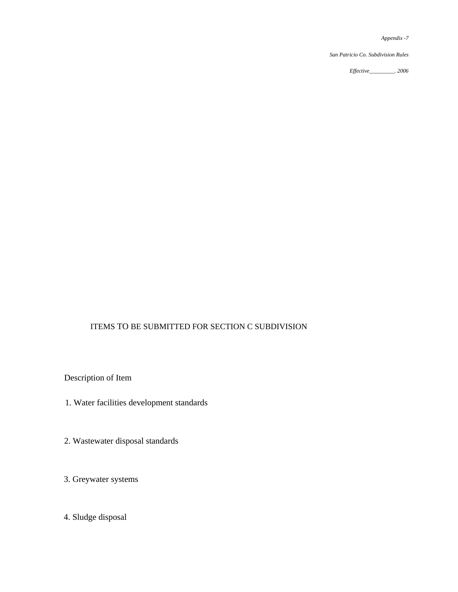*San Patricio Co. Subdivision Rules* 

*Effective\_\_\_\_\_\_\_\_\_. 2006*

# ITEMS TO BE SUBMITTED FOR SECTION C SUBDIVISION

Description of Item

- 1. Water facilities development standards
- 2. Wastewater disposal standards
- 3. Greywater systems
- 4. Sludge disposal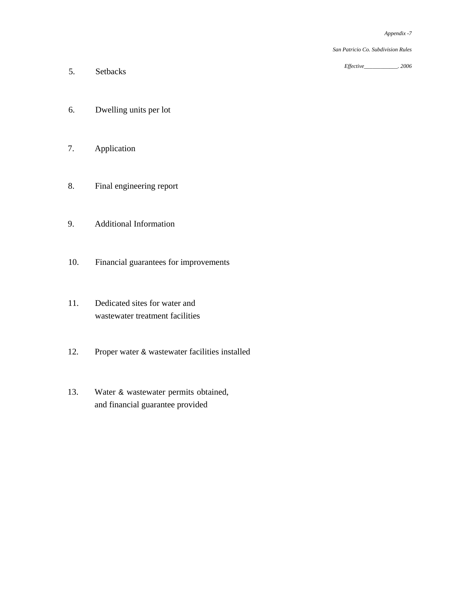*Effective\_\_\_\_\_\_\_\_\_\_\_\_. 2006*

- 5. Setbacks
- 6. Dwelling units per lot
- 7. Application
- 8. Final engineering report
- 9. Additional Information
- 10. Financial guarantees for improvements
- 11. Dedicated sites for water and wastewater treatment facilities
- 12. Proper water & wastewater facilities installed
- 13. Water & wastewater permits obtained, and financial guarantee provided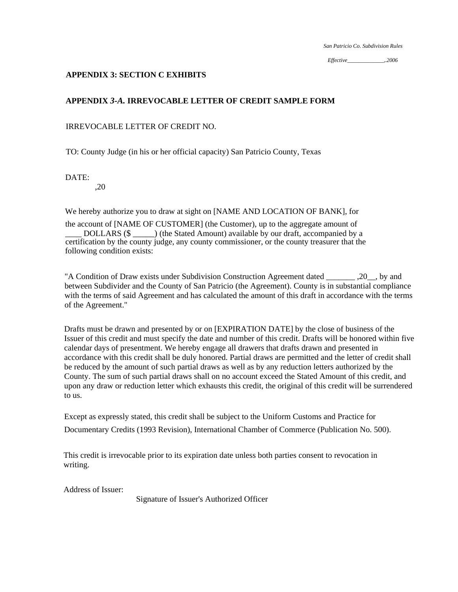*Effective\_\_\_\_\_\_\_\_\_\_\_\_\_,.2006* 

### **APPENDIX 3: SECTION C EXHIBITS**

# **APPENDIX** *3-A.* **IRREVOCABLE LETTER OF CREDIT SAMPLE FORM**

## IRREVOCABLE LETTER OF CREDIT NO.

TO: County Judge (in his or her official capacity) San Patricio County, Texas

DATE:

,20

We hereby authorize you to draw at sight on [NAME AND LOCATION OF BANK], for

the account of [NAME OF CUSTOMER] (the Customer), up to the aggregate amount of DOLLARS (\$ \_\_\_\_) (the Stated Amount) available by our draft, accompanied by a certification by the county judge, any county commissioner, or the county treasurer that the following condition exists:

"A Condition of Draw exists under Subdivision Construction Agreement dated \_\_\_\_\_\_\_ ,20\_\_, by and between Subdivider and the County of San Patricio (the Agreement). County is in substantial compliance with the terms of said Agreement and has calculated the amount of this draft in accordance with the terms of the Agreement."

Drafts must be drawn and presented by or on [EXPIRATION DATE] by the close of business of the Issuer of this credit and must specify the date and number of this credit. Drafts will be honored within five calendar days of presentment. We hereby engage all drawers that drafts drawn and presented in accordance with this credit shall be duly honored. Partial draws are permitted and the letter of credit shall be reduced by the amount of such partial draws as well as by any reduction letters authorized by the County. The sum of such partial draws shall on no account exceed the Stated Amount of this credit, and upon any draw or reduction letter which exhausts this credit, the original of this credit will be surrendered to us.

Except as expressly stated, this credit shall be subject to the Uniform Customs and Practice for Documentary Credits (1993 Revision), International Chamber of Commerce (Publication No. 500).

This credit is irrevocable prior to its expiration date unless both parties consent to revocation in writing.

Address of Issuer:

Signature of Issuer's Authorized Officer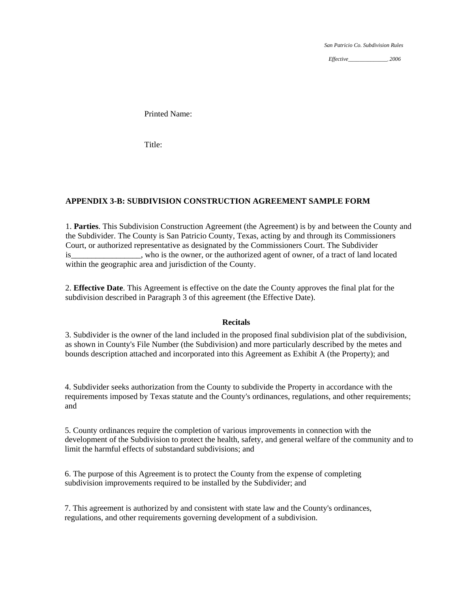*Effective\_\_\_\_\_\_\_\_\_\_\_\_\_\_*, *2006* 

Printed Name:

Title:

### **APPENDIX 3-B: SUBDIVISION CONSTRUCTION AGREEMENT SAMPLE FORM**

 1. **Parties**. This Subdivision Construction Agreement (the Agreement) is by and between the County and the Subdivider. The County is San Patricio County, Texas, acting by and through its Commissioners Court, or authorized representative as designated by the Commissioners Court. The Subdivider is\_\_\_\_\_\_\_\_\_\_\_\_\_\_\_\_\_, who is the owner, or the authorized agent of owner, of a tract of land located within the geographic area and jurisdiction of the County.

2. **Effective Date**. This Agreement is effective on the date the County approves the final plat for the subdivision described in Paragraph 3 of this agreement (the Effective Date).

#### **Recitals**

3. Subdivider is the owner of the land included in the proposed final subdivision plat of the subdivision, as shown in County's File Number (the Subdivision) and more particularly described by the metes and bounds description attached and incorporated into this Agreement as Exhibit A (the Property); and

4. Subdivider seeks authorization from the County to subdivide the Property in accordance with the requirements imposed by Texas statute and the County's ordinances, regulations, and other requirements; and

5. County ordinances require the completion of various improvements in connection with the development of the Subdivision to protect the health, safety, and general welfare of the community and to limit the harmful effects of substandard subdivisions; and

6. The purpose of this Agreement is to protect the County from the expense of completing subdivision improvements required to be installed by the Subdivider; and

7. This agreement is authorized by and consistent with state law and the County's ordinances, regulations, and other requirements governing development of a subdivision.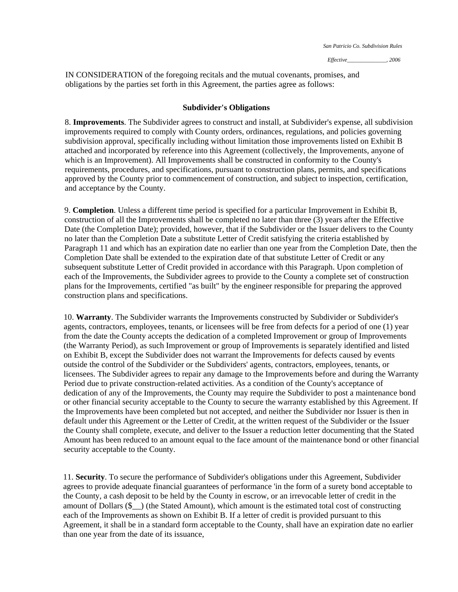IN CONSIDERATION of the foregoing recitals and the mutual covenants, promises, and obligations by the parties set forth in this Agreement, the parties agree as follows:

#### **Subdivider's Obligations**

 8. **Improvements**. The Subdivider agrees to construct and install, at Subdivider's expense, all subdivision improvements required to comply with County orders, ordinances, regulations, and policies governing subdivision approval, specifically including without limitation those improvements listed on Exhibit B attached and incorporated by reference into this Agreement (collectively, the Improvements, anyone of which is an Improvement). All Improvements shall be constructed in conformity to the County's requirements, procedures, and specifications, pursuant to construction plans, permits, and specifications approved by the County prior to commencement of construction, and subject to inspection, certification, and acceptance by the County.

9. **Completion**. Unless a different time period is specified for a particular Improvement in Exhibit B, construction of all the Improvements shall be completed no later than three (3) years after the Effective Date (the Completion Date); provided, however, that if the Subdivider or the Issuer delivers to the County no later than the Completion Date a substitute Letter of Credit satisfying the criteria established by Paragraph 11 and which has an expiration date no earlier than one year from the Completion Date, then the Completion Date shall be extended to the expiration date of that substitute Letter of Credit or any subsequent substitute Letter of Credit provided in accordance with this Paragraph. Upon completion of each of the Improvements, the Subdivider agrees to provide to the County a complete set of construction plans for the Improvements, certified "as built" by the engineer responsible for preparing the approved construction plans and specifications.

10. **Warranty**. The Subdivider warrants the Improvements constructed by Subdivider or Subdivider's agents, contractors, employees, tenants, or licensees will be free from defects for a period of one (1) year from the date the County accepts the dedication of a completed Improvement or group of Improvements (the Warranty Period), as such Improvement or group of Improvements is separately identified and listed on Exhibit B, except the Subdivider does not warrant the Improvements for defects caused by events outside the control of the Subdivider or the Subdividers' agents, contractors, employees, tenants, or licensees. The Subdivider agrees to repair any damage to the Improvements before and during the Warranty Period due to private construction-related activities. As a condition of the County's acceptance of dedication of any of the Improvements, the County may require the Subdivider to post a maintenance bond or other financial security acceptable to the County to secure the warranty established by this Agreement. If the Improvements have been completed but not accepted, and neither the Subdivider nor Issuer is then in default under this Agreement or the Letter of Credit, at the written request of the Subdivider or the Issuer the County shall complete, execute, and deliver to the Issuer a reduction letter documenting that the Stated Amount has been reduced to an amount equal to the face amount of the maintenance bond or other financial security acceptable to the County.

11. **Security**. To secure the performance of Subdivider's obligations under this Agreement, Subdivider agrees to provide adequate financial guarantees of performance 'in the form of a surety bond acceptable to the County, a cash deposit to be held by the County in escrow, or an irrevocable letter of credit in the amount of Dollars (\$\_\_) (the Stated Amount), which amount is the estimated total cost of constructing each of the Improvements as shown on Exhibit B. If a letter of credit is provided pursuant to this Agreement, it shall be in a standard form acceptable to the County, shall have an expiration date no earlier than one year from the date of its issuance,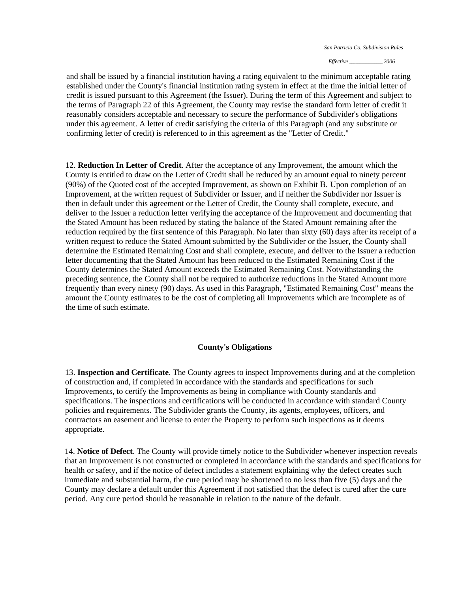*Effective* \_\_\_\_\_\_\_\_\_\_\_\_\_\_\_\_ *2006* 

and shall be issued by a financial institution having a rating equivalent to the minimum acceptable rating established under the County's financial institution rating system in effect at the time the initial letter of credit is issued pursuant to this Agreement (the Issuer). During the term of this Agreement and subject to the terms of Paragraph 22 of this Agreement, the County may revise the standard form letter of credit it reasonably considers acceptable and necessary to secure the performance of Subdivider's obligations under this agreement. A letter of credit satisfying the criteria of this Paragraph (and any substitute or confirming letter of credit) is referenced to in this agreement as the "Letter of Credit."

 12. **Reduction In Letter of Credit**. After the acceptance of any Improvement, the amount which the County is entitled to draw on the Letter of Credit shall be reduced by an amount equal to ninety percent (90%) of the Quoted cost of the accepted Improvement, as shown on Exhibit B. Upon completion of an Improvement, at the written request of Subdivider or Issuer, and if neither the Subdivider nor Issuer is then in default under this agreement or the Letter of Credit, the County shall complete, execute, and deliver to the Issuer a reduction letter verifying the acceptance of the Improvement and documenting that the Stated Amount has been reduced by stating the balance of the Stated Amount remaining after the reduction required by the first sentence of this Paragraph. No later than sixty (60) days after its receipt of a written request to reduce the Stated Amount submitted by the Subdivider or the Issuer, the County shall determine the Estimated Remaining Cost and shall complete, execute, and deliver to the Issuer a reduction letter documenting that the Stated Amount has been reduced to the Estimated Remaining Cost if the County determines the Stated Amount exceeds the Estimated Remaining Cost. Notwithstanding the preceding sentence, the County shall not be required to authorize reductions in the Stated Amount more frequently than every ninety (90) days. As used in this Paragraph, "Estimated Remaining Cost" means the amount the County estimates to be the cost of completing all Improvements which are incomplete as of the time of such estimate.

### **County's Obligations**

13. **Inspection and Certificate**. The County agrees to inspect Improvements during and at the completion of construction and, if completed in accordance with the standards and specifications for such Improvements, to certify the Improvements as being in compliance with County standards and specifications. The inspections and certifications will be conducted in accordance with standard County policies and requirements. The Subdivider grants the County, its agents, employees, officers, and contractors an easement and license to enter the Property to perform such inspections as it deems appropriate.

14. **Notice of Defect**. The County will provide timely notice to the Subdivider whenever inspection reveals that an Improvement is not constructed or completed in accordance with the standards and specifications for health or safety, and if the notice of defect includes a statement explaining why the defect creates such immediate and substantial harm, the cure period may be shortened to no less than five (5) days and the County may declare a default under this Agreement if not satisfied that the defect is cured after the cure period. Any cure period should be reasonable in relation to the nature of the default.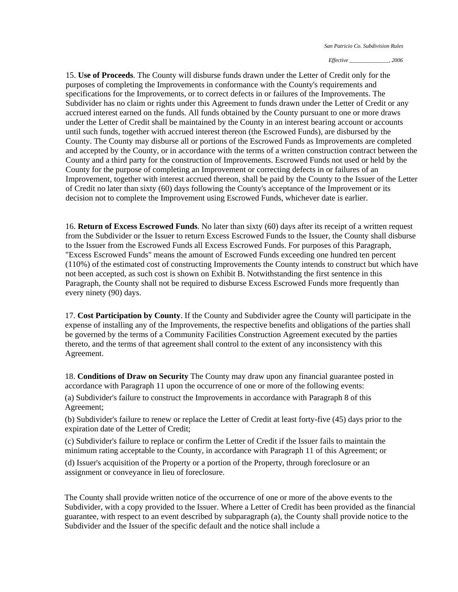*Effective \_\_\_\_\_\_\_\_\_\_\_\_\_\_, 2006* 

15. **Use of Proceeds**. The County will disburse funds drawn under the Letter of Credit only for the purposes of completing the Improvements in conformance with the County's requirements and specifications for the Improvements, or to correct defects in or failures of the Improvements. The Subdivider has no claim or rights under this Agreement to funds drawn under the Letter of Credit or any accrued interest earned on the funds. All funds obtained by the County pursuant to one or more draws under the Letter of Credit shall be maintained by the County in an interest bearing account or accounts until such funds, together with accrued interest thereon (the Escrowed Funds), are disbursed by the County. The County may disburse all or portions of the Escrowed Funds as Improvements are completed and accepted by the County, or in accordance with the terms of a written construction contract between the County and a third party for the construction of Improvements. Escrowed Funds not used or held by the County for the purpose of completing an Improvement or correcting defects in or failures of an Improvement, together with interest accrued thereon, shall be paid by the County to the Issuer of the Letter of Credit no later than sixty (60) days following the County's acceptance of the Improvement or its decision not to complete the Improvement using Escrowed Funds, whichever date is earlier.

16. **Return of Excess Escrowed Funds**. No later than sixty (60) days after its receipt of a written request from the Subdivider or the Issuer to return Excess Escrowed Funds to the Issuer, the County shall disburse to the Issuer from the Escrowed Funds all Excess Escrowed Funds. For purposes of this Paragraph, "Excess Escrowed Funds" means the amount of Escrowed Funds exceeding one hundred ten percent (110%) of the estimated cost of constructing Improvements the County intends to construct but which have not been accepted, as such cost is shown on Exhibit B. Notwithstanding the first sentence in this Paragraph, the County shall not be required to disburse Excess Escrowed Funds more frequently than every ninety (90) days.

17. **Cost Participation by County**. If the County and Subdivider agree the County will participate in the expense of installing any of the Improvements, the respective benefits and obligations of the parties shall be governed by the terms of a Community Facilities Construction Agreement executed by the parties thereto, and the terms of that agreement shall control to the extent of any inconsistency with this Agreement.

18. **Conditions of Draw on Security** The County may draw upon any financial guarantee posted in accordance with Paragraph 11 upon the occurrence of one or more of the following events:

 (a) Subdivider's failure to construct the Improvements in accordance with Paragraph 8 of this Agreement;

(b) Subdivider's failure to renew or replace the Letter of Credit at least forty-five (45) days prior to the expiration date of the Letter of Credit;

(c) Subdivider's failure to replace or confirm the Letter of Credit if the Issuer fails to maintain the minimum rating acceptable to the County, in accordance with Paragraph 11 of this Agreement; or

(d) Issuer's acquisition of the Property or a portion of the Property, through foreclosure or an assignment or conveyance in lieu of foreclosure.

The County shall provide written notice of the occurrence of one or more of the above events to the Subdivider, with a copy provided to the Issuer. Where a Letter of Credit has been provided as the financial guarantee, with respect to an event described by subparagraph (a), the County shall provide notice to the Subdivider and the Issuer of the specific default and the notice shall include a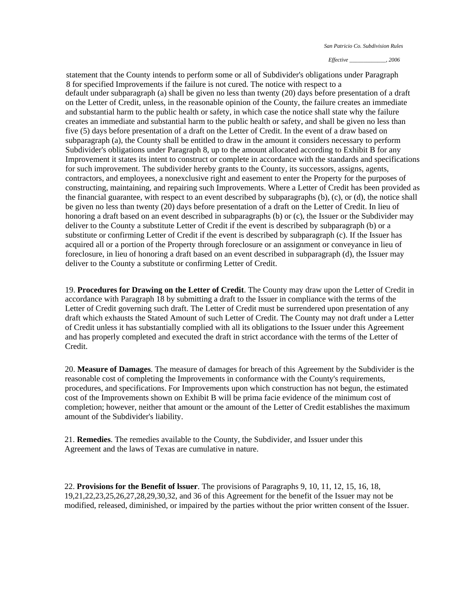*Effective \_\_\_\_\_\_\_\_\_\_\_\_\_, 2006* 

statement that the County intends to perform some or all of Subdivider's obligations under Paragraph 8 for specified Improvements if the failure is not cured. The notice with respect to a default under subparagraph (a) shall be given no less than twenty (20) days before presentation of a draft on the Letter of Credit, unless, in the reasonable opinion of the County, the failure creates an immediate and substantial harm to the public health or safety, in which case the notice shall state why the failure creates an immediate and substantial harm to the public health or safety, and shall be given no less than five (5) days before presentation of a draft on the Letter of Credit. In the event of a draw based on subparagraph (a), the County shall be entitled to draw in the amount it considers necessary to perform Subdivider's obligations under Paragraph 8, up to the amount allocated according to Exhibit B for any Improvement it states its intent to construct or complete in accordance with the standards and specifications for such improvement. The subdivider hereby grants to the County, its successors, assigns, agents, contractors, and employees, a nonexclusive right and easement to enter the Property for the purposes of constructing, maintaining, and repairing such Improvements. Where a Letter of Credit has been provided as the financial guarantee, with respect to an event described by subparagraphs (b), (c), or (d), the notice shall be given no less than twenty (20) days before presentation of a draft on the Letter of Credit. In lieu of honoring a draft based on an event described in subparagraphs (b) or (c), the Issuer or the Subdivider may deliver to the County a substitute Letter of Credit if the event is described by subparagraph (b) or a substitute or confirming Letter of Credit if the event is described by subparagraph (c). If the Issuer has acquired all or a portion of the Property through foreclosure or an assignment or conveyance in lieu of foreclosure, in lieu of honoring a draft based on an event described in subparagraph (d), the Issuer may deliver to the County a substitute or confirming Letter of Credit.

 19. **Procedures for Drawing on the Letter of Credit**. The County may draw upon the Letter of Credit in accordance with Paragraph 18 by submitting a draft to the Issuer in compliance with the terms of the Letter of Credit governing such draft. The Letter of Credit must be surrendered upon presentation of any draft which exhausts the Stated Amount of such Letter of Credit. The County may not draft under a Letter of Credit unless it has substantially complied with all its obligations to the Issuer under this Agreement and has properly completed and executed the draft in strict accordance with the terms of the Letter of Credit.

20. **Measure of Damages**. The measure of damages for breach of this Agreement by the Subdivider is the reasonable cost of completing the Improvements in conformance with the County's requirements, procedures, and specifications. For Improvements upon which construction has not begun, the estimated cost of the Improvements shown on Exhibit B will be prima facie evidence of the minimum cost of completion; however, neither that amount or the amount of the Letter of Credit establishes the maximum amount of the Subdivider's liability.

21. **Remedies**. The remedies available to the County, the Subdivider, and Issuer under this Agreement and the laws of Texas are cumulative in nature.

22. **Provisions for the Benefit of lssuer**. The provisions of Paragraphs 9, 10, 11, 12, 15, 16, 18, 19,21,22,23,25,26,27,28,29,30,32, and 36 of this Agreement for the benefit of the Issuer may not be modified, released, diminished, or impaired by the parties without the prior written consent of the Issuer.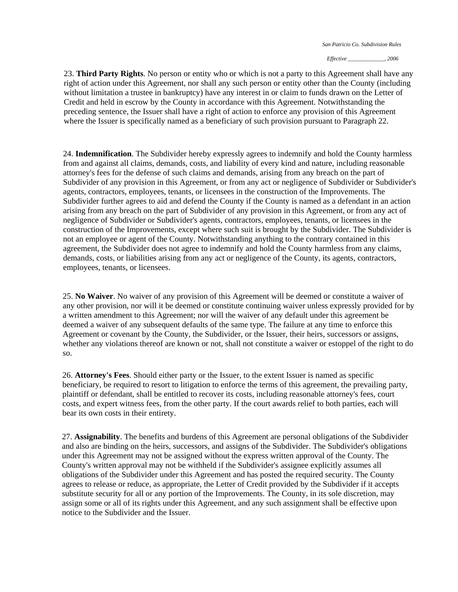*Effective \_\_\_\_\_\_\_\_\_\_\_\_\_, 2006* 

23. **Third Party Rights**. No person or entity who or which is not a party to this Agreement shall have any right of action under this Agreement, nor shall any such person or entity other than the County (including without limitation a trustee in bankruptcy) have any interest in or claim to funds drawn on the Letter of Credit and held in escrow by the County in accordance with this Agreement. Notwithstanding the preceding sentence, the Issuer shall have a right of action to enforce any provision of this Agreement where the Issuer is specifically named as a beneficiary of such provision pursuant to Paragraph 22.

24. **Indemnification**. The Subdivider hereby expressly agrees to indemnify and hold the County harmless from and against all claims, demands, costs, and liability of every kind and nature, including reasonable attorney's fees for the defense of such claims and demands, arising from any breach on the part of Subdivider of any provision in this Agreement, or from any act or negligence of Subdivider or Subdivider's agents, contractors, employees, tenants, or licensees in the construction of the Improvements. The Subdivider further agrees to aid and defend the County if the County is named as a defendant in an action arising from any breach on the part of Subdivider of any provision in this Agreement, or from any act of negligence of Subdivider or Subdivider's agents, contractors, employees, tenants, or licensees in the construction of the Improvements, except where such suit is brought by the Subdivider. The Subdivider is not an employee or agent of the County. Notwithstanding anything to the contrary contained in this agreement, the Subdivider does not agree to indemnify and hold the County harmless from any claims, demands, costs, or liabilities arising from any act or negligence of the County, its agents, contractors, employees, tenants, or licensees.

25. **No Waiver**. No waiver of any provision of this Agreement will be deemed or constitute a waiver of any other provision, nor will it be deemed or constitute continuing waiver unless expressly provided for by a written amendment to this Agreement; nor will the waiver of any default under this agreement be deemed a waiver of any subsequent defaults of the same type. The failure at any time to enforce this Agreement or covenant by the County, the Subdivider, or the Issuer, their heirs, successors or assigns, whether any violations thereof are known or not, shall not constitute a waiver or estoppel of the right to do so.

26. **Attorney's Fees**. Should either party or the Issuer, to the extent Issuer is named as specific beneficiary, be required to resort to litigation to enforce the terms of this agreement, the prevailing party, plaintiff or defendant, shall be entitled to recover its costs, including reasonable attorney's fees, court costs, and expert witness fees, from the other party. If the court awards relief to both parties, each will bear its own costs in their entirety.

27. **Assignability**. The benefits and burdens of this Agreement are personal obligations of the Subdivider and also are binding on the heirs, successors, and assigns of the Subdivider. The Subdivider's obligations under this Agreement may not be assigned without the express written approval of the County. The County's written approval may not be withheld if the Subdivider's assignee explicitly assumes all obligations of the Subdivider under this Agreement and has posted the required security. The County agrees to release or reduce, as appropriate, the Letter of Credit provided by the Subdivider if it accepts substitute security for all or any portion of the Improvements. The County, in its sole discretion, may assign some or all of its rights under this Agreement, and any such assignment shall be effective upon notice to the Subdivider and the Issuer.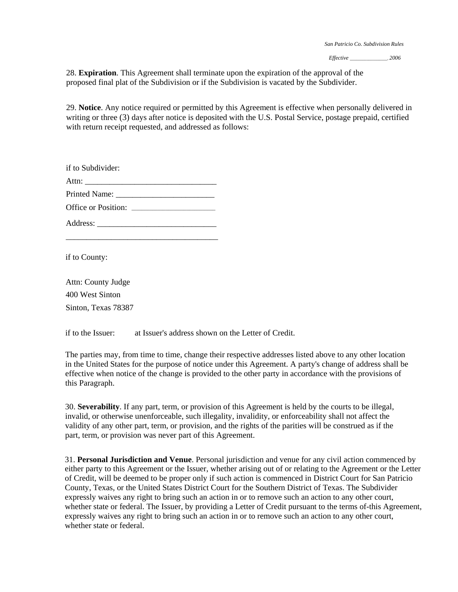28. **Expiration**. This Agreement shall terminate upon the expiration of the approval of the proposed final plat of the Subdivision or if the Subdivision is vacated by the Subdivider.

29. **Notice**. Any notice required or permitted by this Agreement is effective when personally delivered in writing or three (3) days after notice is deposited with the U.S. Postal Service, postage prepaid, certified with return receipt requested, and addressed as follows:

if to Subdivider: Attn: Printed Name: \_\_\_\_\_\_\_\_\_\_\_\_\_\_\_\_\_\_\_\_\_\_\_\_ Office or Position: \_\_\_\_\_\_\_\_\_\_\_\_\_\_\_\_\_\_\_\_\_\_\_\_\_\_\_\_\_\_\_\_ Address: \_\_\_\_\_\_\_\_\_\_\_\_\_\_\_\_\_\_\_\_\_\_\_\_\_\_\_\_\_

\_\_\_\_\_\_\_\_\_\_\_\_\_\_\_\_\_\_\_\_\_\_\_\_\_\_\_\_\_\_\_\_\_\_\_\_\_

if to County:

Attn: County Judge 400 West Sinton Sinton, Texas 78387

if to the Issuer: at Issuer's address shown on the Letter of Credit.

The parties may, from time to time, change their respective addresses listed above to any other location in the United States for the purpose of notice under this Agreement. A party's change of address shall be effective when notice of the change is provided to the other party in accordance with the provisions of this Paragraph.

 30. **Severability**. If any part, term, or provision of this Agreement is held by the courts to be illegal, invalid, or otherwise unenforceable, such illegality, invalidity, or enforceability shall not affect the validity of any other part, term, or provision, and the rights of the parities will be construed as if the part, term, or provision was never part of this Agreement.

31. **Personal Jurisdiction and Venue**. Personal jurisdiction and venue for any civil action commenced by either party to this Agreement or the Issuer, whether arising out of or relating to the Agreement or the Letter of Credit, will be deemed to be proper only if such action is commenced in District Court for San Patricio County, Texas, or the United States District Court for the Southern District of Texas. The Subdivider expressly waives any right to bring such an action in or to remove such an action to any other court, whether state or federal. The Issuer, by providing a Letter of Credit pursuant to the terms of-this Agreement, expressly waives any right to bring such an action in or to remove such an action to any other court, whether state or federal.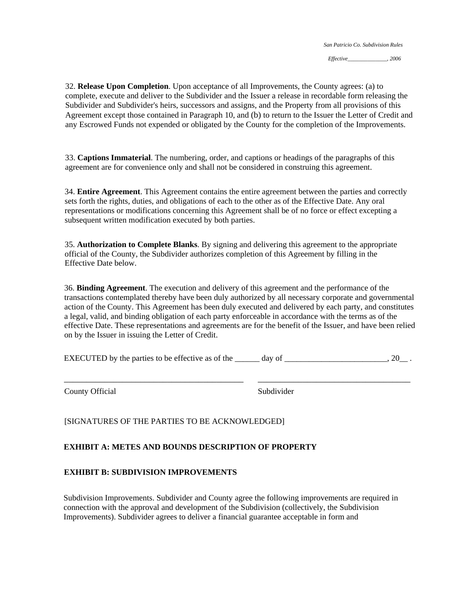32. **Release Upon Completion**. Upon acceptance of all Improvements, the County agrees: (a) to complete, execute and deliver to the Subdivider and the Issuer a release in recordable form releasing the Subdivider and Subdivider's heirs, successors and assigns, and the Property from all provisions of this Agreement except those contained in Paragraph 10, and (b) to return to the Issuer the Letter of Credit and any Escrowed Funds not expended or obligated by the County for the completion of the Improvements.

33. **Captions Immaterial**. The numbering, order, and captions or headings of the paragraphs of this agreement are for convenience only and shall not be considered in construing this agreement.

34. **Entire Agreement**. This Agreement contains the entire agreement between the parties and correctly sets forth the rights, duties, and obligations of each to the other as of the Effective Date. Any oral representations or modifications concerning this Agreement shall be of no force or effect excepting a subsequent written modification executed by both parties.

35. **Authorization to Complete Blanks**. By signing and delivering this agreement to the appropriate official of the County, the Subdivider authorizes completion of this Agreement by filling in the Effective Date below.

36. **Binding Agreement**. The execution and delivery of this agreement and the performance of the transactions contemplated thereby have been duly authorized by all necessary corporate and governmental action of the County. This Agreement has been duly executed and delivered by each party, and constitutes a legal, valid, and binding obligation of each party enforceable in accordance with the terms as of the effective Date. These representations and agreements are for the benefit of the Issuer, and have been relied on by the Issuer in issuing the Letter of Credit.

EXECUTED by the parties to be effective as of the  $\qquad \qquad$  day of  $\qquad \qquad$ , 20

\_\_\_\_\_\_\_\_\_\_\_\_\_\_\_\_\_\_\_\_\_\_\_\_\_\_\_\_\_\_\_\_\_\_\_\_\_\_\_\_ \_\_\_\_\_\_\_\_\_\_\_\_\_\_\_\_\_\_\_\_\_\_\_\_\_\_\_\_\_\_\_\_\_\_

County Official Subdivider

[SIGNATURES OF THE PARTIES TO BE ACKNOWLEDGED]

### **EXHIBIT A: METES AND BOUNDS DESCRIPTION OF PROPERTY**

# **EXHIBIT B: SUBDIVISION IMPROVEMENTS**

Subdivision Improvements. Subdivider and County agree the following improvements are required in connection with the approval and development of the Subdivision (collectively, the Subdivision Improvements). Subdivider agrees to deliver a financial guarantee acceptable in form and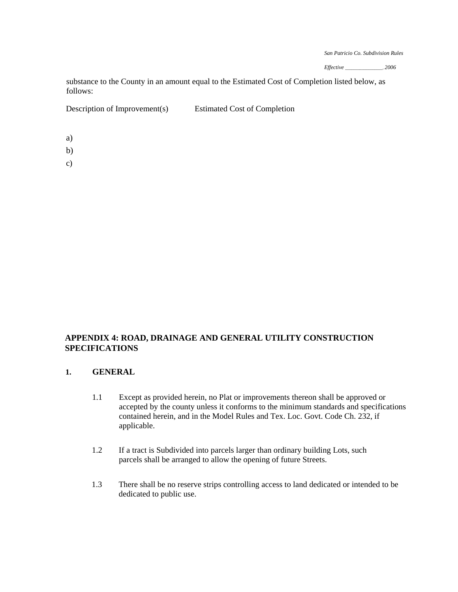*Effective* \_\_\_\_\_\_\_\_\_\_\_\_\_\_\_\_\_\_, *2006* 

substance to the County in an amount equal to the Estimated Cost of Completion listed below, as follows:

Description of Improvement(s) Estimated Cost of Completion

a)

- b)
- c)

**APPENDIX 4: ROAD, DRAINAGE AND GENERAL UTILITY CONSTRUCTION SPECIFICATIONS** 

### **1. GENERAL**

- 1.1 Except as provided herein, no Plat or improvements thereon shall be approved or accepted by the county unless it conforms to the minimum standards and specifications contained herein, and in the Model Rules and Tex. Loc. Govt. Code Ch. 232, if applicable.
- 1.2 If a tract is Subdivided into parcels larger than ordinary building Lots, such parcels shall be arranged to allow the opening of future Streets.
- 1.3 There shall be no reserve strips controlling access to land dedicated or intended to be dedicated to public use.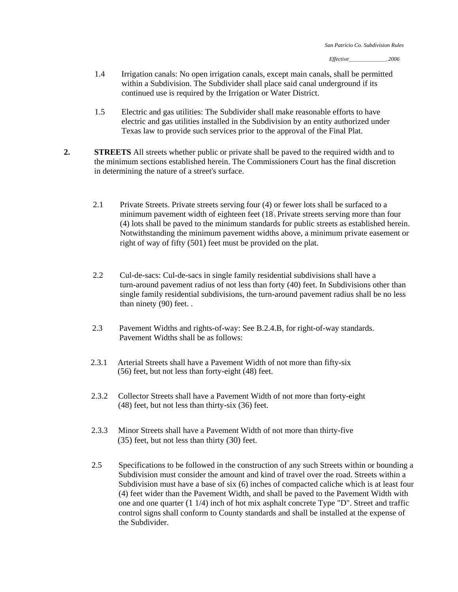- 1.4 Irrigation canals: No open irrigation canals, except main canals, shall be permitted within a Subdivision. The Subdivider shall place said canal underground if its continued use is required by the Irrigation or Water District.
- 1.5 Electric and gas utilities: The Subdivider shall make reasonable efforts to have electric and gas utilities installed in the Subdivision by an entity authorized under Texas law to provide such services prior to the approval of the Final Plat.
- **2. STREETS** All streets whether public or private shall be paved to the required width and to the minimum sections established herein. The Commissioners Court has the final discretion in determining the nature of a street's surface.
	- 2.1 Private Streets. Private streets serving four (4) or fewer lots shall be surfaced to a minimum pavement width of eighteen feet  $(18)$ . Private streets serving more than four (4) lots shall be paved to the minimum standards for public streets as established herein. Notwithstanding the minimum pavement widths above, a minimum private easement or right of way of fifty (501) feet must be provided on the plat.
	- turn-around pavement radius of not less than forty (40) feet. In Subdivisions other than 2.2 Cul-de-sacs: Cul-de-sacs in single family residential subdivisions shall have a single family residential subdivisions, the turn-around pavement radius shall be no less than ninety (90) feet. .
	- 2.3 Pavement Widths and rights-of-way: See B.2.4.B, for right-of-way standards. Pavement Widths shall be as follows:
	- 2.3.1 Arterial Streets shall have a Pavement Width of not more than fifty-six (56) feet, but not less than forty-eight (48) feet.
	- 2.3.2 Collector Streets shall have a Pavement Width of not more than forty-eight (48) feet, but not less than thirty-six (36) feet.
	- 2.3.3 Minor Streets shall have a Pavement Width of not more than thirty-five (35) feet, but not less than thirty (30) feet.
	- 2.5 Specifications to be followed in the construction of any such Streets within or bounding a Subdivision must consider the amount and kind of travel over the road. Streets within a Subdivision must have a base of six (6) inches of compacted caliche which is at least four (4) feet wider than the Pavement Width, and shall be paved to the Pavement Width with one and one quarter (1 1/4) inch of hot mix asphalt concrete Type "D". Street and traffic control signs shall conform to County standards and shall be installed at the expense of the Subdivider.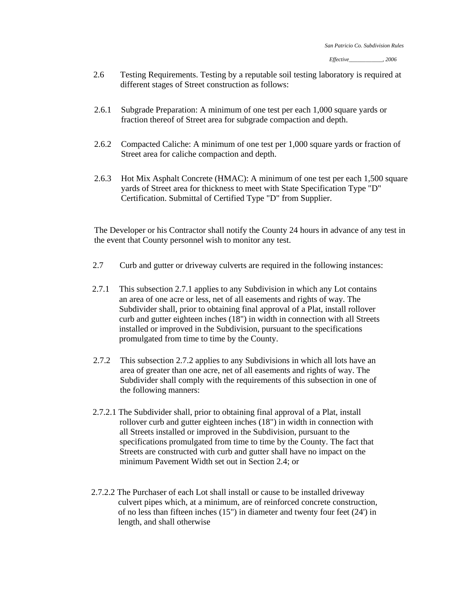- 2.6 Testing Requirements. Testing by a reputable soil testing laboratory is required at different stages of Street construction as follows:
- 2.6.1 Subgrade Preparation: A minimum of one test per each 1,000 square yards or fraction thereof of Street area for subgrade compaction and depth.
- 2.6.2 Compacted Caliche: A minimum of one test per 1,000 square yards or fraction of Street area for caliche compaction and depth.
- 2.6.3 Hot Mix Asphalt Concrete (HMAC): A minimum of one test per each 1,500 square yards of Street area for thickness to meet with State Specification Type "D" Certification. Submittal of Certified Type "D" from Supplier.

The Developer or his Contractor shall notify the County 24 hours in advance of any test in the event that County personnel wish to monitor any test.

- 2.7 Curb and gutter or driveway culverts are required in the following instances:
- 2.7.1 This subsection 2.7.1 applies to any Subdivision in which any Lot contains an area of one acre or less, net of all easements and rights of way. The Subdivider shall, prior to obtaining final approval of a Plat, install rollover curb and gutter eighteen inches (18") in width in connection with all Streets installed or improved in the Subdivision, pursuant to the specifications promulgated from time to time by the County.
- 2.7.2 This subsection 2.7.2 applies to any Subdivisions in which all lots have an area of greater than one acre, net of all easements and rights of way. The Subdivider shall comply with the requirements of this subsection in one of the following manners:
- 2.7.2.1 The Subdivider shall, prior to obtaining final approval of a Plat, install rollover curb and gutter eighteen inches (18") in width in connection with all Streets installed or improved in the Subdivision, pursuant to the specifications promulgated from time to time by the County. The fact that Streets are constructed with curb and gutter shall have no impact on the minimum Pavement Width set out in Section 2.4; or
- 2.7.2.2 The Purchaser of each Lot shall install or cause to be installed driveway culvert pipes which, at a minimum, are of reinforced concrete construction, of no less than fifteen inches (15") in diameter and twenty four feet (24') in length, and shall otherwise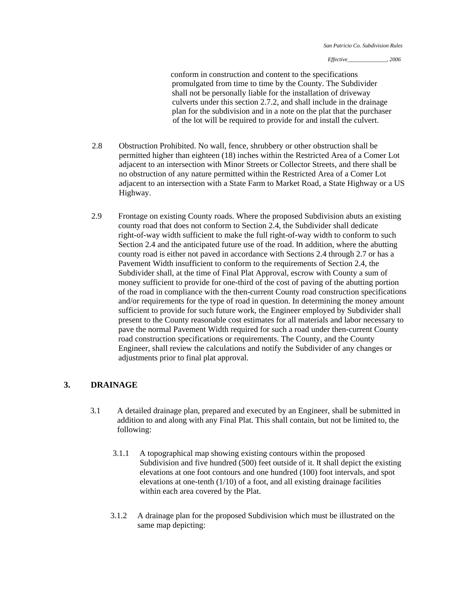conform in construction and content to the specifications promulgated from time to time by the County. The Subdivider shall not be personally liable for the installation of driveway culverts under this section 2.7.2, and shall include in the drainage plan for the subdivision and in a note on the plat that the purchaser of the lot will be required to provide for and install the culvert.

- 2.8 Obstruction Prohibited. No wall, fence, shrubbery or other obstruction shall be permitted higher than eighteen (18) inches within the Restricted Area of a Comer Lot adjacent to an intersection with Minor Streets or Collector Streets, and there shall be no obstruction of any nature permitted within the Restricted Area of a Comer Lot adjacent to an intersection with a State Farm to Market Road, a State Highway or a US Highway.
- 2.9 Frontage on existing County roads. Where the proposed Subdivision abuts an existing county road that does not conform to Section 2.4, the Subdivider shall dedicate right-of-way width sufficient to make the full right-of-way width to conform to such Section 2.4 and the anticipated future use of the road. In addition, where the abutting county road is either not paved in accordance with Sections 2.4 through 2.7 or has a Pavement Width insufficient to conform to the requirements of Section 2.4, the Subdivider shall, at the time of Final Plat Approval, escrow with County a sum of money sufficient to provide for one-third of the cost of paving of the abutting portion of the road in compliance with the then-current County road construction specific ations and/or requirements for the type of road in question. In determining the money am ount sufficient to provide for such future work, the Engineer employed by Subdivider shall present to the County reasonable cost estimates for all materials and labor necessary to pave the normal Pavement Width required for such a road under then-current County road construction specifications or requirements. The County, and the County Engineer, shall review the calculations and notify the Subdivider of any changes or adjustments prior to final plat approval.

### **3. DRAINAGE**

- 3.1 A detailed drainage plan, prepared and executed by an Engineer, shall be submitted in addition to and along with any Final Plat. This shall contain, but not be limited to, the following:
	- 3.1.1 A topographical map showing existing contours within the proposed Subdivision and five hundred (500) feet outside of it. It shall depict the existing elevations at one foot contours and one hundred (100) foot intervals, and spot elevations at one-tenth (1/10) of a foot, and all existing drainage facilities within each area covered by the Plat.
	- 3.1.2 A drainage plan for the proposed Subdivision which must be illustrated on the same map depicting: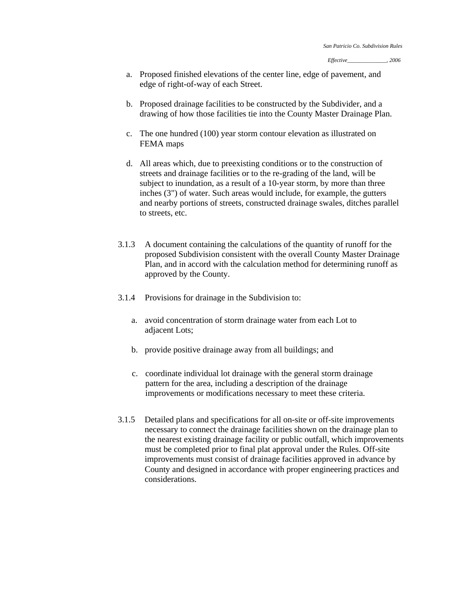- a. Proposed finished elevations of the center line, edge of pavement, and edge of right-of-way of each Street.
- b. Proposed drainage facilities to be constructed by the Subdivider, and a drawing of how those facilities tie into the County Master Drainage Plan.
- c. The one hundred (100) year storm contour elevation as illustrated on FEMA maps
- d. All areas which, due to preexisting conditions or to the construction of streets and drainage facilities or to the re-grading of the land, will be subject to inundation, as a result of a 10-year storm, by more than three inches (3") of water. Such areas would include, for example, the gutters and nearby portions of streets, constructed drainage swales, ditches parallel to streets, etc.
- 3.1.3 A document containing the calculations of the quantity of runoff for the proposed Subdivision consistent with the overall County Master Drainage Plan, and in accord with the calculation method for determining runoff as approved by the County.
- 3.1.4 Provisions for drainage in the Subdivision to:
	- a. avoid concentration of storm drainage water from each Lot to adjacent Lots;
	- b. provide positive drainage away from all buildings; and
	- c. coordinate individual lot drainage with the general storm drainage pattern for the area, including a description of the drainage improvements or modifications necessary to meet these criteria.
- 3.1.5 Detailed plans and specifications for all on-site or off-site improvements necessary to connect the drainage facilities shown on the drainage plan to the nearest existing drainage facility or public outfall, which improvements must be completed prior to final plat approval under the Rules. Off-site improvements must consist of drainage facilities approved in advance by County and designed in accordance with proper engineering practices and considerations.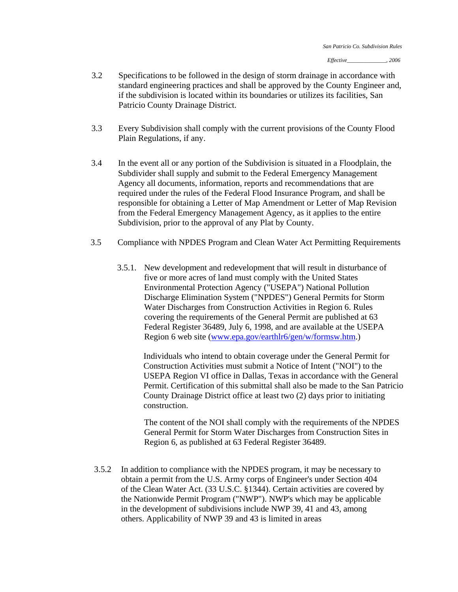- 3.2 Specifications to be followed in the design of storm drainage in accordance with standard engineering practices and shall be approved by the County Engineer and, if the subdivision is located within its boundaries or utilizes its facilities, San Patricio County Drainage District.
- 3.3 Every Subdivision shall comply with the current provisions of the County Flood Plain Regulations, if any.
- 3.4 In the event all or any portion of the Subdivision is situated in a Floodplain, the Subdivider shall supply and submit to the Federal Emergency Management Agency all documents, information, reports and recommendations that are required under the rules of the Federal Flood Insurance Program, and shall be responsible for obtaining a Letter of Map Amendment or Letter of Map Revision from the Federal Emergency Management Agency, as it applies to the entire Subdivision, prior to the approval of any Plat by County.
- 3.5 Compliance with NPDES Program and Clean Water Act Permitting Requirements
	- 3.5.1. New development and redevelopment that will result in disturbance of five or more acres of land must comply with the United States Environmental Protection Agency ("USEPA") National Pollution Discharge Elimination System ("NPDES") General Permits for Storm Water Discharges from Construction Activities in Region 6. Rules covering the requirements of the General Permit are published at 63 Federal Register 36489, July 6, 1998, and are available at the USEPA Region 6 web site (www.epa.gov/earthlr6/gen/w/formsw.htm.)

Individuals who intend to obtain coverage under the General Permit for Construction Activities must submit a Notice of Intent ("NOI") to the USEPA Region VI office in Dallas, Texas in accordance with the General Permit. Certification of this submittal shall also be made to the San Patricio County Drainage District office at least two (2) days prior to initiating construction.

The content of the NOI shall comply with the requirements of the NPDES General Permit for Storm Water Discharges from Construction Sites in Region 6, as published at 63 Federal Register 36489.

3.5.2 In addition to compliance with the NPDES program, it may be necessary to obtain a permit from the U.S. Army corps of Engineer's under Section 404 of the Clean Water Act. (33 U.S.C. §1344). Certain activities are covered by the Nationwide Permit Program ("NWP"). NWP's which may be applicable in the development of subdivisions include NWP 39, 41 and 43, among others. Applicability of NWP 39 and 43 is limited in areas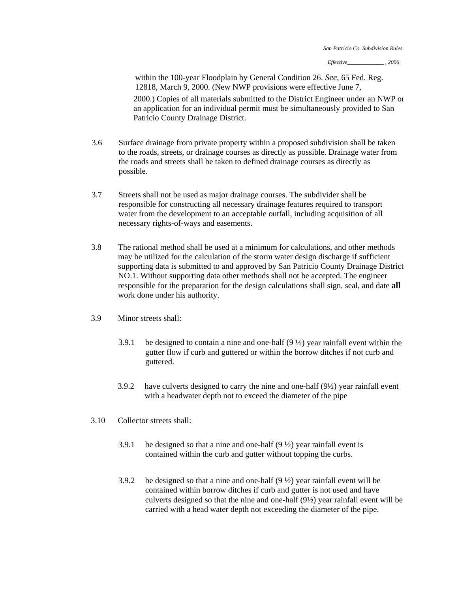within the 100-year Floodplain by General Condition 26. *See,* 65 Fed. Reg. 12818, March 9, 2000. (New NWP provisions were effective June 7, 2000.) Copies of all materials submitted to the District Engineer under an NWP or an application for an individual permit must be simultaneously provided to San Patricio County Drainage District.

- 3.6 Surface drainage from private property within a proposed subdivision shall be taken to the roads, streets, or drainage courses as directly as possible. Drainage water from the roads and streets shall be taken to defined drainage courses as directly as possible.
- 3.7 Streets shall not be used as major drainage courses. The subdivider shall be responsible for constructing all necessary drainage features required to transport water from the development to an acceptable outfall, including acquisition of all necessary rights-of-ways and easements.
- 3.8 The rational method shall be used at a minimum for calculations, and other methods may be utilized for the calculation of the storm water design discharge if sufficient supporting data is submitted to and approved by San Patricio County Drainage District NO.1. Without supporting data other methods shall not be accepted. The engineer responsible for the preparation for the design calculations shall sign, seal, and date **all**  work done under his authority.
- 3.9 Minor streets shall:
	- 3.9.1 be designed to contain a nine and one-half  $(9 \frac{1}{2})$  year rainfall event within the gutter flow if curb and guttered or within the borrow ditches if not curb and guttered.
	- 3.9.2 have culverts designed to carry the nine and one-half (9½) year rainfall event with a headwater depth not to exceed the diameter of the pipe
- 3.10 Collector streets shall:
	- 3.9.1 be designed so that a nine and one-half  $(9 \frac{1}{2})$  year rainfall event is contained within the curb and gutter without topping the curbs.
	- 3.9.2 be designed so that a nine and one-half  $(9 \frac{1}{2})$  year rainfall event will be contained within borrow ditches if curb and gutter is not used and have culverts designed so that the nine and one-half (9½) year rainfall event will be carried with a head water depth not exceeding the diameter of the pipe.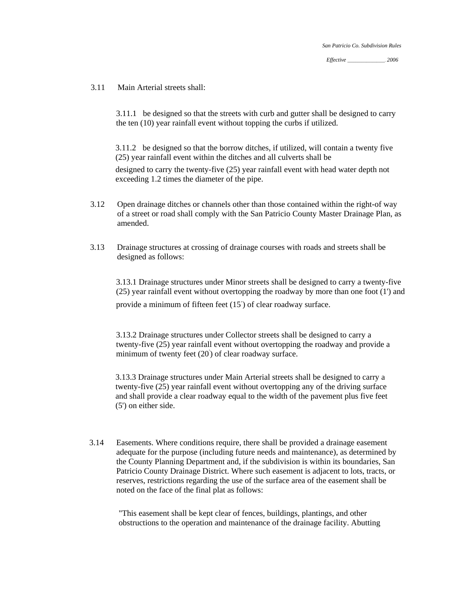*Effective* \_\_\_\_\_\_\_\_\_\_\_\_\_\_\_\_\_\_. *2006* 

3.11 Main Arterial streets shall:

3.11.1 be designed so that the streets with curb and gutter shall be designed to carry the ten (10) year rainfall event without topping the curbs if utilized.

3.11.2 be designed so that the borrow ditches, if utilized, will contain a twenty five (25) year rainfall event within the ditches and all culverts shall be

designed to carry the twenty-five (25) year rainfall event with head water depth not exceeding 1.2 times the diameter of the pipe.

- 3.12 Open drainage ditches or channels other than those contained within the right-of way of a street or road shall comply with the San Patricio County Master Drainage Plan, as amended.
- 3.13 Drainage structures at crossing of drainage courses with roads and streets shall be designed as follows:

3.13.1 Drainage structures under Minor streets shall be designed to carry a twenty-five (25) year rainfall event without overtopping the roadway by more than one foot (1') and provide a minimum of fifteen feet (15' ) of clear roadway surface.

3.13.2 Drainage structures under Collector streets shall be designed to carry a twenty-five (25) year rainfall event without overtopping the roadway and provide a minimum of twenty feet  $(20)$  of clear roadway surface.

3.13.3 Drainage structures under Main Arterial streets shall be designed to carry a twenty-five (25) year rainfall event without overtopping any of the driving surface and shall provide a clear roadway equal to the width of the pavement plus five feet (5') on either side.

3.14 Easements. Where conditions require, there shall be provided a drainage easement adequate for the purpose (including future needs and maintenance), as determined by the County Planning Department and, if the subdivision is within its boundaries, San Patricio County Drainage District. Where such easement is adjacent to lots, tracts, or reserves, restrictions regarding the use of the surface area of the easement shall be noted on the face of the final plat as follows:

"This easement shall be kept clear of fences, buildings, plantings, and other obstructions to the operation and maintenance of the drainage facility. Abutting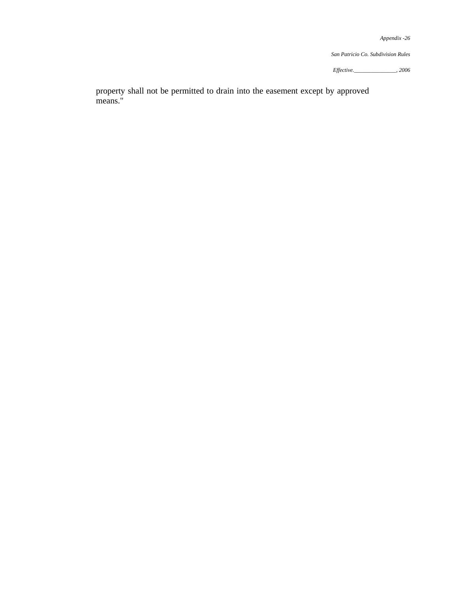*San Patricio Co. Subdivision Rules* 

*Effective.\_\_\_\_\_\_\_\_\_\_\_\_\_\_\_, 2006*

property shall not be permitted to drain into the easement except by approved means."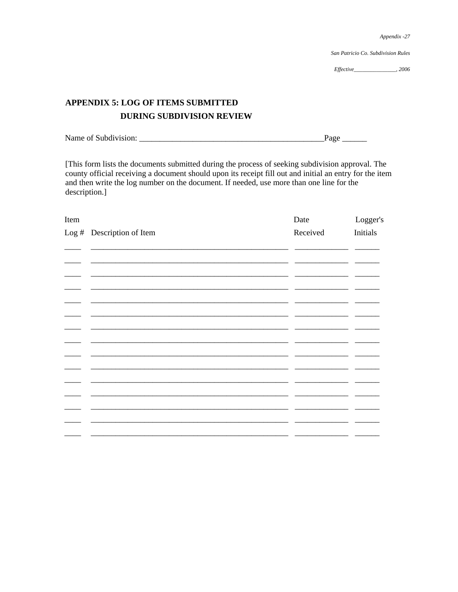San Patricio Co. Subdivision Rules

# **APPENDIX 5: LOG OF ITEMS SUBMITTED DURING SUBDIVISION REVIEW**

 $_{\text{Page}}$ 

[This form lists the documents submitted during the process of seeking subdivision approval. The county official receiving a document should upon its receipt fill out and initial an entry for the item and then write the log number on the document. If needed, use more than one line for the description.]

| Item |                           | Date     | Logger's        |
|------|---------------------------|----------|-----------------|
|      | Log # Description of Item | Received | <b>Initials</b> |
|      |                           |          |                 |
|      |                           |          |                 |
|      |                           |          |                 |
|      |                           |          |                 |
|      |                           |          |                 |
|      |                           |          |                 |
|      |                           |          |                 |
|      |                           |          |                 |
|      |                           |          |                 |
|      |                           |          |                 |
|      |                           |          |                 |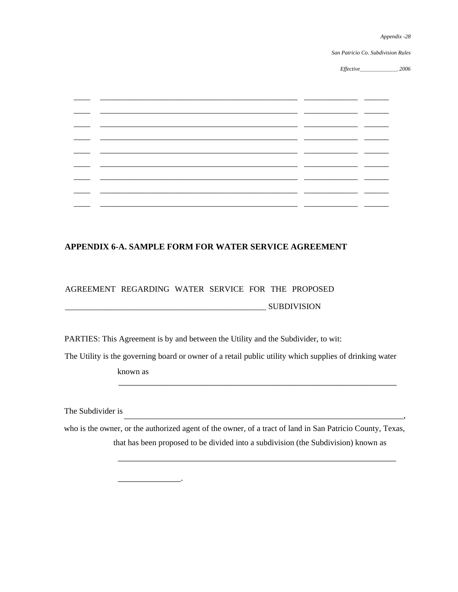*San Patricio Co. Subdivision Rules* 

*Effective*\_\_\_\_\_\_\_\_\_\_\_\_\_\_\_\_\_\_, *2006*

 $\overline{\phantom{a}}$ 

|  |  |  | - -  |
|--|--|--|------|
|  |  |  |      |
|  |  |  | ____ |
|  |  |  |      |
|  |  |  |      |
|  |  |  | __   |
|  |  |  |      |
|  |  |  |      |

# **APPENDIX 6-A. SAMPLE FORM FOR WATER SERVICE AGREEMENT**

## AGREEMENT REGARDING WATER SERVICE FOR THE PROPOSED

\_\_\_\_\_\_\_\_\_\_\_\_\_\_\_\_\_\_\_\_\_\_\_\_\_\_\_\_\_\_\_\_\_\_\_\_\_\_\_\_\_\_\_\_\_\_\_\_\_ SUBDIVISION

 $\overline{\phantom{a}}$ .

PARTIES: This Agreement is by and between the Utility and the Subdivider, to wit:

The Utility is the governing board or owner of a retail public utility which supplies of drinking water

\_\_\_\_\_\_\_\_\_\_\_\_\_\_\_\_\_\_\_\_\_\_\_\_\_\_\_\_\_\_\_\_\_\_\_\_\_\_\_\_\_\_\_\_\_\_\_\_\_\_\_\_\_\_\_\_\_\_\_\_\_\_

known as

The Subdivider is \_\_\_\_\_\_\_\_\_\_\_\_\_\_\_\_\_\_\_\_\_\_\_\_\_\_\_\_\_\_\_\_\_\_\_\_\_\_\_\_\_\_\_\_\_\_\_\_\_\_\_\_\_\_\_\_\_\_\_\_\_\_\_\_\_,

 $\frac{1}{\sqrt{2}}$ 

that has been proposed to be divided into a subdivision (the Subdivision) known as who is the owner, or the authorized agent of the owner, of a tract of land in San Patricio County, Texas,

\_\_\_\_\_\_\_\_\_\_\_\_\_\_\_\_\_\_\_\_\_\_\_\_\_\_\_\_\_\_\_\_\_\_\_\_\_\_\_\_\_\_\_\_\_\_\_\_\_\_\_\_\_\_\_\_\_\_\_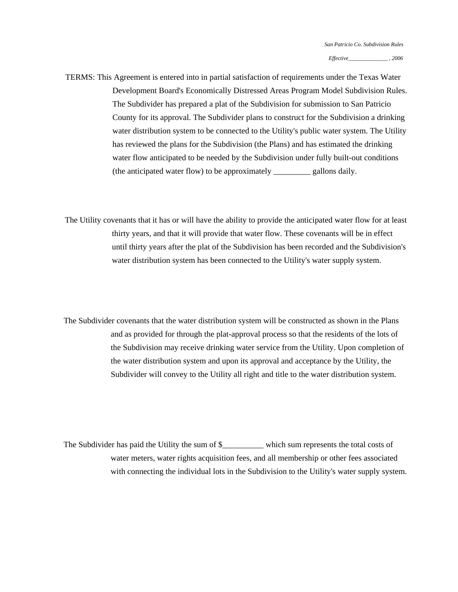TERMS: This Agreement is entered into in partial satisfaction of requirements under the Texas Water Development Board's Economically Distressed Areas Program Model Subdivision Rules. The Subdivider has prepared a plat of the Subdivision for submission to San Patricio County for its approval. The Subdivider plans to construct for the Subdivision a drinking water distribution system to be connected to the Utility's public water system. The Utility has reviewed the plans for the Subdivision (the Plans) and has estimated the drinking water flow anticipated to be needed by the Subdivision under fully built-out conditions (the anticipated water flow) to be approximately \_\_\_\_\_\_\_\_\_ gallons daily.

The Utility covenants that it has or will have the ability to provide the anticipated water flow for at least thirty years, and that it will provide that water flow. These covenants will be in effect until thirty years after the plat of the Subdivision has been recorded and the Subdivision's water distribution system has been connected to the Utility's water supply system.

The Subdivider covenants that the water distribution system will be constructed as shown in the Plans and as provided for through the plat-approval process so that the residents of the lots of the Subdivision may receive drinking water service from the Utility. Upon completion of the water distribution system and upon its approval and acceptance by the Utility, the Subdivider will convey to the Utility all right and title to the water distribution system.

The Subdivider has paid the Utility the sum of \$\_\_\_\_\_\_\_\_\_ which sum represents the total costs of water meters, water rights acquisition fees, and all membership or other fees associated with connecting the individual lots in the Subdivision to the Utility's water supply system.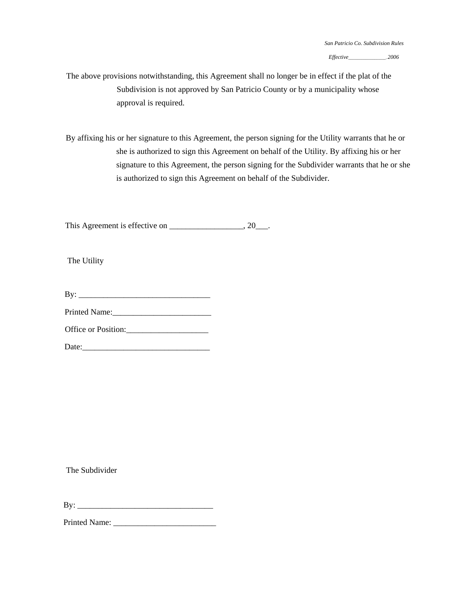*Effective*\_\_\_\_\_\_\_\_\_\_\_\_\_\_\_\_\_\_\_\_, *2006* 

The above provisions notwithstanding, this Agreement shall no longer be in effect if the plat of the Subdivision is not approved by San Patricio County or by a municipality whose approval is required.

By affixing his or her signature to this Agreement, the person signing for the Utility warrants that he or she is authorized to sign this Agreement on behalf of the Utility. By affixing his or her signature to this Agreement, the person signing for the Subdivider warrants that he or she is authorized to sign this Agreement on behalf of the Subdivider.

This Agreement is effective on \_\_\_\_\_\_\_\_\_\_\_\_\_\_\_\_\_, 20\_\_\_.

The Utility

| Bv: |  |  |  |  |  |  |
|-----|--|--|--|--|--|--|
|     |  |  |  |  |  |  |

Printed Name:\_\_\_\_\_\_\_\_\_\_\_\_\_\_\_\_\_\_\_\_\_\_\_\_

Office or Position:

| Date: |  |  |
|-------|--|--|
|       |  |  |

The Subdivider

By: \_\_\_\_\_\_\_\_\_\_\_\_\_\_\_\_\_\_\_\_\_\_\_\_\_\_\_\_\_\_\_\_\_

Printed Name: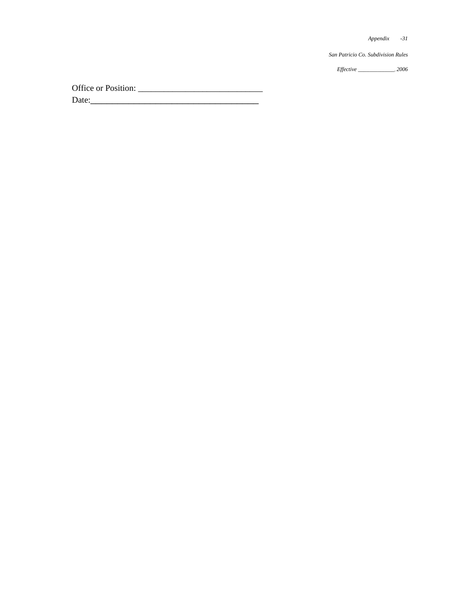*Appendix -31*

*San Patricio Co. Subdivision Rules* 

*Effective \_\_\_\_\_\_\_\_\_*\_\_\_\_, *2006* 

Office or Position: \_\_\_\_\_\_\_\_\_\_\_\_\_\_\_\_\_\_\_\_\_\_\_\_\_\_\_\_\_ Date:\_\_\_\_\_\_\_\_\_\_\_\_\_\_\_\_\_\_\_\_\_\_\_\_\_\_\_\_\_\_\_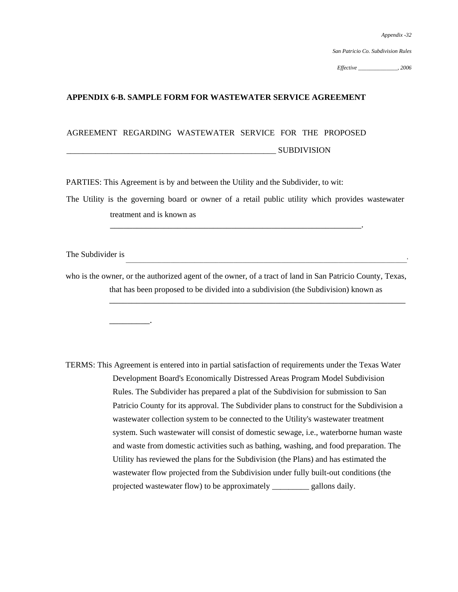*San Patricio Co. Subdivision Rules* 

*Effective \_\_\_\_\_\_\_\_\_\_\_\_\_\_, 2006*

## **APPENDIX 6-B. SAMPLE FORM FOR WASTEWATER SERVICE AGREEMENT**

## AGREEMENT REGARDING WASTEWATER SERVICE FOR THE PROPOSED

\_\_\_\_\_\_\_\_\_\_\_\_\_\_\_\_\_\_\_\_\_\_\_\_\_\_\_\_\_\_\_\_\_\_\_\_\_\_\_\_\_\_\_\_\_\_\_\_\_\_\_ SUBDIVISION

PARTIES: This Agreement is by and between the Utility and the Subdivider, to wit:

The Utility is the governing board or owner of a retail public utility which provides wastewater treatment and is known as

\_\_\_\_\_\_\_\_\_\_\_\_\_\_\_\_\_\_\_\_\_\_\_\_\_\_\_\_\_\_\_\_\_\_\_\_\_\_\_\_\_\_\_\_\_\_\_\_\_\_\_\_\_\_\_\_.

The Subdivider is

\_\_\_\_\_\_\_\_\_.

who is the owner, or the authorized agent of the owner, of a tract of land in San Patricio County, Texas, that has been proposed to be divided into a subdivision (the Subdivision) known as

\_\_\_\_\_\_\_\_\_\_\_\_\_\_\_\_\_\_\_\_\_\_\_\_\_\_\_\_\_\_\_\_\_\_\_\_\_\_\_\_\_\_\_\_\_\_\_\_\_\_\_\_\_\_\_\_\_\_\_\_\_\_\_\_\_\_\_\_\_\_\_\_\_\_\_\_\_\_\_\_\_\_\_\_\_\_\_\_\_\_\_\_\_\_'

\_\_\_\_\_\_\_\_\_\_\_\_\_\_\_\_\_\_\_\_\_\_\_\_\_\_\_\_\_\_\_\_\_\_\_\_\_\_\_\_\_\_\_\_\_\_\_\_\_\_\_\_\_\_\_\_\_\_\_\_\_\_\_\_\_\_

TERMS: This Agreement is entered into in partial satisfaction of requirements under the Texas Water Development Board's Economically Distressed Areas Program Model Subdivision Rules. The Subdivider has prepared a plat of the Subdivision for submission to San Patricio County for its approval. The Subdivider plans to construct for the Subdivision a wastewater collection system to be connected to the Utility's wastewater treatment system. Such wastewater will consist of domestic sewage, i.e., waterborne human waste and waste from domestic activities such as bathing, washing, and food preparation. The Utility has reviewed the plans for the Subdivision (the Plans) and has estimated the wastewater flow projected from the Subdivision under fully built-out conditions (the projected wastewater flow) to be approximately \_\_\_\_\_\_\_\_\_ gallons daily.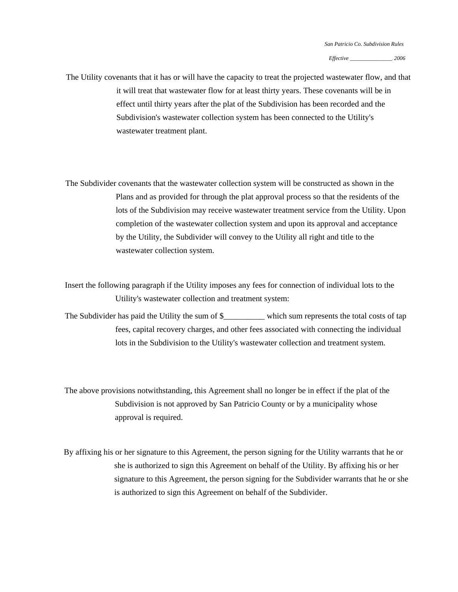*Effective \_\_\_\_\_\_\_\_\_\_\_\_\_\_\_*. *2006* 

The Utility covenants that it has or will have the capacity to treat the projected wastewater flow, and that it will treat that wastewater flow for at least thirty years. These covenants will be in effect until thirty years after the plat of the Subdivision has been recorded and the Subdivision's wastewater collection system has been connected to the Utility's wastewater treatment plant.

The Subdivider covenants that the wastewater collection system will be constructed as shown in the Plans and as provided for through the plat approval process so that the residents of the lots of the Subdivision may receive wastewater treatment service from the Utility. Upon completion of the wastewater collection system and upon its approval and acceptance by the Utility, the Subdivider will convey to the Utility all right and title to the wastewater collection system.

Insert the following paragraph if the Utility imposes any fees for connection of individual lots to the Utility's wastewater collection and treatment system:

The Subdivider has paid the Utility the sum of \$\_\_\_\_\_\_\_\_\_\_ which sum represents the total costs of tap fees, capital recovery charges, and other fees associated with connecting the individual lots in the Subdivision to the Utility's wastewater collection and treatment system.

The above provisions notwithstanding, this Agreement shall no longer be in effect if the plat of the Subdivision is not approved by San Patricio County or by a municipality whose approval is required.

By affixing his or her signature to this Agreement, the person signing for the Utility warrants that he or she is authorized to sign this Agreement on behalf of the Utility. By affixing his or her signature to this Agreement, the person signing for the Subdivider warrants that he or she is authorized to sign this Agreement on behalf of the Subdivider.